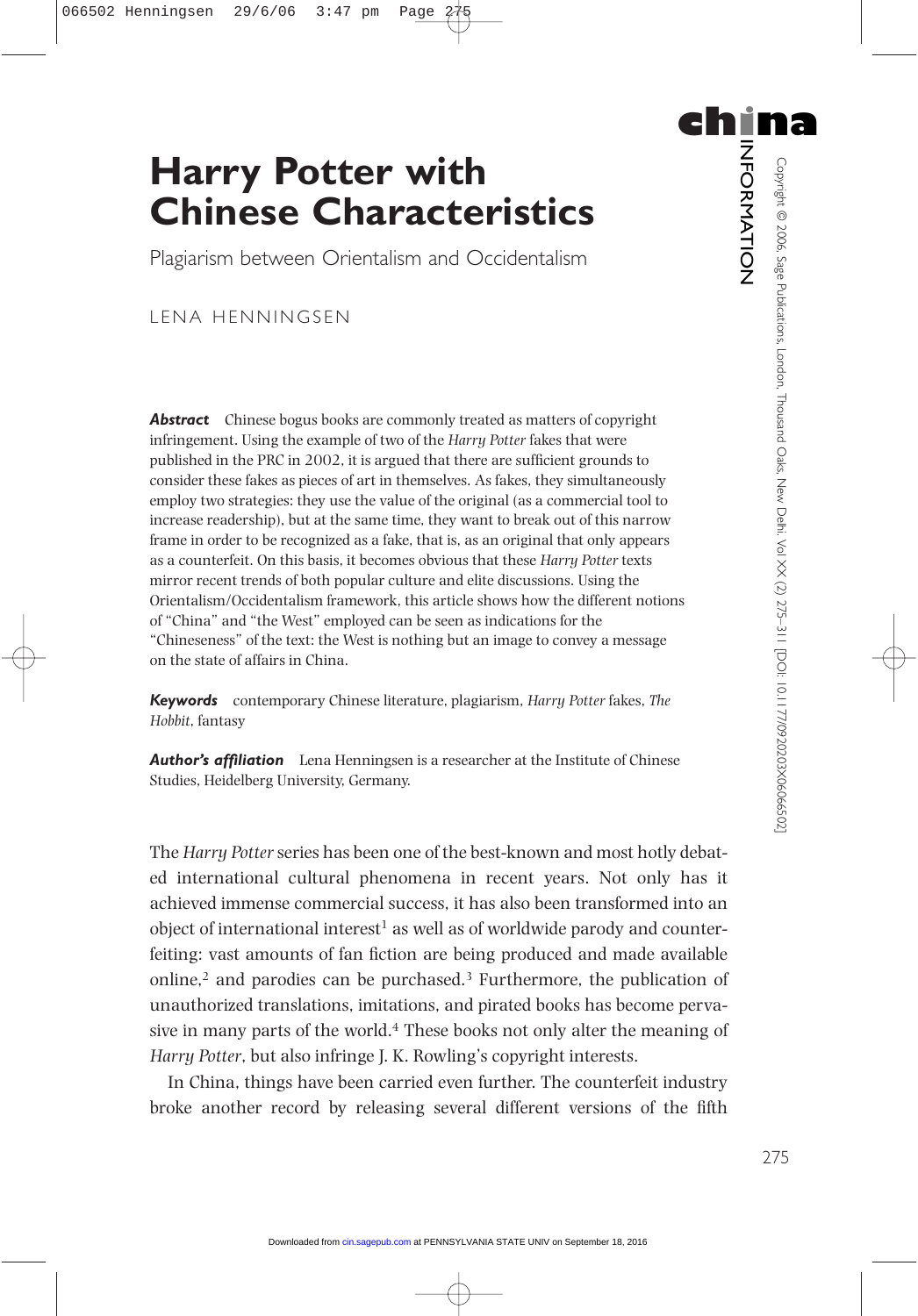# **Harry Potter with Chinese Characteristics**

Plagiarism between Orientalism and Occidentalism

LENA HENNINGSEN

*Abstract* Chinese bogus books are commonly treated as matters of copyright infringement. Using the example of two of the *Harry Potter* fakes that were published in the PRC in 2002, it is argued that there are sufficient grounds to consider these fakes as pieces of art in themselves. As fakes, they simultaneously employ two strategies: they use the value of the original (as a commercial tool to increase readership), but at the same time, they want to break out of this narrow frame in order to be recognized as a fake, that is, as an original that only appears as a counterfeit. On this basis, it becomes obvious that these *Harry Potter* texts mirror recent trends of both popular culture and elite discussions. Using the Orientalism/Occidentalism framework, this article shows how the different notions of "China" and "the West" employed can be seen as indications for the "Chineseness" of the text: the West is nothing but an image to convey a message on the state of affairs in China.

*Keywords* contemporary Chinese literature, plagiarism, *Harry Potter* fakes, *The Hobbit*, fantasy

*Author's affiliation* Lena Henningsen is a researcher at the Institute of Chinese Studies, Heidelberg University, Germany.

The *Harry Potter* series has been one of the best-known and most hotly debated international cultural phenomena in recent years. Not only has it achieved immense commercial success, it has also been transformed into an object of international interest<sup>1</sup> as well as of worldwide parody and counterfeiting: vast amounts of fan fiction are being produced and made available online, $<sup>2</sup>$  and parodies can be purchased.<sup>3</sup> Furthermore, the publication of</sup> unauthorized translations, imitations, and pirated books has become pervasive in many parts of the world.<sup>4</sup> These books not only alter the meaning of *Harry Potter*, but also infringe J. K. Rowling's copyright interests.

In China, things have been carried even further. The counterfeit industry broke another record by releasing several different versions of the fifth

**chiI**<br>
Endex<br>
Propara<br>
O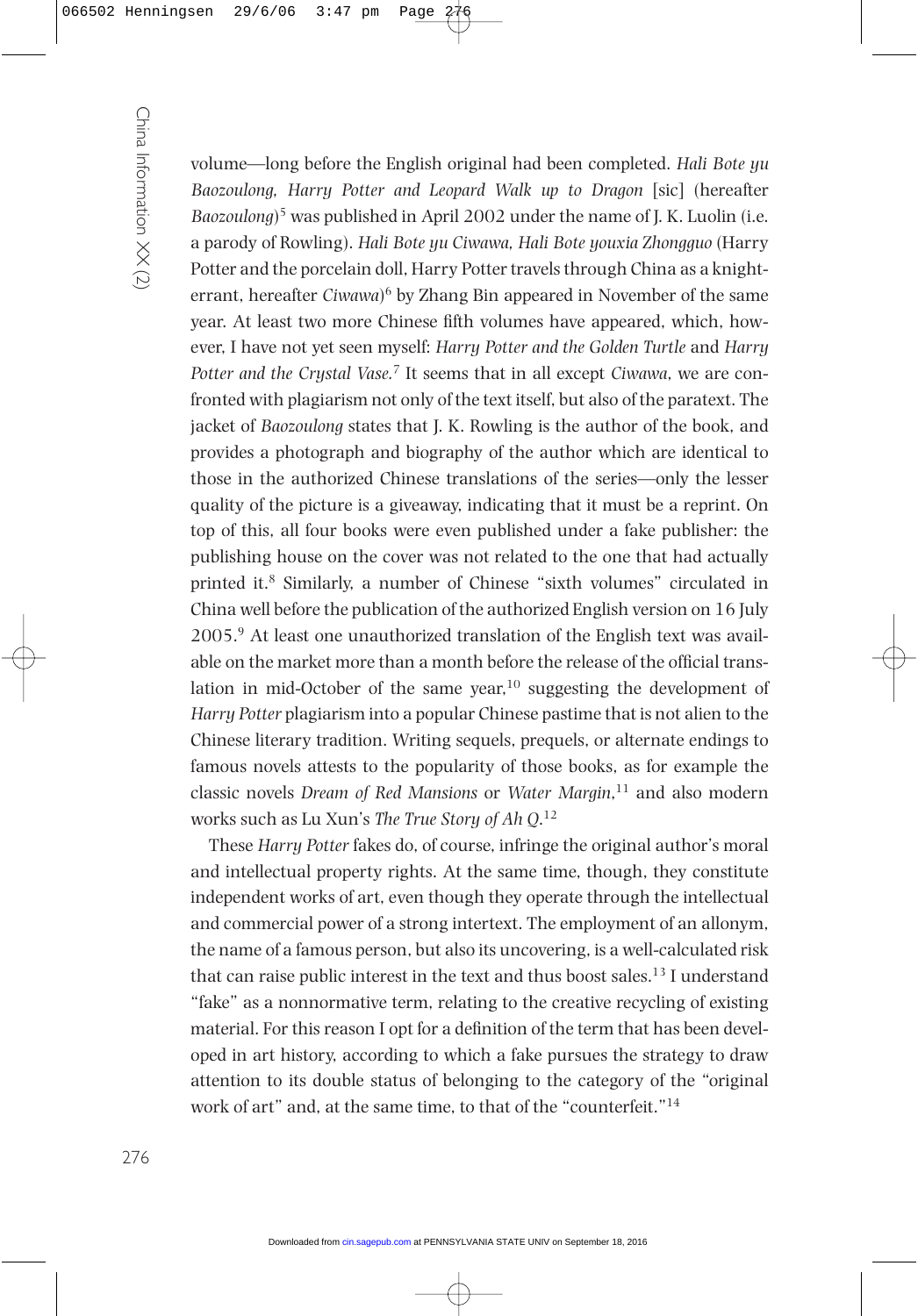volume—long before the English original had been completed. *Hali Bote yu Baozoulong, Harry Potter and Leopard Walk up to Dragon* [sic] (hereafter *Baozoulong*) <sup>5</sup> was published in April 2002 under the name of J. K. Luolin (i.e. a parody of Rowling). *Hali Bote yu Ciwawa, Hali Bote youxia Zhongguo* (Harry Potter and the porcelain doll, Harry Potter travels through China as a knighterrant, hereafter *Ciwawa*) <sup>6</sup> by Zhang Bin appeared in November of the same year. At least two more Chinese fifth volumes have appeared, which, however, I have not yet seen myself: *Harry Potter and the Golden Turtle* and *Harry Potter and the Crystal Vase.*<sup>7</sup> It seems that in all except *Ciwawa*, we are confronted with plagiarism not only of the text itself, but also of the paratext. The jacket of *Baozoulong* states that J. K. Rowling is the author of the book, and provides a photograph and biography of the author which are identical to those in the authorized Chinese translations of the series—only the lesser quality of the picture is a giveaway, indicating that it must be a reprint. On top of this, all four books were even published under a fake publisher: the publishing house on the cover was not related to the one that had actually printed it.8 Similarly, a number of Chinese "sixth volumes" circulated in China well before the publication of the authorized English version on 16 July 2005.9 At least one unauthorized translation of the English text was available on the market more than a month before the release of the official translation in mid-October of the same year, $10$  suggesting the development of *Harry Potter* plagiarism into a popular Chinese pastime that is not alien to the Chinese literary tradition. Writing sequels, prequels, or alternate endings to famous novels attests to the popularity of those books, as for example the classic novels *Dream of Red Mansions* or *Water Margin*, <sup>11</sup> and also modern works such as Lu Xun's *The True Story of Ah Q*. 12

These *Harry Potter* fakes do, of course, infringe the original author's moral and intellectual property rights. At the same time, though, they constitute independent works of art, even though they operate through the intellectual and commercial power of a strong intertext. The employment of an allonym, the name of a famous person, but also its uncovering, is a well-calculated risk that can raise public interest in the text and thus boost sales.13 I understand "fake" as a nonnormative term, relating to the creative recycling of existing material. For this reason I opt for a definition of the term that has been developed in art history, according to which a fake pursues the strategy to draw attention to its double status of belonging to the category of the "original work of art" and, at the same time, to that of the "counterfeit."14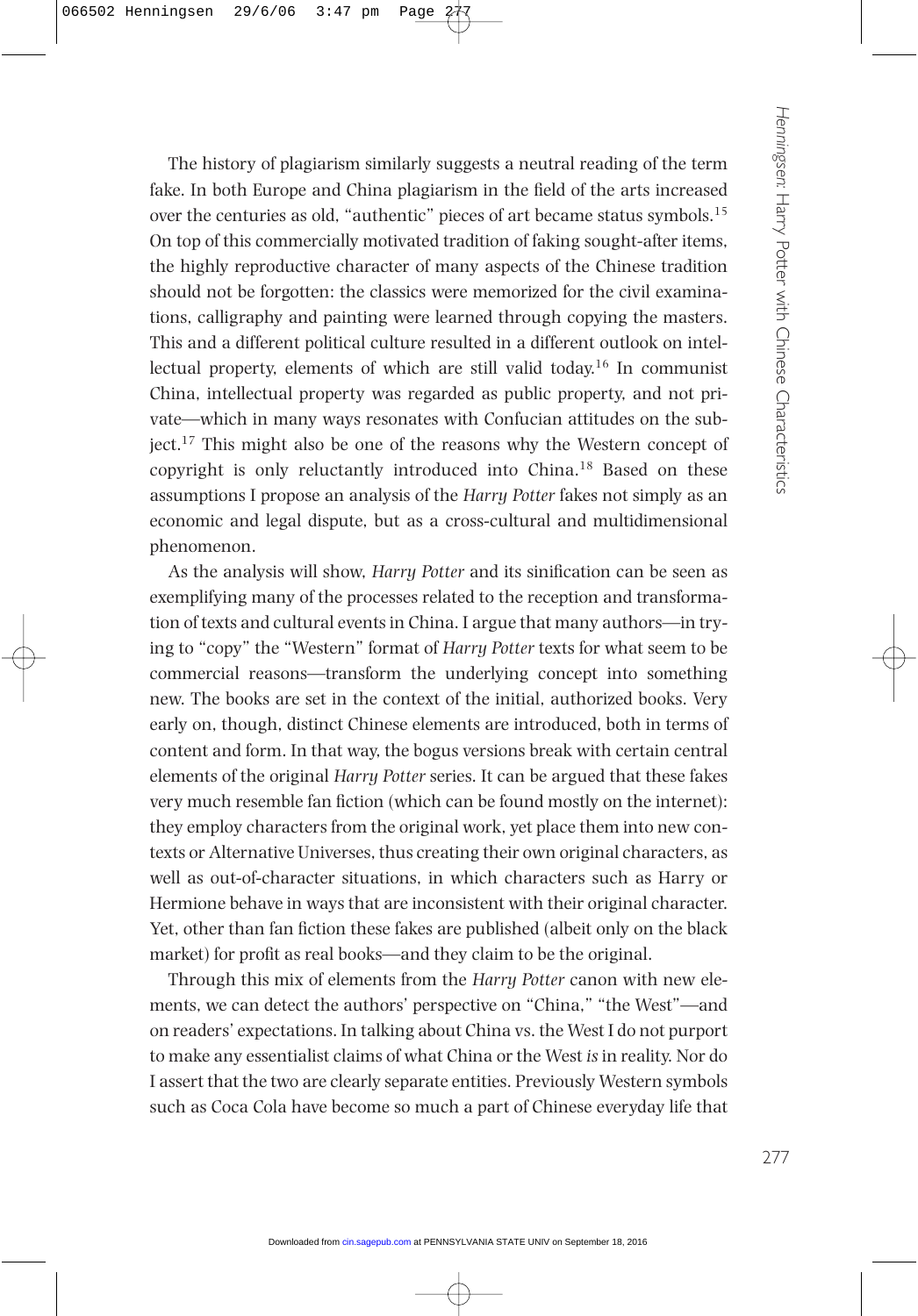The history of plagiarism similarly suggests a neutral reading of the term fake. In both Europe and China plagiarism in the field of the arts increased over the centuries as old, "authentic" pieces of art became status symbols.15 On top of this commercially motivated tradition of faking sought-after items, the highly reproductive character of many aspects of the Chinese tradition should not be forgotten: the classics were memorized for the civil examinations, calligraphy and painting were learned through copying the masters. This and a different political culture resulted in a different outlook on intellectual property, elements of which are still valid today.16 In communist China, intellectual property was regarded as public property, and not private—which in many ways resonates with Confucian attitudes on the subject.17 This might also be one of the reasons why the Western concept of copyright is only reluctantly introduced into China.<sup>18</sup> Based on these assumptions I propose an analysis of the *Harry Potter* fakes not simply as an economic and legal dispute, but as a cross-cultural and multidimensional phenomenon.

As the analysis will show, *Harry Potter* and its sinification can be seen as exemplifying many of the processes related to the reception and transformation of texts and cultural events in China. I argue that many authors—in trying to "copy" the "Western" format of *Harry Potter* texts for what seem to be commercial reasons—transform the underlying concept into something new. The books are set in the context of the initial, authorized books. Very early on, though, distinct Chinese elements are introduced, both in terms of content and form. In that way, the bogus versions break with certain central elements of the original *Harry Potter* series. It can be argued that these fakes very much resemble fan fiction (which can be found mostly on the internet): they employ characters from the original work, yet place them into new contexts or Alternative Universes, thus creating their own original characters, as well as out-of-character situations, in which characters such as Harry or Hermione behave in ways that are inconsistent with their original character. Yet, other than fan fiction these fakes are published (albeit only on the black market) for profit as real books—and they claim to be the original.

Through this mix of elements from the *Harry Potter* canon with new elements, we can detect the authors' perspective on "China," "the West"—and on readers' expectations. In talking about China vs. the West I do not purport to make any essentialist claims of what China or the West *is* in reality. Nor do I assert that the two are clearly separate entities. Previously Western symbols such as Coca Cola have become so much a part of Chinese everyday life that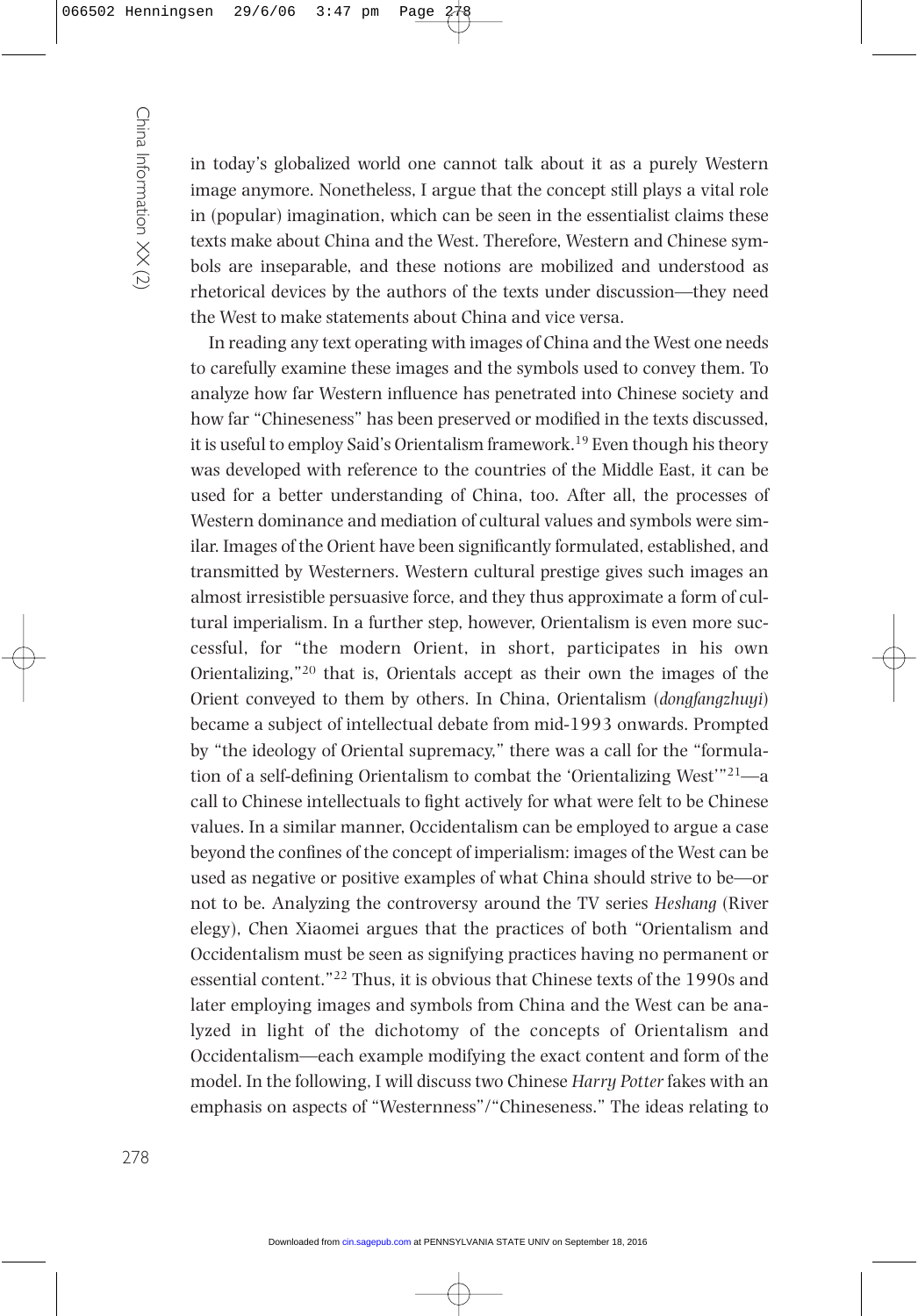in today's globalized world one cannot talk about it as a purely Western image anymore. Nonetheless, I argue that the concept still plays a vital role in (popular) imagination, which can be seen in the essentialist claims these texts make about China and the West. Therefore, Western and Chinese symbols are inseparable, and these notions are mobilized and understood as rhetorical devices by the authors of the texts under discussion—they need the West to make statements about China and vice versa.

In reading any text operating with images of China and the West one needs to carefully examine these images and the symbols used to convey them. To analyze how far Western influence has penetrated into Chinese society and how far "Chineseness" has been preserved or modified in the texts discussed, it is useful to employ Said's Orientalism framework.19 Even though his theory was developed with reference to the countries of the Middle East, it can be used for a better understanding of China, too. After all, the processes of Western dominance and mediation of cultural values and symbols were similar. Images of the Orient have been significantly formulated, established, and transmitted by Westerners. Western cultural prestige gives such images an almost irresistible persuasive force, and they thus approximate a form of cultural imperialism. In a further step, however, Orientalism is even more successful, for "the modern Orient, in short, participates in his own Orientalizing,"20 that is, Orientals accept as their own the images of the Orient conveyed to them by others. In China, Orientalism (*dongfangzhuyi*) became a subject of intellectual debate from mid-1993 onwards. Prompted by "the ideology of Oriental supremacy," there was a call for the "formulation of a self-defining Orientalism to combat the 'Orientalizing West'"21—a call to Chinese intellectuals to fight actively for what were felt to be Chinese values. In a similar manner, Occidentalism can be employed to argue a case beyond the confines of the concept of imperialism: images of the West can be used as negative or positive examples of what China should strive to be—or not to be. Analyzing the controversy around the TV series *Heshang* (River elegy), Chen Xiaomei argues that the practices of both "Orientalism and Occidentalism must be seen as signifying practices having no permanent or essential content."22 Thus, it is obvious that Chinese texts of the 1990s and later employing images and symbols from China and the West can be analyzed in light of the dichotomy of the concepts of Orientalism and Occidentalism—each example modifying the exact content and form of the model. In the following, I will discuss two Chinese *Harry Potter* fakes with an emphasis on aspects of "Westernness"/"Chineseness." The ideas relating to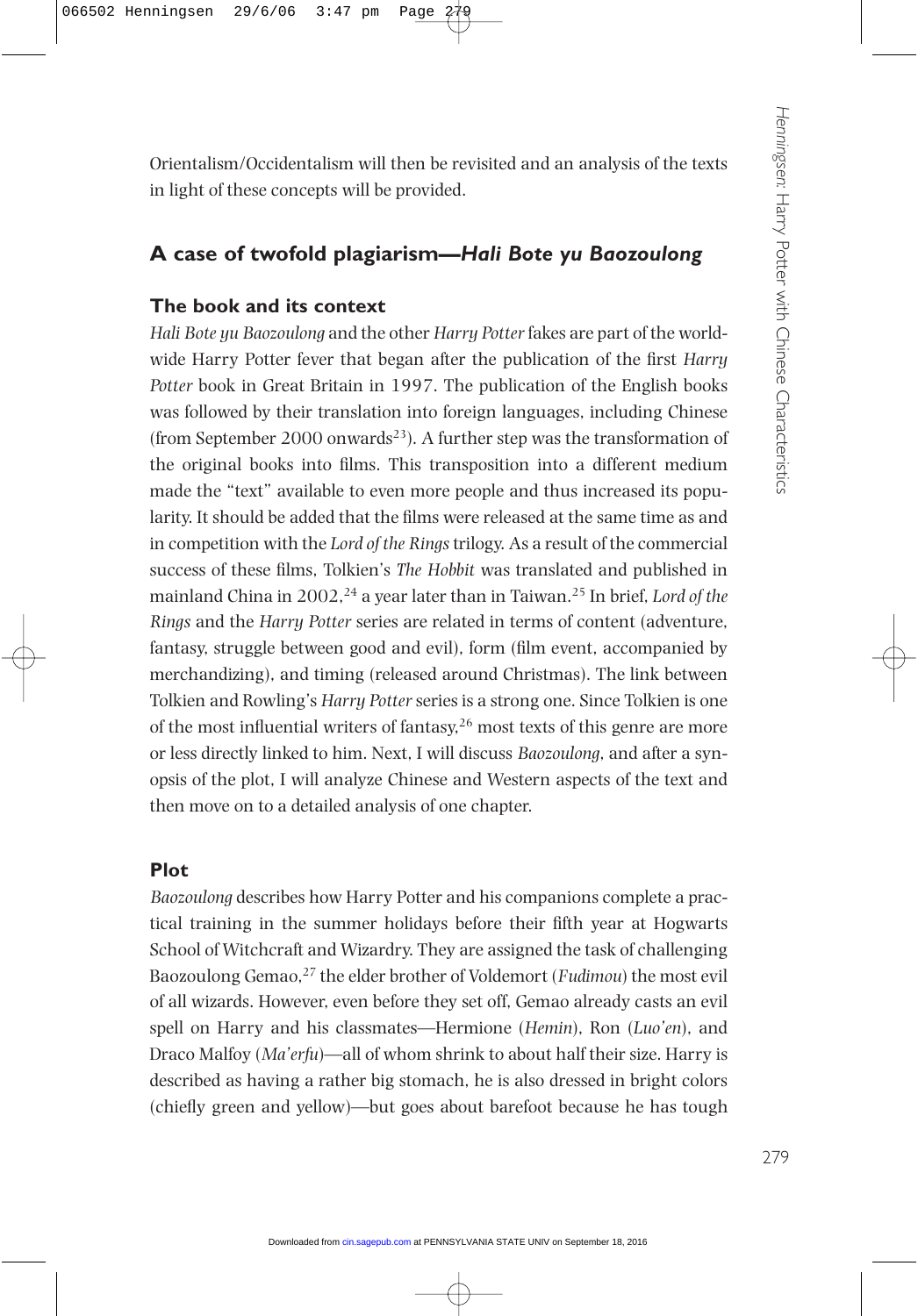Orientalism/Occidentalism will then be revisited and an analysis of the texts in light of these concepts will be provided.

# **A case of twofold plagiarism—***Hali Bote yu Baozoulong*

## **The book and its context**

*Hali Bote yu Baozoulong* and the other *Harry Potter*fakes are part of the worldwide Harry Potter fever that began after the publication of the first *Harry Potter* book in Great Britain in 1997. The publication of the English books was followed by their translation into foreign languages, including Chinese (from September 2000 onwards<sup>23</sup>). A further step was the transformation of the original books into films. This transposition into a different medium made the "text" available to even more people and thus increased its popularity. It should be added that the films were released at the same time as and in competition with the *Lord of the Rings* trilogy. As a result of the commercial success of these films, Tolkien's *The Hobbit* was translated and published in mainland China in 2002,<sup>24</sup> a year later than in Taiwan.<sup>25</sup> In brief, *Lord of the Rings* and the *Harry Potter* series are related in terms of content (adventure, fantasy, struggle between good and evil), form (film event, accompanied by merchandizing), and timing (released around Christmas). The link between Tolkien and Rowling's *Harry Potter* series is a strong one. Since Tolkien is one of the most influential writers of fantasy.<sup>26</sup> most texts of this genre are more or less directly linked to him. Next, I will discuss *Baozoulong*, and after a synopsis of the plot, I will analyze Chinese and Western aspects of the text and then move on to a detailed analysis of one chapter.

### **Plot**

*Baozoulong* describes how Harry Potter and his companions complete a practical training in the summer holidays before their fifth year at Hogwarts School of Witchcraft and Wizardry. They are assigned the task of challenging Baozoulong Gemao,<sup>27</sup> the elder brother of Voldemort (*Fudimou*) the most evil of all wizards. However, even before they set off, Gemao already casts an evil spell on Harry and his classmates—Hermione (*Hemin*), Ron (*Luo'en*), and Draco Malfoy (*Ma'erfu*)—all of whom shrink to about half their size. Harry is described as having a rather big stomach, he is also dressed in bright colors (chiefly green and yellow)—but goes about barefoot because he has tough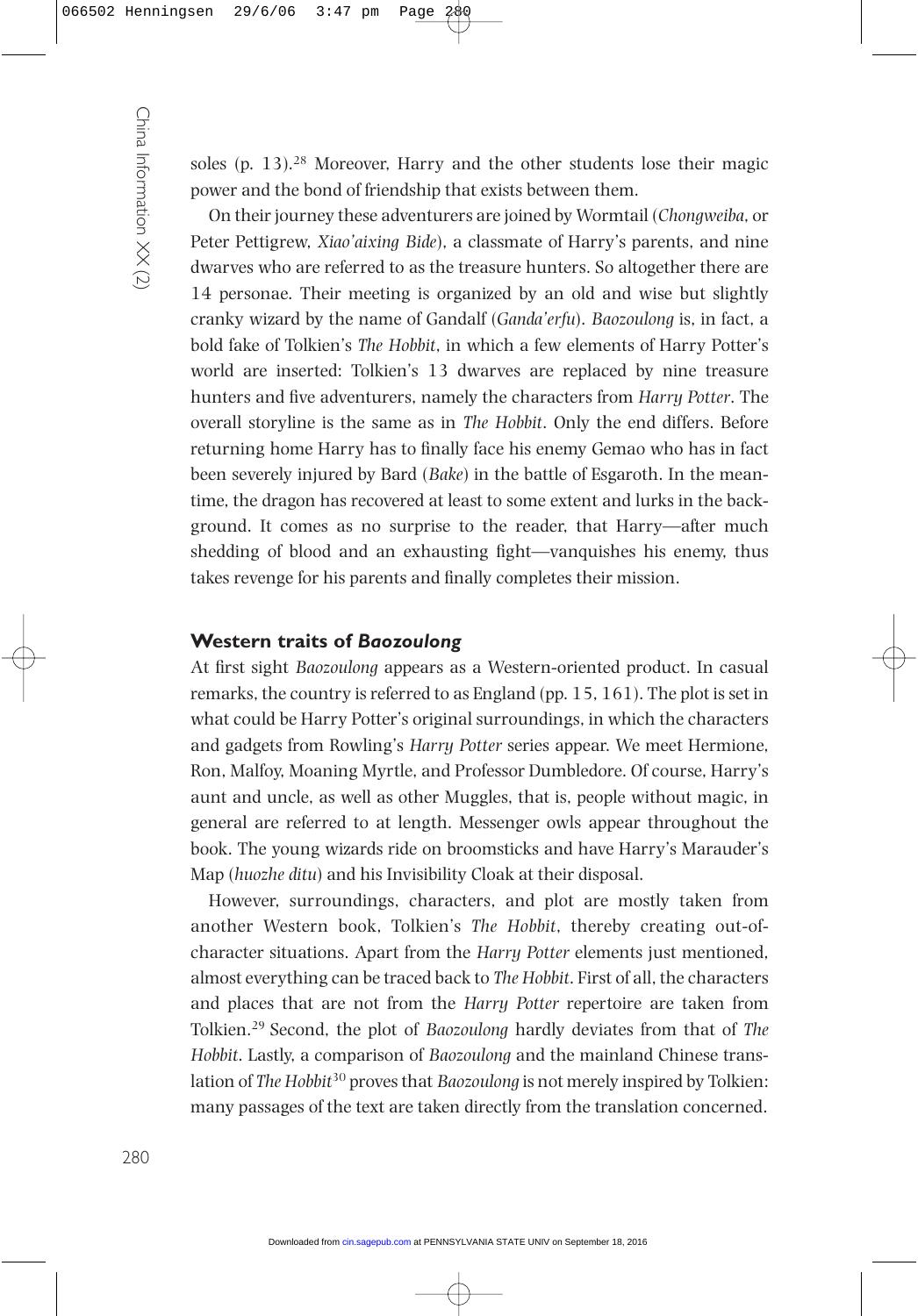soles (p. 13). $28$  Moreover, Harry and the other students lose their magic power and the bond of friendship that exists between them.

On their journey these adventurers are joined by Wormtail (*Chongweiba*, or Peter Pettigrew, *Xiao'aixing Bide*), a classmate of Harry's parents, and nine dwarves who are referred to as the treasure hunters. So altogether there are 14 personae. Their meeting is organized by an old and wise but slightly cranky wizard by the name of Gandalf (*Ganda'erfu*). *Baozoulong* is, in fact, a bold fake of Tolkien's *The Hobbit*, in which a few elements of Harry Potter's world are inserted: Tolkien's 13 dwarves are replaced by nine treasure hunters and five adventurers, namely the characters from *Harry Potter*. The overall storyline is the same as in *The Hobbit*. Only the end differs. Before returning home Harry has to finally face his enemy Gemao who has in fact been severely injured by Bard (*Bake*) in the battle of Esgaroth. In the meantime, the dragon has recovered at least to some extent and lurks in the background. It comes as no surprise to the reader, that Harry—after much shedding of blood and an exhausting fight—vanquishes his enemy, thus takes revenge for his parents and finally completes their mission.

### **Western traits of** *Baozoulong*

At first sight *Baozoulong* appears as a Western-oriented product. In casual remarks, the country is referred to as England (pp. 15, 161). The plot is set in what could be Harry Potter's original surroundings, in which the characters and gadgets from Rowling's *Harry Potter* series appear. We meet Hermione, Ron, Malfoy, Moaning Myrtle, and Professor Dumbledore. Of course, Harry's aunt and uncle, as well as other Muggles, that is, people without magic, in general are referred to at length. Messenger owls appear throughout the book. The young wizards ride on broomsticks and have Harry's Marauder's Map (*huozhe ditu*) and his Invisibility Cloak at their disposal.

However, surroundings, characters, and plot are mostly taken from another Western book, Tolkien's *The Hobbit*, thereby creating out-ofcharacter situations. Apart from the *Harry Potter* elements just mentioned, almost everything can be traced back to *The Hobbit*. First of all, the characters and places that are not from the *Harry Potter* repertoire are taken from Tolkien.29 Second, the plot of *Baozoulong* hardly deviates from that of *The Hobbit*. Lastly, a comparison of *Baozoulong* and the mainland Chinese translation of *The Hobbit*<sup>30</sup> proves that *Baozoulong* is not merely inspired by Tolkien: many passages of the text are taken directly from the translation concerned.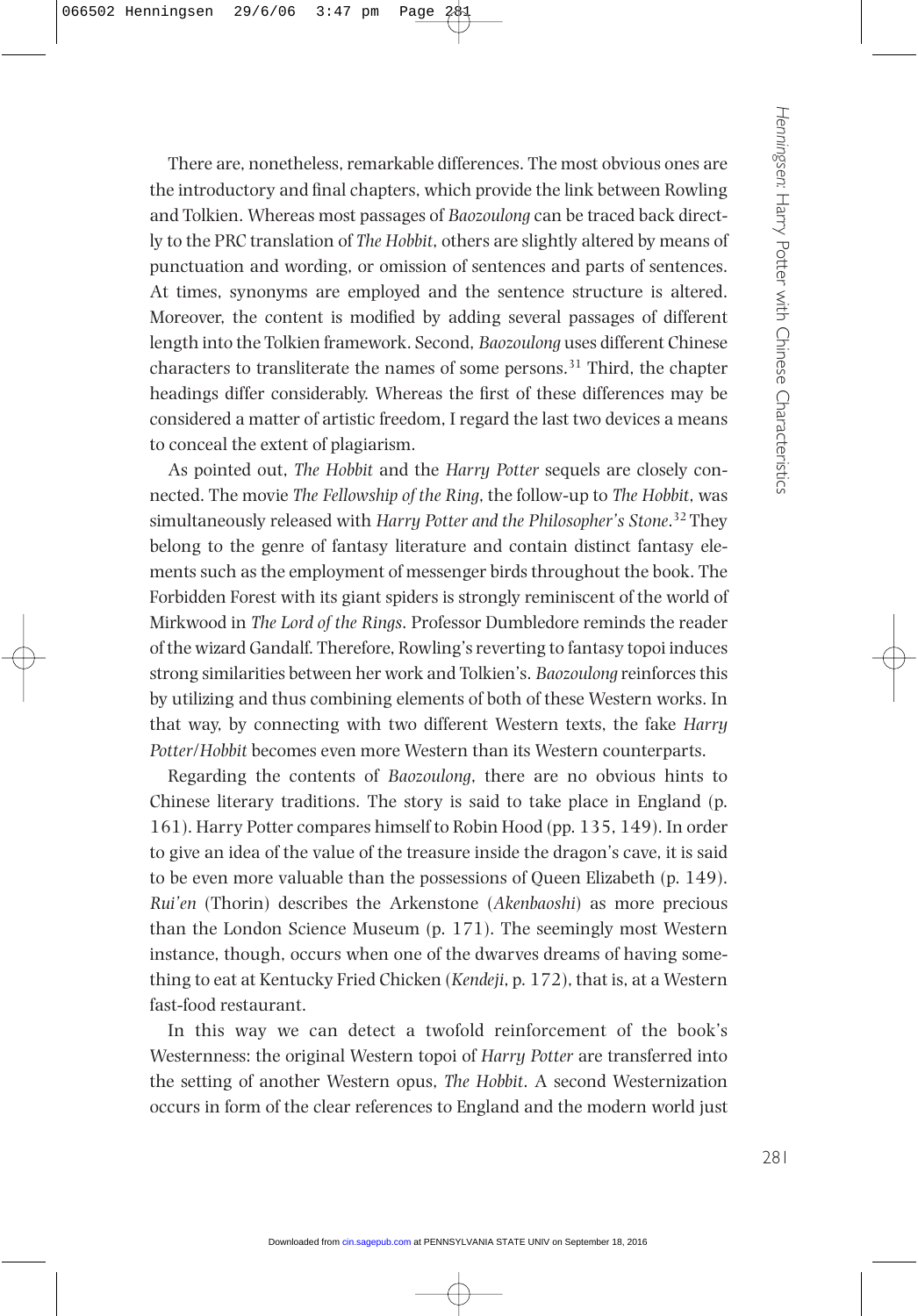There are, nonetheless, remarkable differences. The most obvious ones are the introductory and final chapters, which provide the link between Rowling and Tolkien. Whereas most passages of *Baozoulong* can be traced back directly to the PRC translation of *The Hobbit*, others are slightly altered by means of punctuation and wording, or omission of sentences and parts of sentences. At times, synonyms are employed and the sentence structure is altered. Moreover, the content is modified by adding several passages of different length into the Tolkien framework. Second, *Baozoulong* uses different Chinese characters to transliterate the names of some persons.31 Third, the chapter headings differ considerably. Whereas the first of these differences may be considered a matter of artistic freedom, I regard the last two devices a means to conceal the extent of plagiarism.

As pointed out, *The Hobbit* and the *Harry Potter* sequels are closely connected. The movie *The Fellowship of the Ring*, the follow-up to *The Hobbit*, was simultaneously released with *Harry Potter and the Philosopher's Stone*. 32 They belong to the genre of fantasy literature and contain distinct fantasy elements such as the employment of messenger birds throughout the book. The Forbidden Forest with its giant spiders is strongly reminiscent of the world of Mirkwood in *The Lord of the Rings*. Professor Dumbledore reminds the reader of the wizard Gandalf. Therefore, Rowling's reverting to fantasy topoi induces strong similarities between her work and Tolkien's. *Baozoulong* reinforces this by utilizing and thus combining elements of both of these Western works. In that way, by connecting with two different Western texts, the fake *Harry Potter/Hobbit* becomes even more Western than its Western counterparts.

Regarding the contents of *Baozoulong*, there are no obvious hints to Chinese literary traditions. The story is said to take place in England (p. 161). Harry Potter compares himself to Robin Hood (pp. 135, 149). In order to give an idea of the value of the treasure inside the dragon's cave, it is said to be even more valuable than the possessions of Queen Elizabeth (p. 149). *Rui'en* (Thorin) describes the Arkenstone (*Akenbaoshi*) as more precious than the London Science Museum (p. 171). The seemingly most Western instance, though, occurs when one of the dwarves dreams of having something to eat at Kentucky Fried Chicken (*Kendeji*, p. 172), that is, at a Western fast-food restaurant.

In this way we can detect a twofold reinforcement of the book's Westernness: the original Western topoi of *Harry Potter* are transferred into the setting of another Western opus, *The Hobbit*. A second Westernization occurs in form of the clear references to England and the modern world just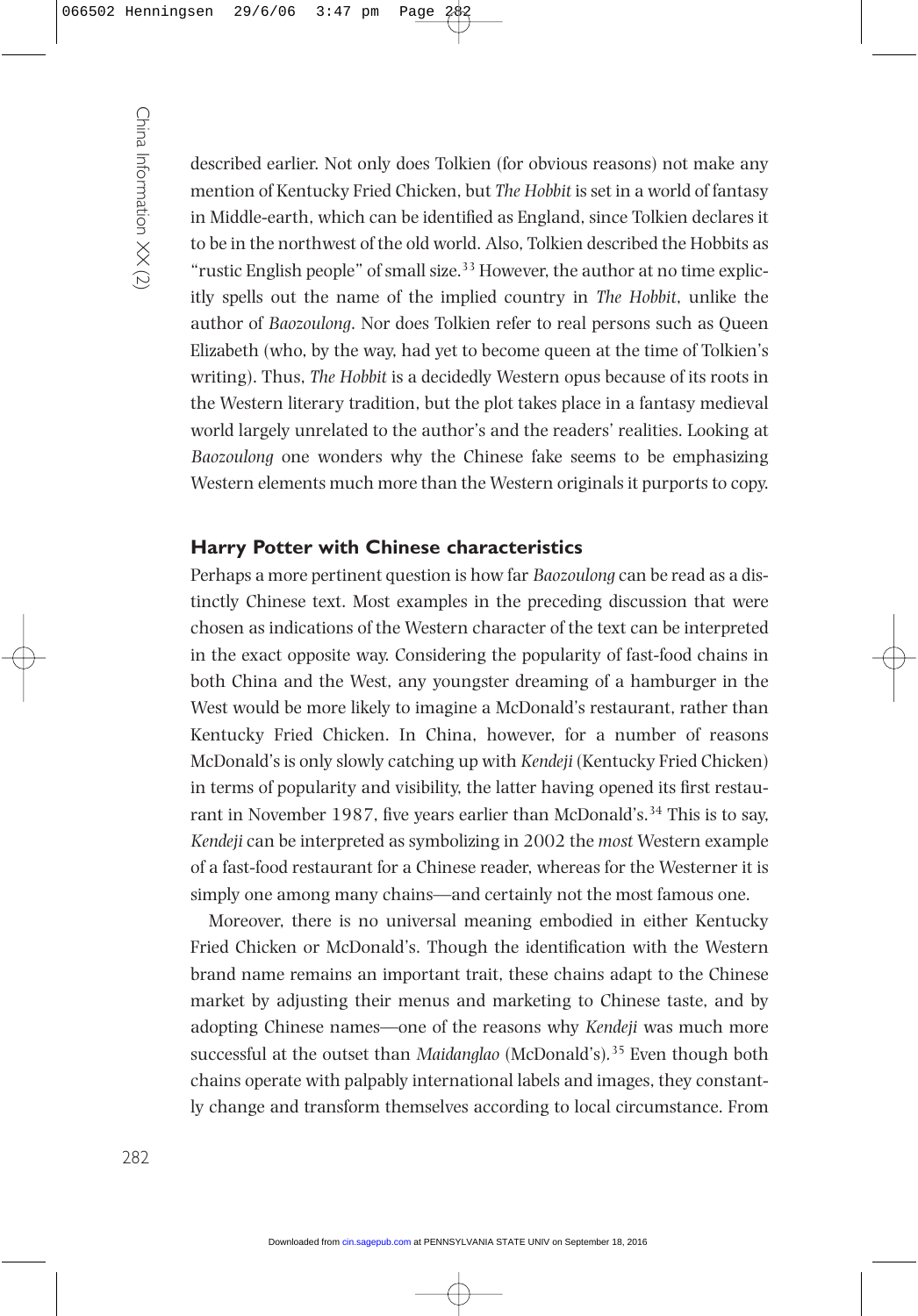described earlier. Not only does Tolkien (for obvious reasons) not make any mention of Kentucky Fried Chicken, but *The Hobbit* is set in a world of fantasy in Middle-earth, which can be identified as England, since Tolkien declares it to be in the northwest of the old world. Also, Tolkien described the Hobbits as "rustic English people" of small size.<sup>33</sup> However, the author at no time explicitly spells out the name of the implied country in *The Hobbit*, unlike the author of *Baozoulong*. Nor does Tolkien refer to real persons such as Queen Elizabeth (who, by the way, had yet to become queen at the time of Tolkien's writing). Thus, *The Hobbit* is a decidedly Western opus because of its roots in the Western literary tradition, but the plot takes place in a fantasy medieval world largely unrelated to the author's and the readers' realities. Looking at *Baozoulong* one wonders why the Chinese fake seems to be emphasizing Western elements much more than the Western originals it purports to copy.

### **Harry Potter with Chinese characteristics**

Perhaps a more pertinent question is how far *Baozoulong* can be read as a distinctly Chinese text. Most examples in the preceding discussion that were chosen as indications of the Western character of the text can be interpreted in the exact opposite way. Considering the popularity of fast-food chains in both China and the West, any youngster dreaming of a hamburger in the West would be more likely to imagine a McDonald's restaurant, rather than Kentucky Fried Chicken. In China, however, for a number of reasons McDonald's is only slowly catching up with *Kendeji* (Kentucky Fried Chicken) in terms of popularity and visibility, the latter having opened its first restaurant in November 1987, five years earlier than McDonald's.<sup>34</sup> This is to say, *Kendeji* can be interpreted as symbolizing in 2002 the *most* Western example of a fast-food restaurant for a Chinese reader, whereas for the Westerner it is simply one among many chains—and certainly not the most famous one.

Moreover, there is no universal meaning embodied in either Kentucky Fried Chicken or McDonald's. Though the identification with the Western brand name remains an important trait, these chains adapt to the Chinese market by adjusting their menus and marketing to Chinese taste, and by adopting Chinese names—one of the reasons why *Kendeji* was much more successful at the outset than *Maidanglao* (McDonald's)*.* <sup>35</sup> Even though both chains operate with palpably international labels and images, they constantly change and transform themselves according to local circumstance. From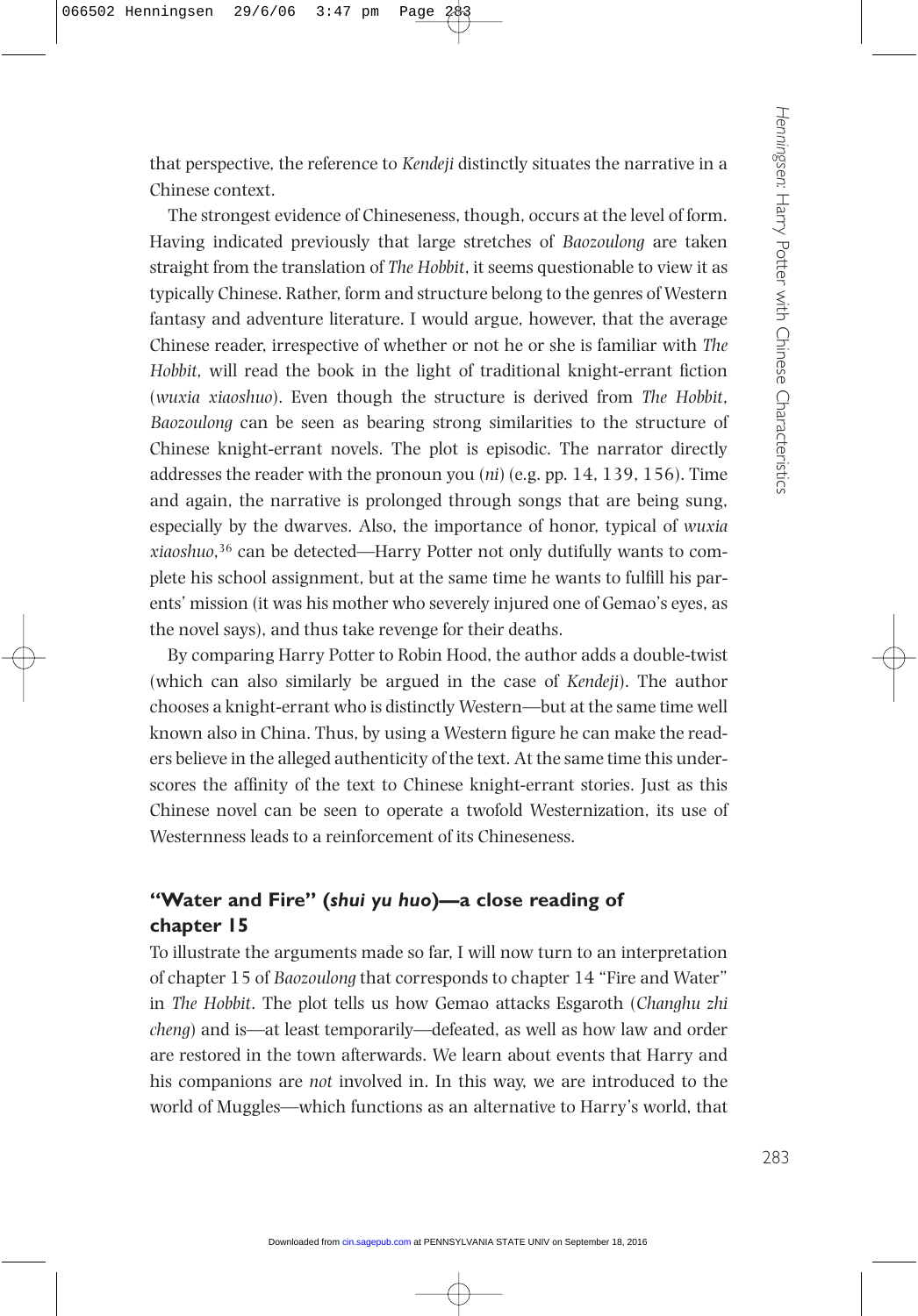that perspective, the reference to *Kendeji* distinctly situates the narrative in a Chinese context.

The strongest evidence of Chineseness, though, occurs at the level of form. Having indicated previously that large stretches of *Baozoulong* are taken straight from the translation of *The Hobbit*, it seems questionable to view it as typically Chinese. Rather, form and structure belong to the genres of Western fantasy and adventure literature. I would argue, however, that the average Chinese reader, irrespective of whether or not he or she is familiar with *The Hobbit,* will read the book in the light of traditional knight-errant fiction (*wuxia xiaoshuo*). Even though the structure is derived from *The Hobbit*, *Baozoulong* can be seen as bearing strong similarities to the structure of Chinese knight-errant novels. The plot is episodic. The narrator directly addresses the reader with the pronoun you (*ni*) (e.g. pp. 14, 139, 156). Time and again, the narrative is prolonged through songs that are being sung, especially by the dwarves. Also, the importance of honor, typical of *wuxia xiaoshuo*, <sup>36</sup> can be detected—Harry Potter not only dutifully wants to complete his school assignment, but at the same time he wants to fulfill his parents' mission (it was his mother who severely injured one of Gemao's eyes, as the novel says), and thus take revenge for their deaths.

By comparing Harry Potter to Robin Hood, the author adds a double-twist (which can also similarly be argued in the case of *Kendeji*). The author chooses a knight-errant who is distinctly Western—but at the same time well known also in China. Thus, by using a Western figure he can make the readers believe in the alleged authenticity of the text. At the same time this underscores the affinity of the text to Chinese knight-errant stories. Just as this Chinese novel can be seen to operate a twofold Westernization, its use of Westernness leads to a reinforcement of its Chineseness.

# **"Water and Fire" (***shui yu huo***)—a close reading of chapter 15**

To illustrate the arguments made so far, I will now turn to an interpretation of chapter 15 of *Baozoulong* that corresponds to chapter 14 "Fire and Water" in *The Hobbit*. The plot tells us how Gemao attacks Esgaroth (*Changhu zhi cheng*) and is—at least temporarily—defeated, as well as how law and order are restored in the town afterwards. We learn about events that Harry and his companions are *not* involved in. In this way, we are introduced to the world of Muggles—which functions as an alternative to Harry's world, that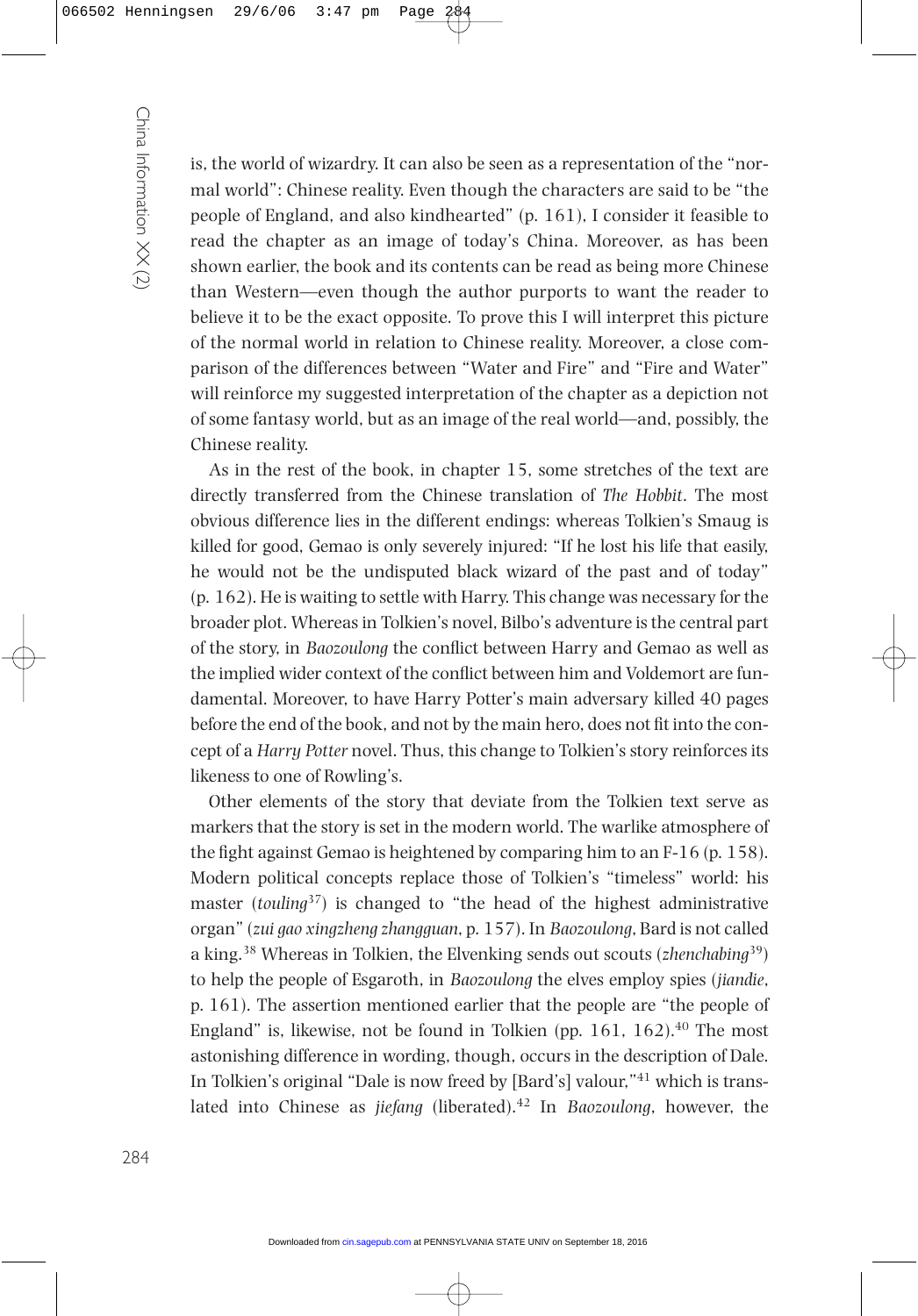China Information XX $\odot$ 

is, the world of wizardry. It can also be seen as a representation of the "normal world": Chinese reality. Even though the characters are said to be "the people of England, and also kindhearted" (p. 161), I consider it feasible to read the chapter as an image of today's China. Moreover, as has been shown earlier, the book and its contents can be read as being more Chinese than Western—even though the author purports to want the reader to believe it to be the exact opposite. To prove this I will interpret this picture of the normal world in relation to Chinese reality. Moreover, a close comparison of the differences between "Water and Fire" and "Fire and Water" will reinforce my suggested interpretation of the chapter as a depiction not of some fantasy world, but as an image of the real world—and, possibly, the Chinese reality.

As in the rest of the book, in chapter 15, some stretches of the text are directly transferred from the Chinese translation of *The Hobbit*. The most obvious difference lies in the different endings: whereas Tolkien's Smaug is killed for good, Gemao is only severely injured: "If he lost his life that easily, he would not be the undisputed black wizard of the past and of today" (p. 162). He is waiting to settle with Harry. This change was necessary for the broader plot. Whereas in Tolkien's novel, Bilbo's adventure is the central part of the story, in *Baozoulong* the conflict between Harry and Gemao as well as the implied wider context of the conflict between him and Voldemort are fundamental. Moreover, to have Harry Potter's main adversary killed 40 pages before the end of the book, and not by the main hero, does not fit into the concept of a *Harry Potter* novel. Thus, this change to Tolkien's story reinforces its likeness to one of Rowling's.

Other elements of the story that deviate from the Tolkien text serve as markers that the story is set in the modern world. The warlike atmosphere of the fight against Gemao is heightened by comparing him to an F-16 (p. 158). Modern political concepts replace those of Tolkien's "timeless" world: his master (*touling*37) is changed to "the head of the highest administrative organ" (*zui gao xingzheng zhangguan*, p. 157). In *Baozoulong*, Bard is not called a king.38 Whereas in Tolkien, the Elvenking sends out scouts (*zhenchabing*39) to help the people of Esgaroth, in *Baozoulong* the elves employ spies (*jiandie*, p. 161). The assertion mentioned earlier that the people are "the people of England" is, likewise, not be found in Tolkien (pp.  $161, 162$ ).<sup>40</sup> The most astonishing difference in wording, though, occurs in the description of Dale. In Tolkien's original "Dale is now freed by [Bard's] valour,"41 which is translated into Chinese as *jiefang* (liberated).<sup>42</sup> In *Baozoulong*, however, the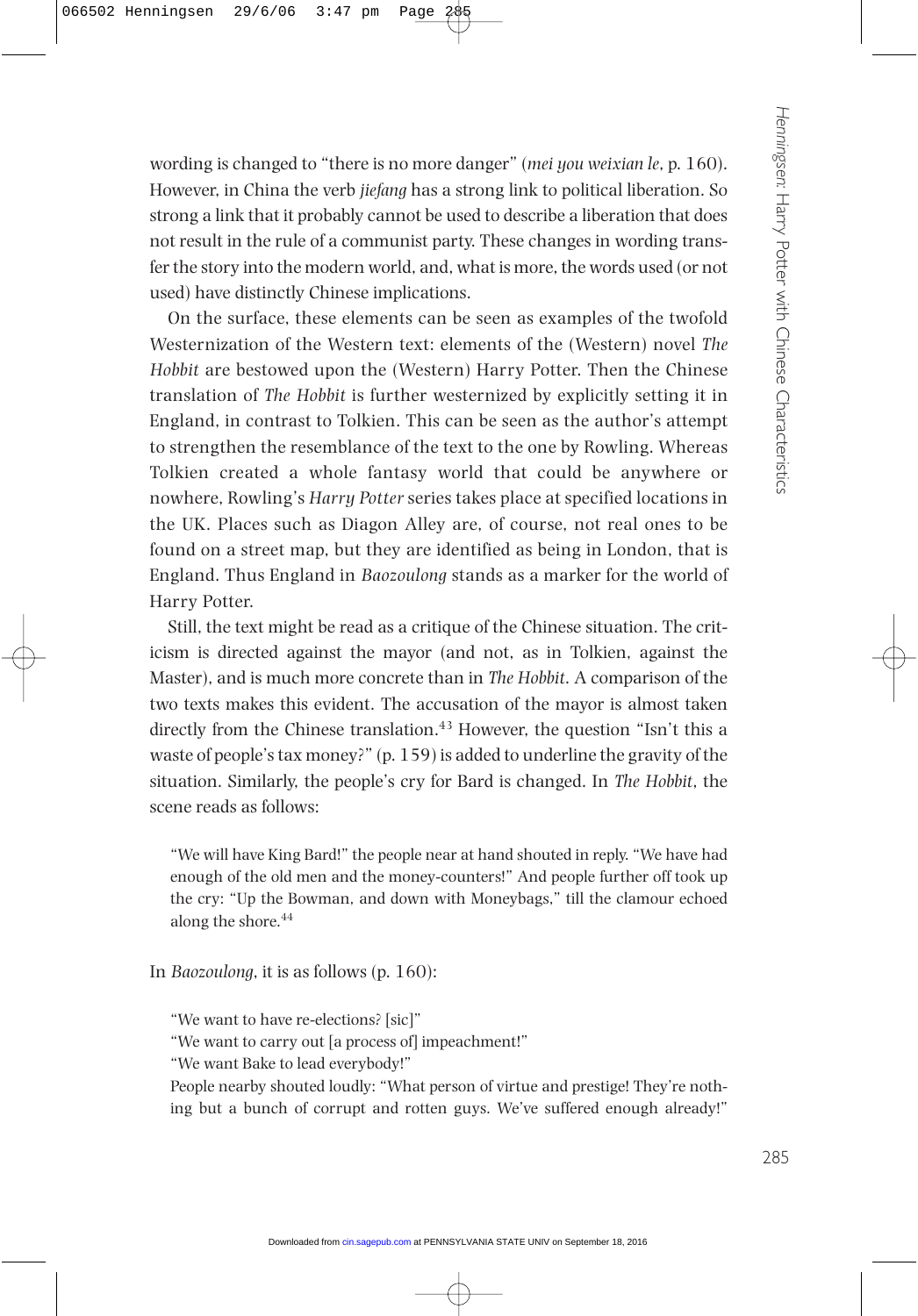wording is changed to "there is no more danger" (*mei you weixian le*, p. 160). However, in China the verb *jiefang* has a strong link to political liberation. So strong a link that it probably cannot be used to describe a liberation that does not result in the rule of a communist party. These changes in wording transfer the story into the modern world, and, what is more, the words used (or not used) have distinctly Chinese implications.

On the surface, these elements can be seen as examples of the twofold Westernization of the Western text: elements of the (Western) novel *The Hobbit* are bestowed upon the (Western) Harry Potter. Then the Chinese translation of *The Hobbit* is further westernized by explicitly setting it in England, in contrast to Tolkien. This can be seen as the author's attempt to strengthen the resemblance of the text to the one by Rowling. Whereas Tolkien created a whole fantasy world that could be anywhere or nowhere, Rowling's *Harry Potter* series takes place at specified locations in the UK. Places such as Diagon Alley are, of course, not real ones to be found on a street map, but they are identified as being in London, that is England. Thus England in *Baozoulong* stands as a marker for the world of Harry Potter.

Still, the text might be read as a critique of the Chinese situation. The criticism is directed against the mayor (and not, as in Tolkien, against the Master), and is much more concrete than in *The Hobbit*. A comparison of the two texts makes this evident. The accusation of the mayor is almost taken directly from the Chinese translation.<sup>43</sup> However, the question "Isn't this a waste of people's tax money?" (p. 159) is added to underline the gravity of the situation. Similarly, the people's cry for Bard is changed. In *The Hobbit*, the scene reads as follows:

"We will have King Bard!" the people near at hand shouted in reply. "We have had enough of the old men and the money-counters!" And people further off took up the cry: "Up the Bowman, and down with Moneybags," till the clamour echoed along the shore.<sup>44</sup>

In *Baozoulong*, it is as follows (p. 160):

"We want to have re-elections? [sic]"

"We want to carry out [a process of] impeachment!"

"We want Bake to lead everybody!"

People nearby shouted loudly: "What person of virtue and prestige! They're nothing but a bunch of corrupt and rotten guys. We've suffered enough already!"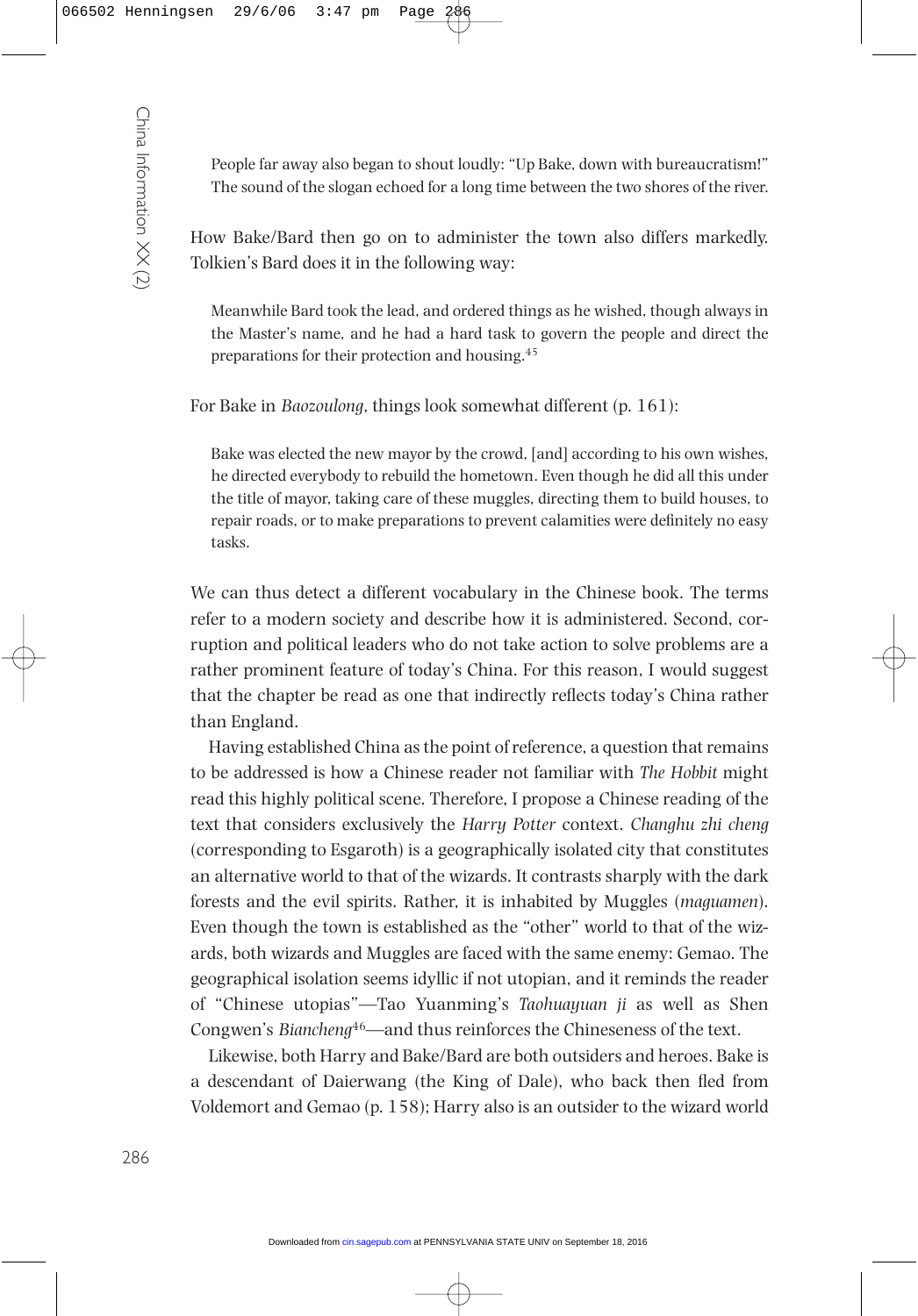People far away also began to shout loudly: "Up Bake, down with bureaucratism!" The sound of the slogan echoed for a long time between the two shores of the river.

How Bake/Bard then go on to administer the town also differs markedly. Tolkien's Bard does it in the following way:

Meanwhile Bard took the lead, and ordered things as he wished, though always in the Master's name, and he had a hard task to govern the people and direct the preparations for their protection and housing.45

For Bake in *Baozoulong*, things look somewhat different (p. 161):

Bake was elected the new mayor by the crowd, [and] according to his own wishes, he directed everybody to rebuild the hometown. Even though he did all this under the title of mayor, taking care of these muggles, directing them to build houses, to repair roads, or to make preparations to prevent calamities were definitely no easy tasks.

We can thus detect a different vocabulary in the Chinese book. The terms refer to a modern society and describe how it is administered. Second, corruption and political leaders who do not take action to solve problems are a rather prominent feature of today's China. For this reason, I would suggest that the chapter be read as one that indirectly reflects today's China rather than England.

Having established China as the point of reference, a question that remains to be addressed is how a Chinese reader not familiar with *The Hobbit* might read this highly political scene. Therefore, I propose a Chinese reading of the text that considers exclusively the *Harry Potter* context. *Changhu zhi cheng* (corresponding to Esgaroth) is a geographically isolated city that constitutes an alternative world to that of the wizards. It contrasts sharply with the dark forests and the evil spirits. Rather, it is inhabited by Muggles (*maguamen*). Even though the town is established as the "other" world to that of the wizards, both wizards and Muggles are faced with the same enemy: Gemao. The geographical isolation seems idyllic if not utopian, and it reminds the reader of "Chinese utopias"—Tao Yuanming's *Taohuayuan ji* as well as Shen Congwen's *Biancheng*46—and thus reinforces the Chineseness of the text.

Likewise, both Harry and Bake/Bard are both outsiders and heroes. Bake is a descendant of Daierwang (the King of Dale), who back then fled from Voldemort and Gemao (p. 158); Harry also is an outsider to the wizard world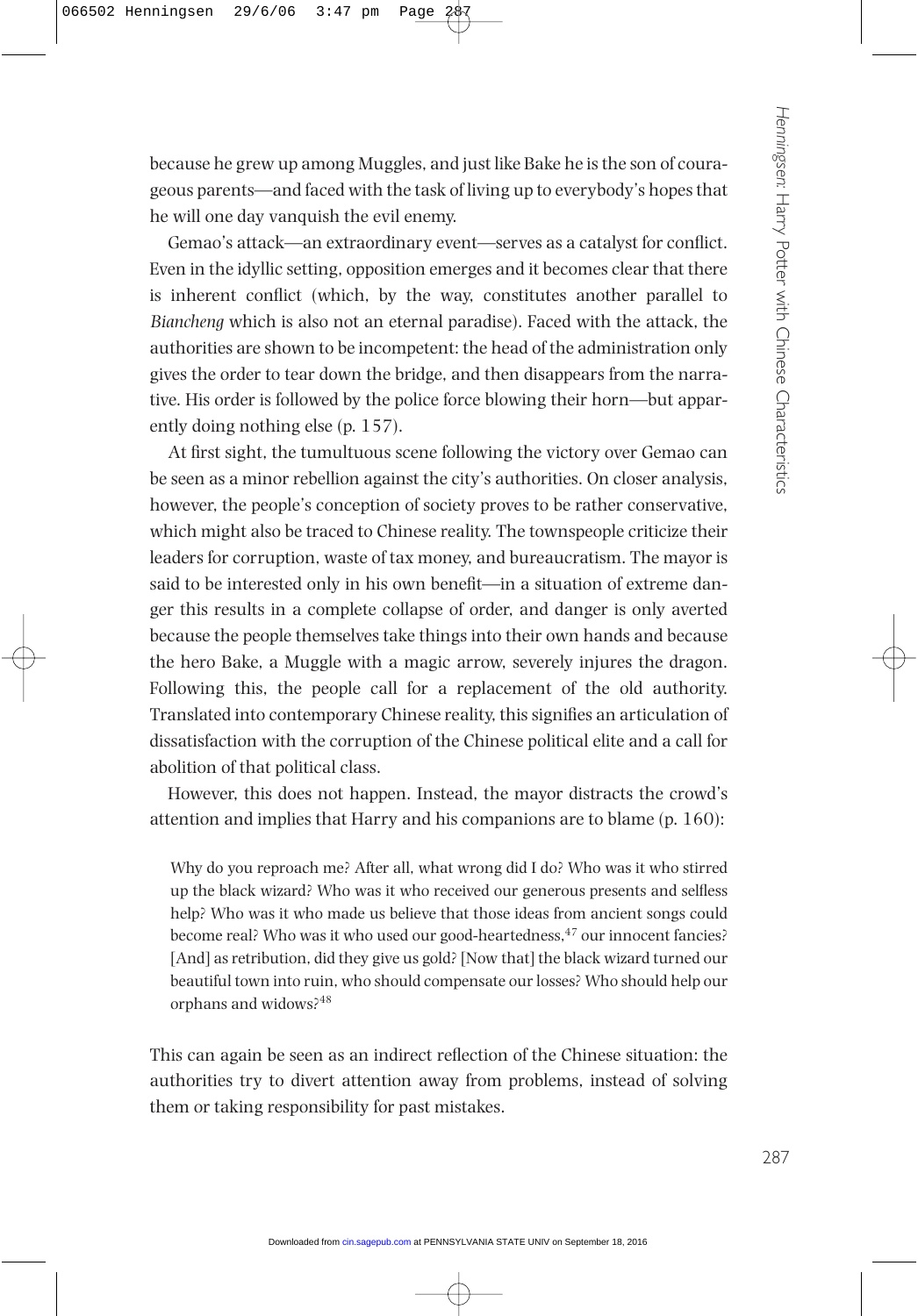because he grew up among Muggles, and just like Bake he is the son of courageous parents—and faced with the task of living up to everybody's hopes that he will one day vanquish the evil enemy.

Gemao's attack—an extraordinary event—serves as a catalyst for conflict. Even in the idyllic setting, opposition emerges and it becomes clear that there is inherent conflict (which, by the way, constitutes another parallel to *Biancheng* which is also not an eternal paradise). Faced with the attack, the authorities are shown to be incompetent: the head of the administration only gives the order to tear down the bridge, and then disappears from the narrative. His order is followed by the police force blowing their horn—but apparently doing nothing else (p. 157).

At first sight, the tumultuous scene following the victory over Gemao can be seen as a minor rebellion against the city's authorities. On closer analysis, however, the people's conception of society proves to be rather conservative, which might also be traced to Chinese reality. The townspeople criticize their leaders for corruption, waste of tax money, and bureaucratism. The mayor is said to be interested only in his own benefit—in a situation of extreme danger this results in a complete collapse of order, and danger is only averted because the people themselves take things into their own hands and because the hero Bake, a Muggle with a magic arrow, severely injures the dragon. Following this, the people call for a replacement of the old authority. Translated into contemporary Chinese reality, this signifies an articulation of dissatisfaction with the corruption of the Chinese political elite and a call for abolition of that political class.

However, this does not happen. Instead, the mayor distracts the crowd's attention and implies that Harry and his companions are to blame (p. 160):

Why do you reproach me? After all, what wrong did I do? Who was it who stirred up the black wizard? Who was it who received our generous presents and selfless help? Who was it who made us believe that those ideas from ancient songs could become real? Who was it who used our good-heartedness,<sup>47</sup> our innocent fancies? [And] as retribution, did they give us gold? [Now that] the black wizard turned our beautiful town into ruin, who should compensate our losses? Who should help our orphans and widows?48

This can again be seen as an indirect reflection of the Chinese situation: the authorities try to divert attention away from problems, instead of solving them or taking responsibility for past mistakes.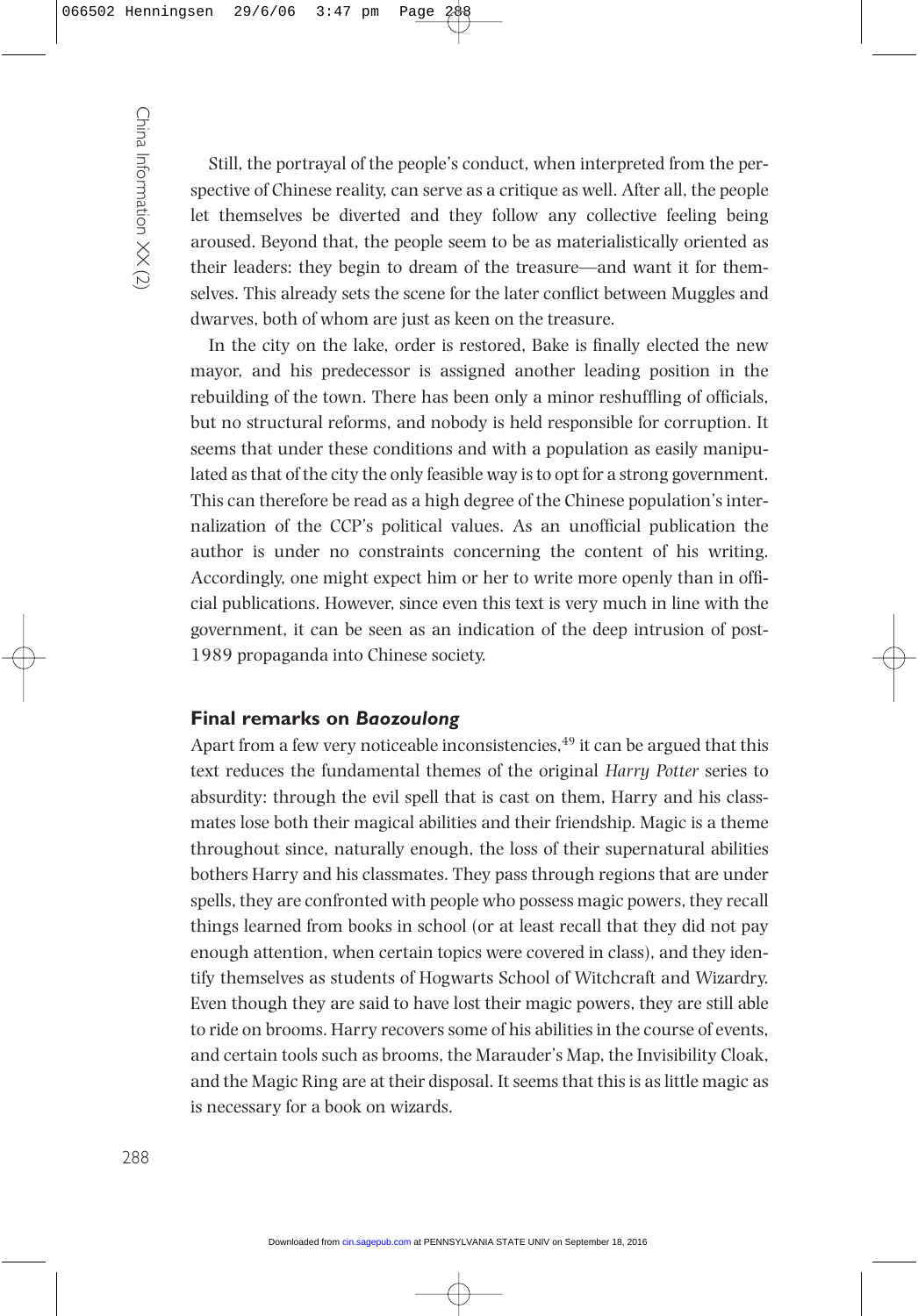Still, the portrayal of the people's conduct, when interpreted from the perspective of Chinese reality, can serve as a critique as well. After all, the people let themselves be diverted and they follow any collective feeling being aroused. Beyond that, the people seem to be as materialistically oriented as their leaders: they begin to dream of the treasure—and want it for themselves. This already sets the scene for the later conflict between Muggles and dwarves, both of whom are just as keen on the treasure.

In the city on the lake, order is restored, Bake is finally elected the new mayor, and his predecessor is assigned another leading position in the rebuilding of the town. There has been only a minor reshuffling of officials, but no structural reforms, and nobody is held responsible for corruption. It seems that under these conditions and with a population as easily manipulated as that of the city the only feasible way is to opt for a strong government. This can therefore be read as a high degree of the Chinese population's internalization of the CCP's political values. As an unofficial publication the author is under no constraints concerning the content of his writing. Accordingly, one might expect him or her to write more openly than in official publications. However, since even this text is very much in line with the government, it can be seen as an indication of the deep intrusion of post-1989 propaganda into Chinese society.

### **Final remarks on** *Baozoulong*

Apart from a few very noticeable inconsistencies,  $49$  it can be argued that this text reduces the fundamental themes of the original *Harry Potter* series to absurdity: through the evil spell that is cast on them, Harry and his classmates lose both their magical abilities and their friendship. Magic is a theme throughout since, naturally enough, the loss of their supernatural abilities bothers Harry and his classmates. They pass through regions that are under spells, they are confronted with people who possess magic powers, they recall things learned from books in school (or at least recall that they did not pay enough attention, when certain topics were covered in class), and they identify themselves as students of Hogwarts School of Witchcraft and Wizardry. Even though they are said to have lost their magic powers, they are still able to ride on brooms. Harry recovers some of his abilities in the course of events, and certain tools such as brooms, the Marauder's Map, the Invisibility Cloak, and the Magic Ring are at their disposal. It seems that this is as little magic as is necessary for a book on wizards.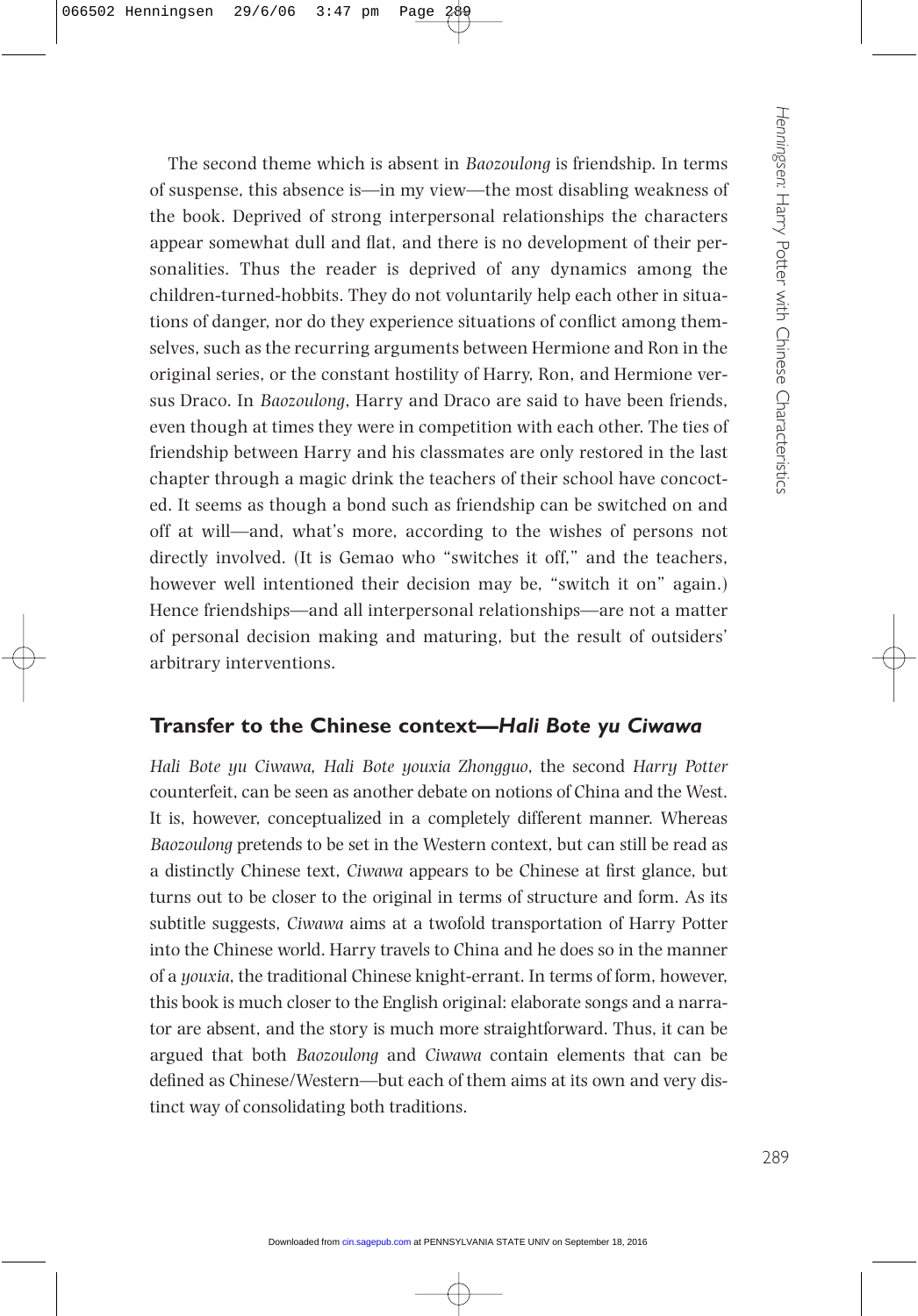The second theme which is absent in *Baozoulong* is friendship. In terms of suspense, this absence is—in my view—the most disabling weakness of the book. Deprived of strong interpersonal relationships the characters appear somewhat dull and flat, and there is no development of their personalities. Thus the reader is deprived of any dynamics among the children-turned-hobbits. They do not voluntarily help each other in situations of danger, nor do they experience situations of conflict among themselves, such as the recurring arguments between Hermione and Ron in the original series, or the constant hostility of Harry, Ron, and Hermione versus Draco. In *Baozoulong*, Harry and Draco are said to have been friends, even though at times they were in competition with each other. The ties of friendship between Harry and his classmates are only restored in the last chapter through a magic drink the teachers of their school have concocted. It seems as though a bond such as friendship can be switched on and off at will—and, what's more, according to the wishes of persons not directly involved. (It is Gemao who "switches it off," and the teachers, however well intentioned their decision may be, "switch it on" again.) Hence friendships—and all interpersonal relationships—are not a matter of personal decision making and maturing, but the result of outsiders' arbitrary interventions.

# **Transfer to the Chinese context—***Hali Bote yu Ciwawa*

*Hali Bote yu Ciwawa, Hali Bote youxia Zhongguo*, the second *Harry Potter* counterfeit, can be seen as another debate on notions of China and the West. It is, however, conceptualized in a completely different manner. Whereas *Baozoulong* pretends to be set in the Western context, but can still be read as a distinctly Chinese text, *Ciwawa* appears to be Chinese at first glance, but turns out to be closer to the original in terms of structure and form. As its subtitle suggests, *Ciwawa* aims at a twofold transportation of Harry Potter into the Chinese world. Harry travels to China and he does so in the manner of a *youxia*, the traditional Chinese knight-errant. In terms of form, however, this book is much closer to the English original: elaborate songs and a narrator are absent, and the story is much more straightforward. Thus, it can be argued that both *Baozoulong* and *Ciwawa* contain elements that can be defined as Chinese/Western—but each of them aims at its own and very distinct way of consolidating both traditions.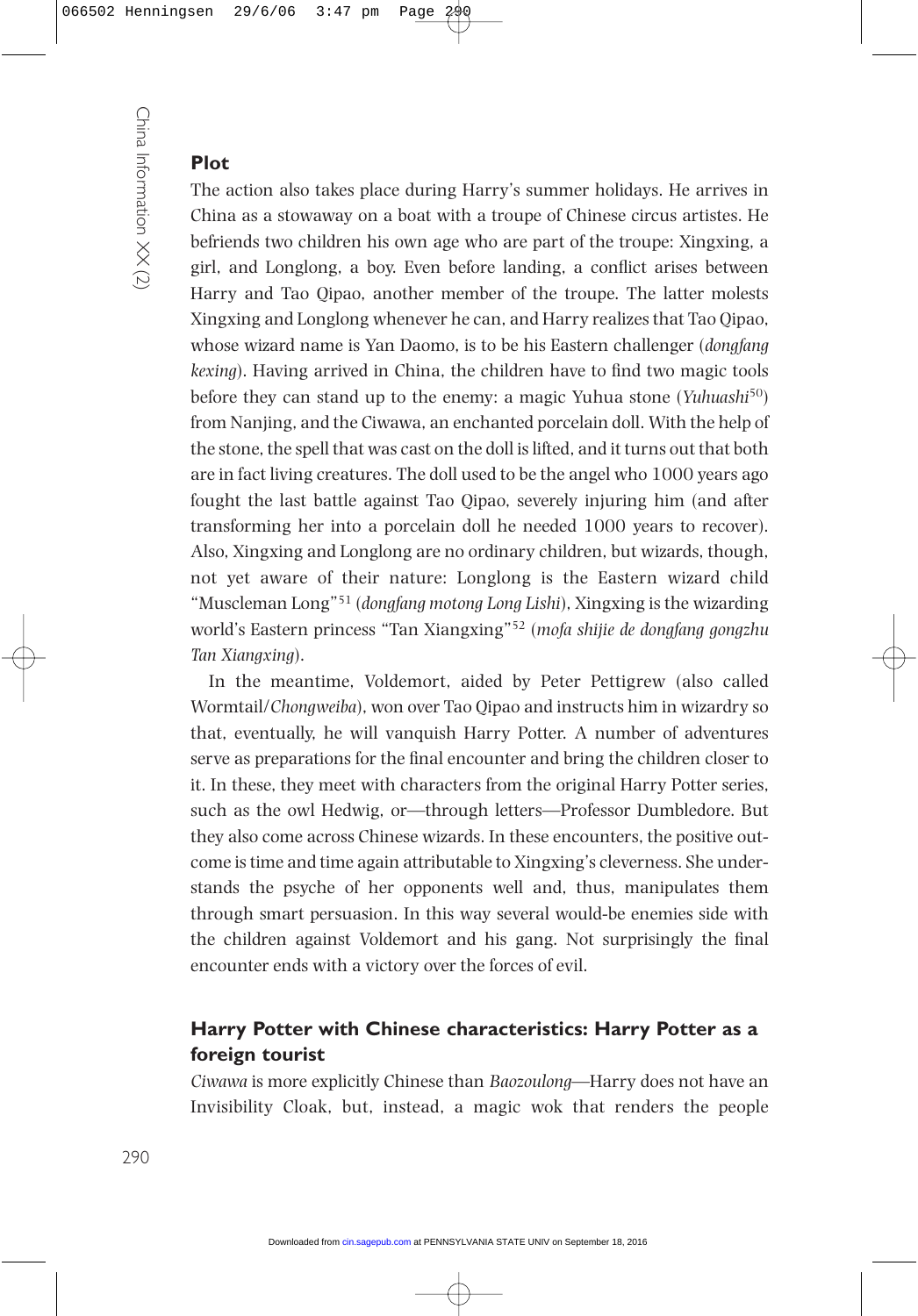# China Information XX

 $\odot$ 

# **Plot**

The action also takes place during Harry's summer holidays. He arrives in China as a stowaway on a boat with a troupe of Chinese circus artistes. He befriends two children his own age who are part of the troupe: Xingxing, a girl, and Longlong, a boy. Even before landing, a conflict arises between Harry and Tao Qipao, another member of the troupe. The latter molests Xingxing and Longlong whenever he can, and Harry realizes that Tao Qipao, whose wizard name is Yan Daomo, is to be his Eastern challenger (*dongfang kexing*). Having arrived in China, the children have to find two magic tools before they can stand up to the enemy: a magic Yuhua stone (*Yuhuashi*50) from Nanjing, and the Ciwawa, an enchanted porcelain doll. With the help of the stone, the spell that was cast on the doll is lifted, and it turns out that both are in fact living creatures. The doll used to be the angel who 1000 years ago fought the last battle against Tao Qipao, severely injuring him (and after transforming her into a porcelain doll he needed 1000 years to recover). Also, Xingxing and Longlong are no ordinary children, but wizards, though, not yet aware of their nature: Longlong is the Eastern wizard child "Muscleman Long"51 (*dongfang motong Long Lishi*), Xingxing is the wizarding world's Eastern princess "Tan Xiangxing"52 (*mofa shijie de dongfang gongzhu Tan Xiangxing*).

In the meantime, Voldemort, aided by Peter Pettigrew (also called Wormtail/*Chongweiba*), won over Tao Qipao and instructs him in wizardry so that, eventually, he will vanquish Harry Potter. A number of adventures serve as preparations for the final encounter and bring the children closer to it. In these, they meet with characters from the original Harry Potter series, such as the owl Hedwig, or—through letters—Professor Dumbledore. But they also come across Chinese wizards. In these encounters, the positive outcome is time and time again attributable to Xingxing's cleverness. She understands the psyche of her opponents well and, thus, manipulates them through smart persuasion. In this way several would-be enemies side with the children against Voldemort and his gang. Not surprisingly the final encounter ends with a victory over the forces of evil.

# **Harry Potter with Chinese characteristics: Harry Potter as a foreign tourist**

*Ciwawa* is more explicitly Chinese than *Baozoulong*—Harry does not have an Invisibility Cloak, but, instead, a magic wok that renders the people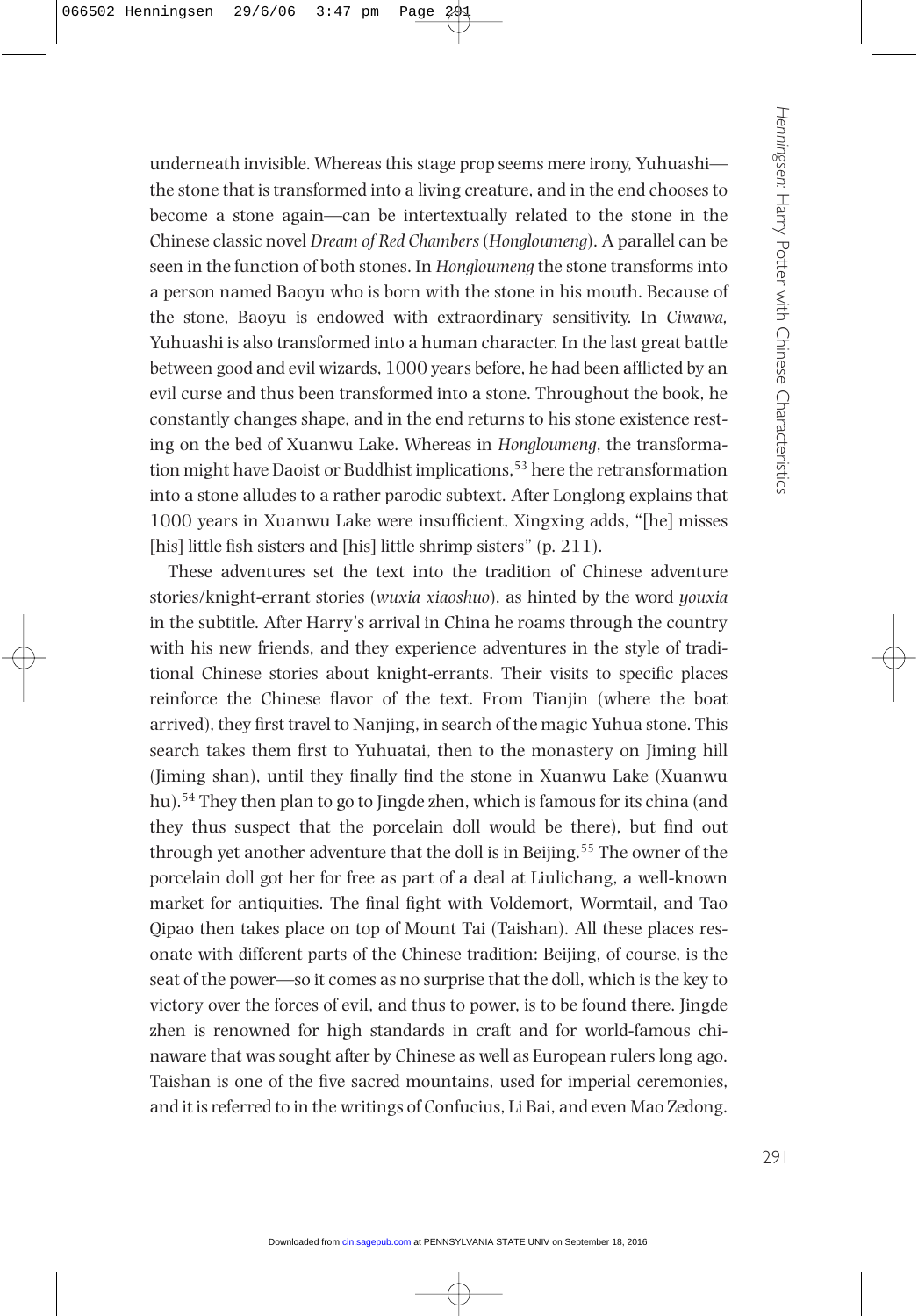underneath invisible. Whereas this stage prop seems mere irony, Yuhuashi the stone that is transformed into a living creature, and in the end chooses to become a stone again—can be intertextually related to the stone in the Chinese classic novel *Dream of Red Chambers* (*Hongloumeng*). A parallel can be seen in the function of both stones. In *Hongloumeng* the stone transforms into a person named Baoyu who is born with the stone in his mouth. Because of the stone, Baoyu is endowed with extraordinary sensitivity. In *Ciwawa,* Yuhuashi is also transformed into a human character. In the last great battle between good and evil wizards, 1000 years before, he had been afflicted by an evil curse and thus been transformed into a stone. Throughout the book, he constantly changes shape, and in the end returns to his stone existence resting on the bed of Xuanwu Lake. Whereas in *Hongloumeng*, the transformation might have Daoist or Buddhist implications,<sup>53</sup> here the retransformation into a stone alludes to a rather parodic subtext. After Longlong explains that 1000 years in Xuanwu Lake were insufficient, Xingxing adds, "[he] misses [his] little fish sisters and [his] little shrimp sisters" (p. 211).

These adventures set the text into the tradition of Chinese adventure stories/knight-errant stories (*wuxia xiaoshuo*), as hinted by the word *youxia* in the subtitle. After Harry's arrival in China he roams through the country with his new friends, and they experience adventures in the style of traditional Chinese stories about knight-errants. Their visits to specific places reinforce the Chinese flavor of the text. From Tianjin (where the boat arrived), they first travel to Nanjing, in search of the magic Yuhua stone. This search takes them first to Yuhuatai, then to the monastery on Jiming hill (Jiming shan), until they finally find the stone in Xuanwu Lake (Xuanwu hu).<sup>54</sup> They then plan to go to Jingde zhen, which is famous for its china (and they thus suspect that the porcelain doll would be there), but find out through yet another adventure that the doll is in Beijing.<sup>55</sup> The owner of the porcelain doll got her for free as part of a deal at Liulichang, a well-known market for antiquities. The final fight with Voldemort, Wormtail, and Tao Qipao then takes place on top of Mount Tai (Taishan). All these places resonate with different parts of the Chinese tradition: Beijing, of course, is the seat of the power—so it comes as no surprise that the doll, which is the key to victory over the forces of evil, and thus to power, is to be found there. Jingde zhen is renowned for high standards in craft and for world-famous chinaware that was sought after by Chinese as well as European rulers long ago. Taishan is one of the five sacred mountains, used for imperial ceremonies, and it is referred to in the writings of Confucius, Li Bai, and even Mao Zedong.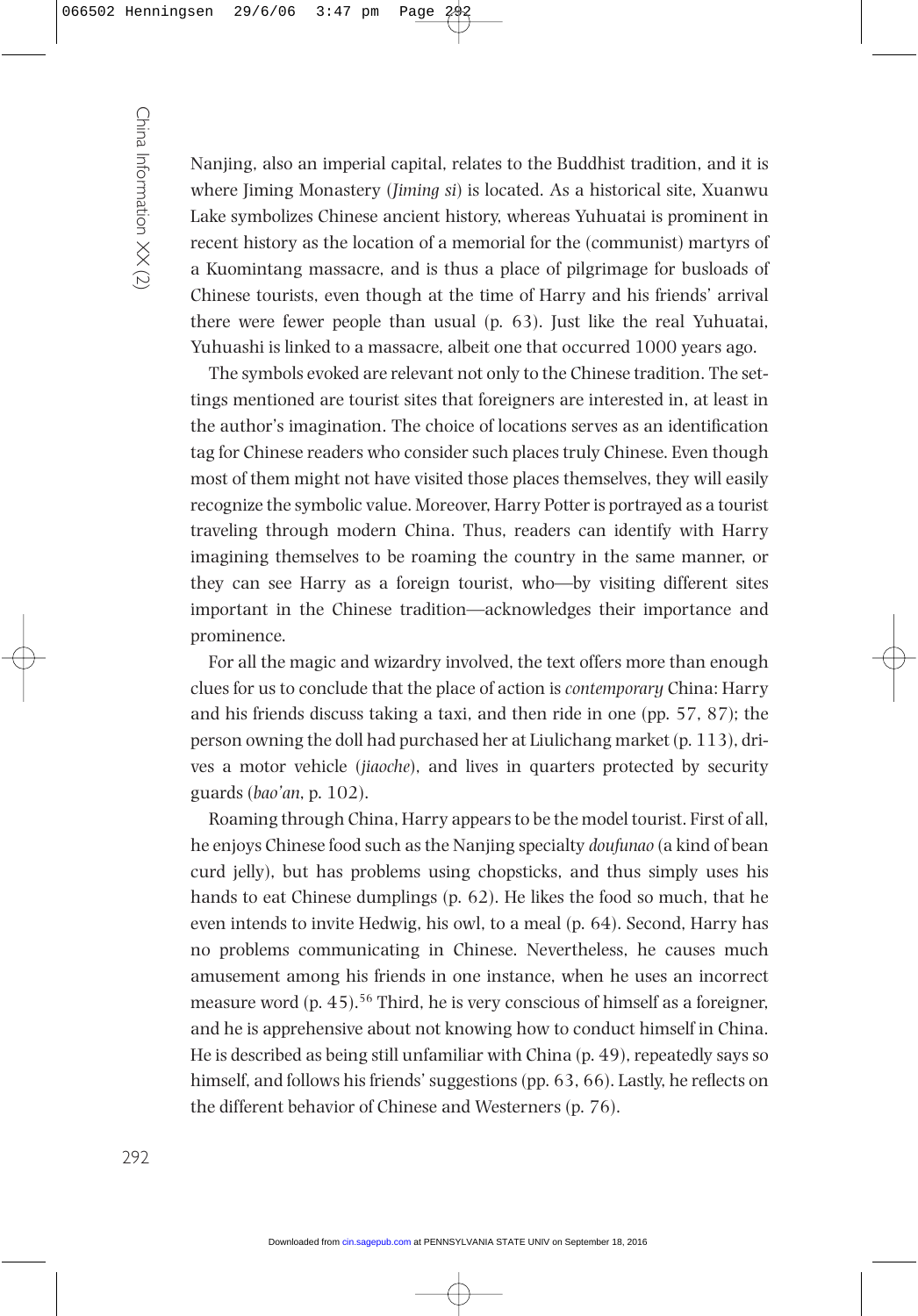Nanjing, also an imperial capital, relates to the Buddhist tradition, and it is where Jiming Monastery (*Jiming si*) is located. As a historical site, Xuanwu Lake symbolizes Chinese ancient history, whereas Yuhuatai is prominent in recent history as the location of a memorial for the (communist) martyrs of a Kuomintang massacre, and is thus a place of pilgrimage for busloads of Chinese tourists, even though at the time of Harry and his friends' arrival there were fewer people than usual (p. 63). Just like the real Yuhuatai, Yuhuashi is linked to a massacre, albeit one that occurred 1000 years ago.

The symbols evoked are relevant not only to the Chinese tradition. The settings mentioned are tourist sites that foreigners are interested in, at least in the author's imagination. The choice of locations serves as an identification tag for Chinese readers who consider such places truly Chinese. Even though most of them might not have visited those places themselves, they will easily recognize the symbolic value. Moreover, Harry Potter is portrayed as a tourist traveling through modern China. Thus, readers can identify with Harry imagining themselves to be roaming the country in the same manner, or they can see Harry as a foreign tourist, who—by visiting different sites important in the Chinese tradition—acknowledges their importance and prominence.

For all the magic and wizardry involved, the text offers more than enough clues for us to conclude that the place of action is *contemporary* China: Harry and his friends discuss taking a taxi, and then ride in one (pp. 57, 87); the person owning the doll had purchased her at Liulichang market (p. 113), drives a motor vehicle (*jiaoche*), and lives in quarters protected by security guards (*bao'an*, p. 102).

Roaming through China, Harry appears to be the model tourist. First of all, he enjoys Chinese food such as the Nanjing specialty *doufunao* (a kind of bean curd jelly), but has problems using chopsticks, and thus simply uses his hands to eat Chinese dumplings (p. 62). He likes the food so much, that he even intends to invite Hedwig, his owl, to a meal (p. 64). Second, Harry has no problems communicating in Chinese. Nevertheless, he causes much amusement among his friends in one instance, when he uses an incorrect measure word (p. 45).<sup>56</sup> Third, he is very conscious of himself as a foreigner, and he is apprehensive about not knowing how to conduct himself in China. He is described as being still unfamiliar with China (p. 49), repeatedly says so himself, and follows his friends' suggestions (pp. 63, 66). Lastly, he reflects on the different behavior of Chinese and Westerners (p. 76).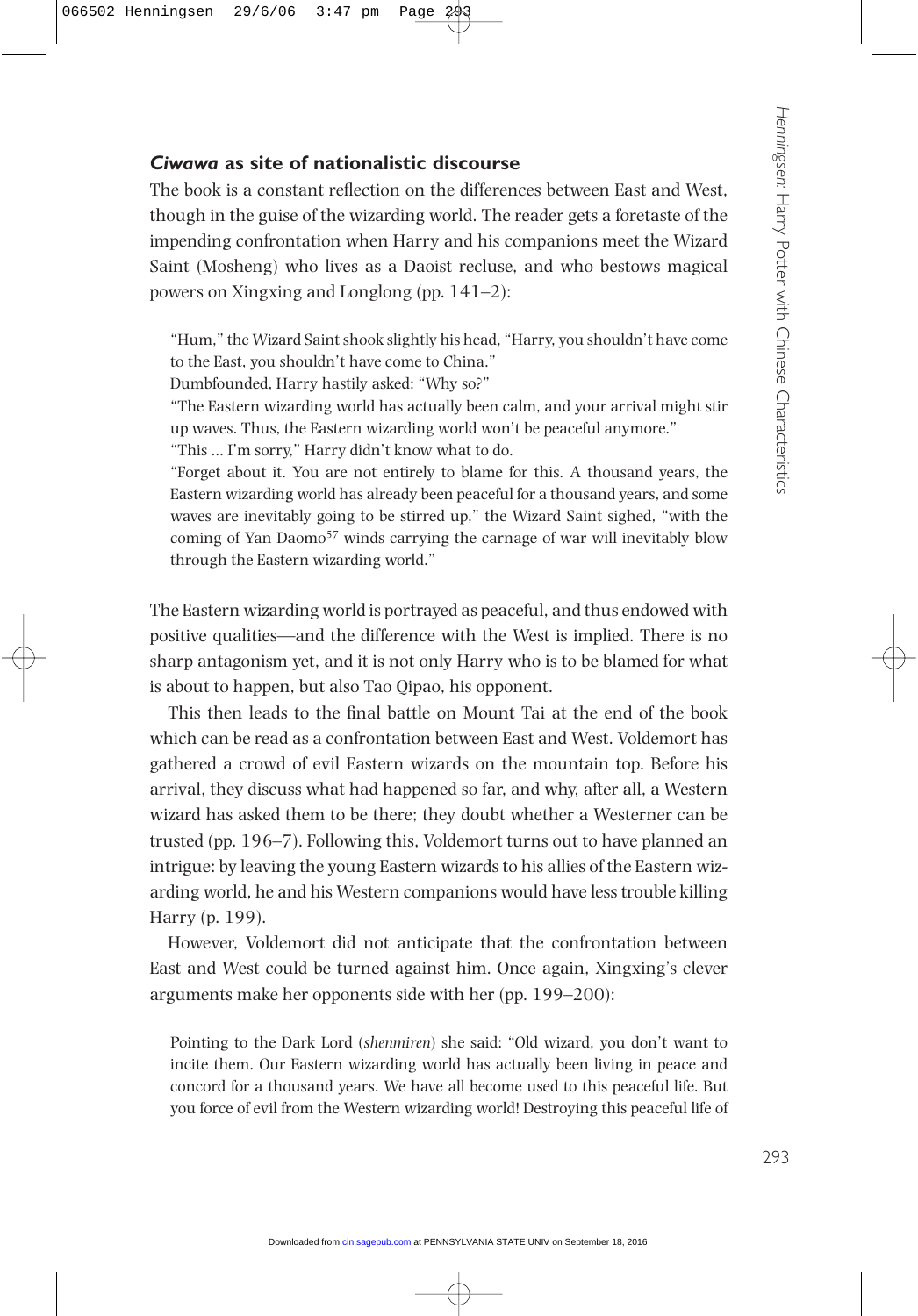### *Ciwawa* **as site of nationalistic discourse**

The book is a constant reflection on the differences between East and West, though in the guise of the wizarding world. The reader gets a foretaste of the impending confrontation when Harry and his companions meet the Wizard Saint (Mosheng) who lives as a Daoist recluse, and who bestows magical powers on Xingxing and Longlong (pp. 141–2):

"Hum," the Wizard Saint shook slightly his head, "Harry, you shouldn't have come to the East, you shouldn't have come to China."

Dumbfounded, Harry hastily asked: "Why so?"

"The Eastern wizarding world has actually been calm, and your arrival might stir up waves. Thus, the Eastern wizarding world won't be peaceful anymore."

"This … I'm sorry," Harry didn't know what to do.

"Forget about it. You are not entirely to blame for this. A thousand years, the Eastern wizarding world has already been peaceful for a thousand years, and some waves are inevitably going to be stirred up," the Wizard Saint sighed, "with the coming of Yan Daomo<sup>57</sup> winds carrying the carnage of war will inevitably blow through the Eastern wizarding world."

The Eastern wizarding world is portrayed as peaceful, and thus endowed with positive qualities—and the difference with the West is implied. There is no sharp antagonism yet, and it is not only Harry who is to be blamed for what is about to happen, but also Tao Qipao, his opponent.

This then leads to the final battle on Mount Tai at the end of the book which can be read as a confrontation between East and West. Voldemort has gathered a crowd of evil Eastern wizards on the mountain top. Before his arrival, they discuss what had happened so far, and why, after all, a Western wizard has asked them to be there; they doubt whether a Westerner can be trusted (pp. 196–7). Following this, Voldemort turns out to have planned an intrigue: by leaving the young Eastern wizards to his allies of the Eastern wizarding world, he and his Western companions would have less trouble killing Harry (p. 199).

However, Voldemort did not anticipate that the confrontation between East and West could be turned against him. Once again, Xingxing's clever arguments make her opponents side with her (pp. 199–200):

Pointing to the Dark Lord (*shenmiren*) she said: "Old wizard, you don't want to incite them. Our Eastern wizarding world has actually been living in peace and concord for a thousand years. We have all become used to this peaceful life. But you force of evil from the Western wizarding world! Destroying this peaceful life of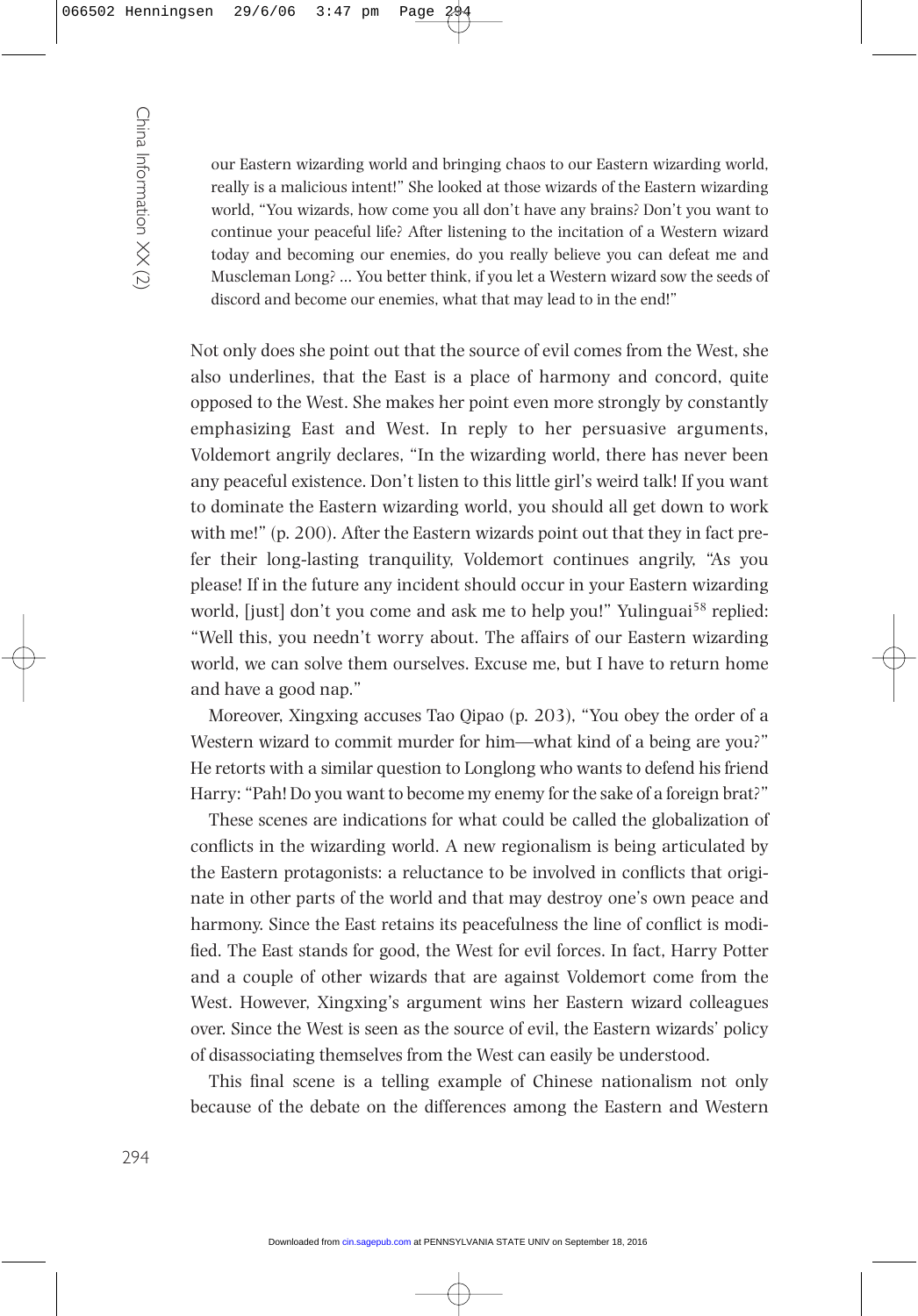our Eastern wizarding world and bringing chaos to our Eastern wizarding world, really is a malicious intent!" She looked at those wizards of the Eastern wizarding world, "You wizards, how come you all don't have any brains? Don't you want to continue your peaceful life? After listening to the incitation of a Western wizard today and becoming our enemies, do you really believe you can defeat me and Muscleman Long? … You better think, if you let a Western wizard sow the seeds of discord and become our enemies, what that may lead to in the end!"

Not only does she point out that the source of evil comes from the West, she also underlines, that the East is a place of harmony and concord, quite opposed to the West. She makes her point even more strongly by constantly emphasizing East and West. In reply to her persuasive arguments, Voldemort angrily declares, "In the wizarding world, there has never been any peaceful existence. Don't listen to this little girl's weird talk! If you want to dominate the Eastern wizarding world, you should all get down to work with me!" (p. 200). After the Eastern wizards point out that they in fact prefer their long-lasting tranquility, Voldemort continues angrily, "As you please! If in the future any incident should occur in your Eastern wizarding world, [just] don't you come and ask me to help you!" Yulinguai<sup>58</sup> replied: "Well this, you needn't worry about. The affairs of our Eastern wizarding world, we can solve them ourselves. Excuse me, but I have to return home and have a good nap."

Moreover, Xingxing accuses Tao Qipao (p. 203), "You obey the order of a Western wizard to commit murder for him—what kind of a being are you?" He retorts with a similar question to Longlong who wants to defend his friend Harry: "Pah! Do you want to become my enemy for the sake of a foreign brat?"

These scenes are indications for what could be called the globalization of conflicts in the wizarding world. A new regionalism is being articulated by the Eastern protagonists: a reluctance to be involved in conflicts that originate in other parts of the world and that may destroy one's own peace and harmony. Since the East retains its peacefulness the line of conflict is modified. The East stands for good, the West for evil forces. In fact, Harry Potter and a couple of other wizards that are against Voldemort come from the West. However, Xingxing's argument wins her Eastern wizard colleagues over. Since the West is seen as the source of evil, the Eastern wizards' policy of disassociating themselves from the West can easily be understood.

This final scene is a telling example of Chinese nationalism not only because of the debate on the differences among the Eastern and Western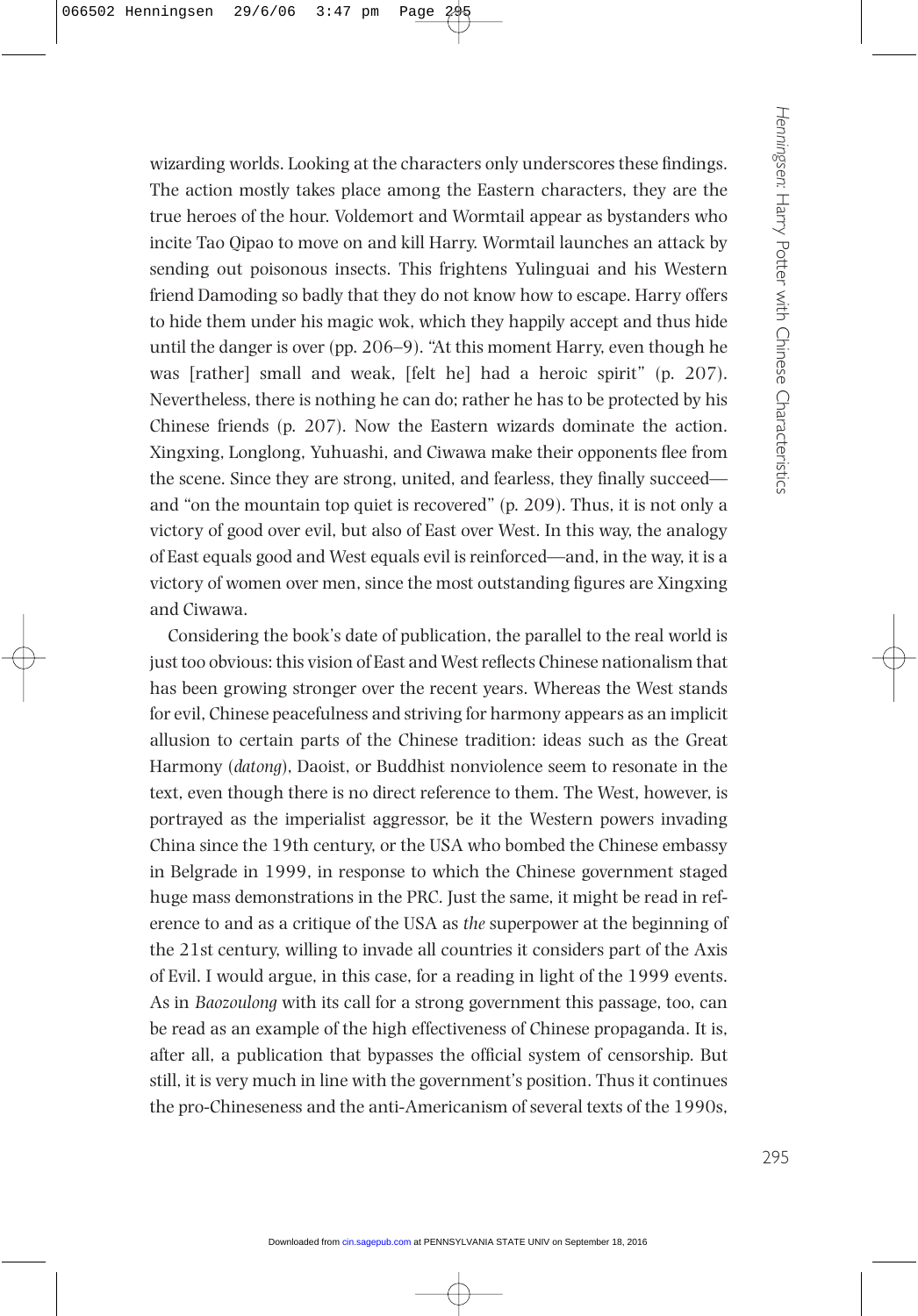wizarding worlds. Looking at the characters only underscores these findings. The action mostly takes place among the Eastern characters, they are the true heroes of the hour. Voldemort and Wormtail appear as bystanders who incite Tao Qipao to move on and kill Harry. Wormtail launches an attack by sending out poisonous insects. This frightens Yulinguai and his Western friend Damoding so badly that they do not know how to escape. Harry offers to hide them under his magic wok, which they happily accept and thus hide until the danger is over (pp. 206–9). "At this moment Harry, even though he was [rather] small and weak, [felt he] had a heroic spirit" (p. 207). Nevertheless, there is nothing he can do; rather he has to be protected by his Chinese friends (p. 207). Now the Eastern wizards dominate the action. Xingxing, Longlong, Yuhuashi, and Ciwawa make their opponents flee from the scene. Since they are strong, united, and fearless, they finally succeed and "on the mountain top quiet is recovered" (p. 209). Thus, it is not only a victory of good over evil, but also of East over West. In this way, the analogy of East equals good and West equals evil is reinforced—and, in the way, it is a victory of women over men, since the most outstanding figures are Xingxing and Ciwawa.

Considering the book's date of publication, the parallel to the real world is just too obvious: this vision of East and West reflects Chinese nationalism that has been growing stronger over the recent years. Whereas the West stands for evil, Chinese peacefulness and striving for harmony appears as an implicit allusion to certain parts of the Chinese tradition: ideas such as the Great Harmony (*datong*), Daoist, or Buddhist nonviolence seem to resonate in the text, even though there is no direct reference to them. The West, however, is portrayed as the imperialist aggressor, be it the Western powers invading China since the 19th century, or the USA who bombed the Chinese embassy in Belgrade in 1999, in response to which the Chinese government staged huge mass demonstrations in the PRC. Just the same, it might be read in reference to and as a critique of the USA as *the* superpower at the beginning of the 21st century, willing to invade all countries it considers part of the Axis of Evil. I would argue, in this case, for a reading in light of the 1999 events. As in *Baozoulong* with its call for a strong government this passage, too, can be read as an example of the high effectiveness of Chinese propaganda. It is, after all, a publication that bypasses the official system of censorship. But still, it is very much in line with the government's position. Thus it continues the pro-Chineseness and the anti-Americanism of several texts of the 1990s,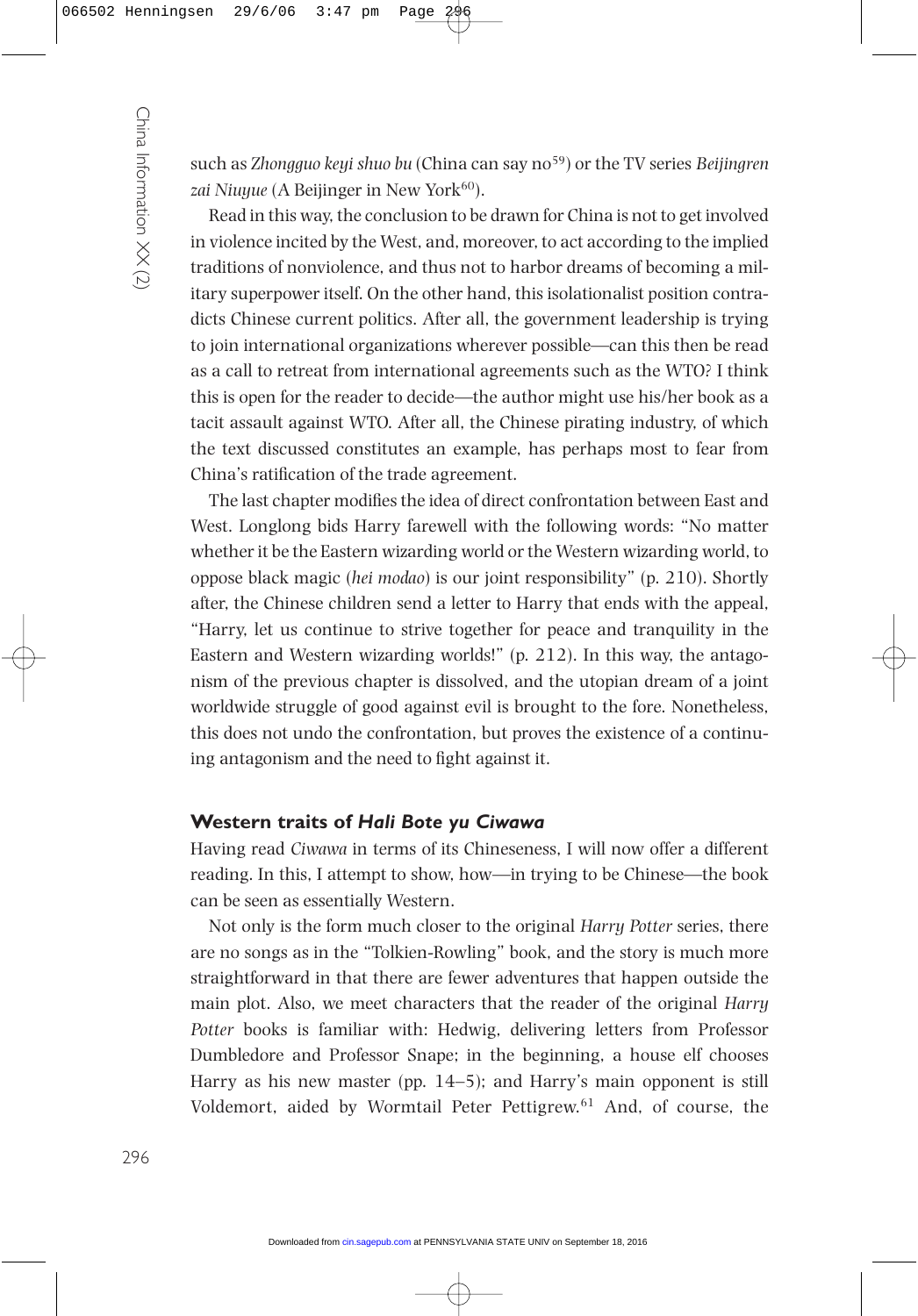such as *Zhongguo keyi shuo bu* (China can say no59) or the TV series *Beijingren* zai Niuyue (A Beijinger in New York<sup>60</sup>).

Read in this way, the conclusion to be drawn for China is not to get involved in violence incited by the West, and, moreover, to act according to the implied traditions of nonviolence, and thus not to harbor dreams of becoming a military superpower itself. On the other hand, this isolationalist position contradicts Chinese current politics. After all, the government leadership is trying to join international organizations wherever possible—can this then be read as a call to retreat from international agreements such as the WTO? I think this is open for the reader to decide—the author might use his/her book as a tacit assault against WTO. After all, the Chinese pirating industry, of which the text discussed constitutes an example, has perhaps most to fear from China's ratification of the trade agreement.

The last chapter modifies the idea of direct confrontation between East and West. Longlong bids Harry farewell with the following words: "No matter whether it be the Eastern wizarding world or the Western wizarding world, to oppose black magic (*hei modao*) is our joint responsibility" (p. 210). Shortly after, the Chinese children send a letter to Harry that ends with the appeal, "Harry, let us continue to strive together for peace and tranquility in the Eastern and Western wizarding worlds!" (p. 212). In this way, the antagonism of the previous chapter is dissolved, and the utopian dream of a joint worldwide struggle of good against evil is brought to the fore. Nonetheless, this does not undo the confrontation, but proves the existence of a continuing antagonism and the need to fight against it.

### **Western traits of** *Hali Bote yu Ciwawa*

Having read *Ciwawa* in terms of its Chineseness, I will now offer a different reading. In this, I attempt to show, how—in trying to be Chinese—the book can be seen as essentially Western.

Not only is the form much closer to the original *Harry Potter* series, there are no songs as in the "Tolkien-Rowling" book, and the story is much more straightforward in that there are fewer adventures that happen outside the main plot. Also, we meet characters that the reader of the original *Harry Potter* books is familiar with: Hedwig, delivering letters from Professor Dumbledore and Professor Snape; in the beginning, a house elf chooses Harry as his new master (pp. 14–5); and Harry's main opponent is still Voldemort, aided by Wormtail Peter Pettigrew.<sup>61</sup> And, of course, the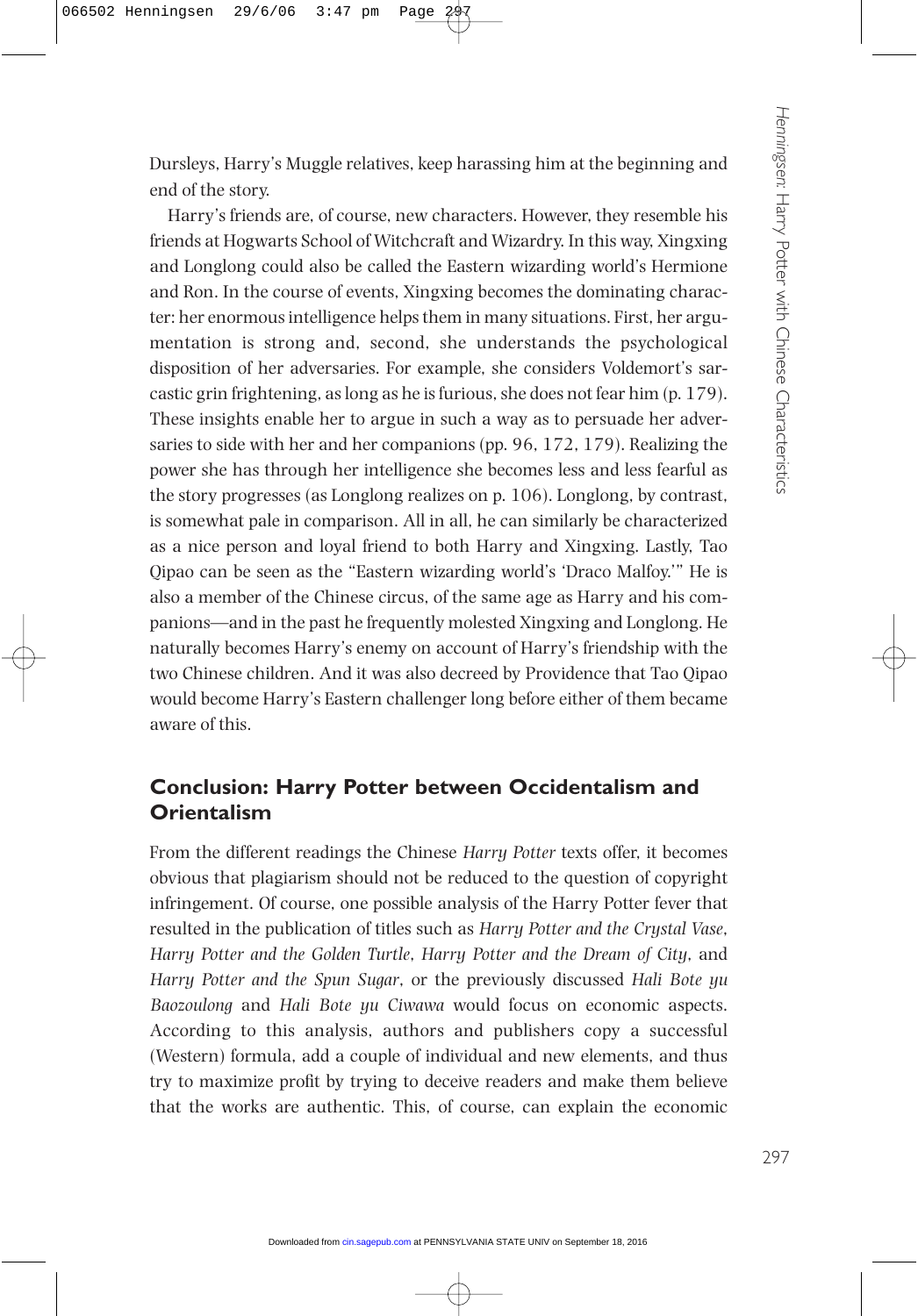Dursleys, Harry's Muggle relatives, keep harassing him at the beginning and end of the story.

Harry's friends are, of course, new characters. However, they resemble his friends at Hogwarts School of Witchcraft and Wizardry. In this way, Xingxing and Longlong could also be called the Eastern wizarding world's Hermione and Ron. In the course of events, Xingxing becomes the dominating character: her enormous intelligence helps them in many situations. First, her argumentation is strong and, second, she understands the psychological disposition of her adversaries. For example, she considers Voldemort's sarcastic grin frightening, as long as he is furious, she does not fear him (p. 179). These insights enable her to argue in such a way as to persuade her adversaries to side with her and her companions (pp. 96, 172, 179). Realizing the power she has through her intelligence she becomes less and less fearful as the story progresses (as Longlong realizes on p. 106). Longlong, by contrast, is somewhat pale in comparison. All in all, he can similarly be characterized as a nice person and loyal friend to both Harry and Xingxing. Lastly, Tao Qipao can be seen as the "Eastern wizarding world's 'Draco Malfoy.'" He is also a member of the Chinese circus, of the same age as Harry and his companions—and in the past he frequently molested Xingxing and Longlong. He naturally becomes Harry's enemy on account of Harry's friendship with the two Chinese children. And it was also decreed by Providence that Tao Qipao would become Harry's Eastern challenger long before either of them became aware of this.

# **Conclusion: Harry Potter between Occidentalism and Orientalism**

From the different readings the Chinese *Harry Potter* texts offer, it becomes obvious that plagiarism should not be reduced to the question of copyright infringement. Of course, one possible analysis of the Harry Potter fever that resulted in the publication of titles such as *Harry Potter and the Crystal Vase*, *Harry Potter and the Golden Turtle*, *Harry Potter and the Dream of City*, and *Harry Potter and the Spun Sugar*, or the previously discussed *Hali Bote yu Baozoulong* and *Hali Bote yu Ciwawa* would focus on economic aspects. According to this analysis, authors and publishers copy a successful (Western) formula, add a couple of individual and new elements, and thus try to maximize profit by trying to deceive readers and make them believe that the works are authentic. This, of course, can explain the economic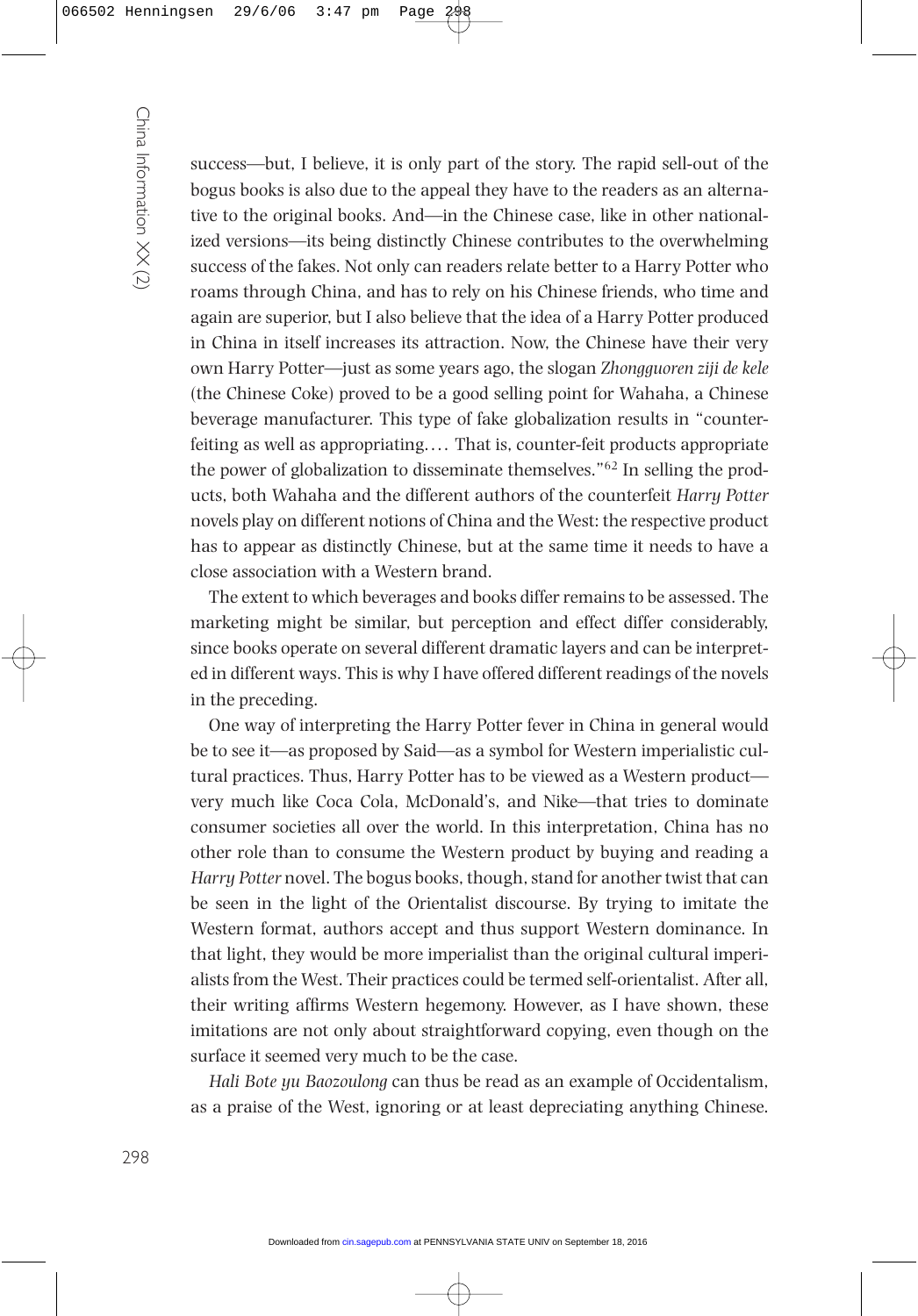success—but, I believe, it is only part of the story. The rapid sell-out of the bogus books is also due to the appeal they have to the readers as an alternative to the original books. And—in the Chinese case, like in other nationalized versions—its being distinctly Chinese contributes to the overwhelming success of the fakes. Not only can readers relate better to a Harry Potter who roams through China, and has to rely on his Chinese friends, who time and again are superior, but I also believe that the idea of a Harry Potter produced in China in itself increases its attraction. Now, the Chinese have their very own Harry Potter—just as some years ago, the slogan *Zhongguoren ziji de kele* (the Chinese Coke) proved to be a good selling point for Wahaha, a Chinese beverage manufacturer. This type of fake globalization results in "counterfeiting as well as appropriating.... That is, counter-feit products appropriate the power of globalization to disseminate themselves."62 In selling the products, both Wahaha and the different authors of the counterfeit *Harry Potter* novels play on different notions of China and the West: the respective product has to appear as distinctly Chinese, but at the same time it needs to have a close association with a Western brand.

The extent to which beverages and books differ remains to be assessed. The marketing might be similar, but perception and effect differ considerably, since books operate on several different dramatic layers and can be interpreted in different ways. This is why I have offered different readings of the novels in the preceding.

One way of interpreting the Harry Potter fever in China in general would be to see it—as proposed by Said—as a symbol for Western imperialistic cultural practices. Thus, Harry Potter has to be viewed as a Western product very much like Coca Cola, McDonald's, and Nike—that tries to dominate consumer societies all over the world. In this interpretation, China has no other role than to consume the Western product by buying and reading a *Harry Potter* novel. The bogus books, though, stand for another twist that can be seen in the light of the Orientalist discourse. By trying to imitate the Western format, authors accept and thus support Western dominance. In that light, they would be more imperialist than the original cultural imperialists from the West. Their practices could be termed self-orientalist. After all, their writing affirms Western hegemony. However, as I have shown, these imitations are not only about straightforward copying, even though on the surface it seemed very much to be the case.

*Hali Bote yu Baozoulong* can thus be read as an example of Occidentalism, as a praise of the West, ignoring or at least depreciating anything Chinese.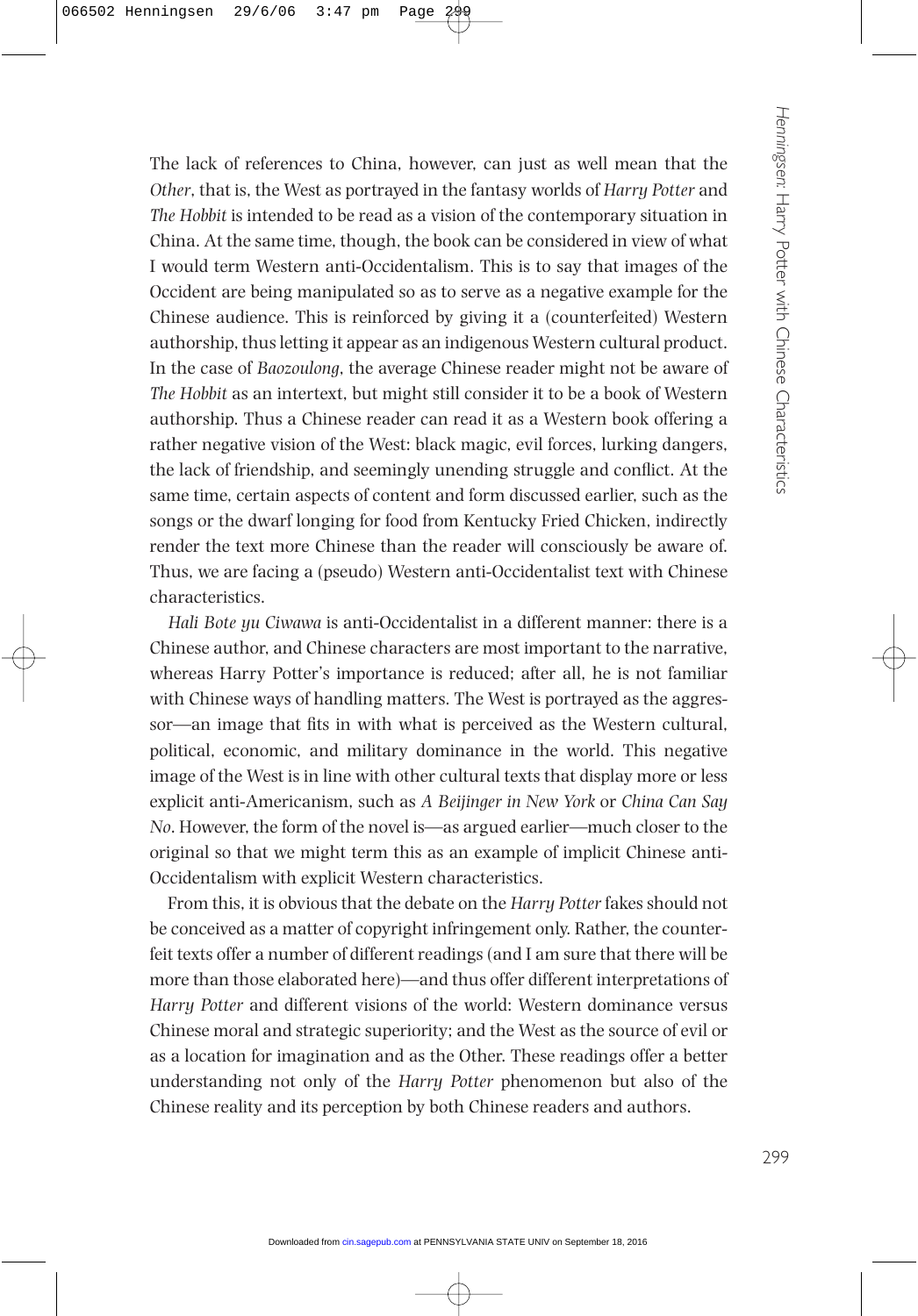The lack of references to China, however, can just as well mean that the *Other*, that is, the West as portrayed in the fantasy worlds of *Harry Potter* and *The Hobbit* is intended to be read as a vision of the contemporary situation in China. At the same time, though, the book can be considered in view of what I would term Western anti-Occidentalism. This is to say that images of the Occident are being manipulated so as to serve as a negative example for the Chinese audience. This is reinforced by giving it a (counterfeited) Western authorship, thus letting it appear as an indigenous Western cultural product. In the case of *Baozoulong*, the average Chinese reader might not be aware of *The Hobbit* as an intertext, but might still consider it to be a book of Western authorship. Thus a Chinese reader can read it as a Western book offering a rather negative vision of the West: black magic, evil forces, lurking dangers, the lack of friendship, and seemingly unending struggle and conflict. At the same time, certain aspects of content and form discussed earlier, such as the songs or the dwarf longing for food from Kentucky Fried Chicken, indirectly render the text more Chinese than the reader will consciously be aware of. Thus, we are facing a (pseudo) Western anti-Occidentalist text with Chinese characteristics.

*Hali Bote yu Ciwawa* is anti-Occidentalist in a different manner: there is a Chinese author, and Chinese characters are most important to the narrative, whereas Harry Potter's importance is reduced; after all, he is not familiar with Chinese ways of handling matters. The West is portrayed as the aggressor—an image that fits in with what is perceived as the Western cultural, political, economic, and military dominance in the world. This negative image of the West is in line with other cultural texts that display more or less explicit anti-Americanism, such as *A Beijinger in New York* or *China Can Say No*. However, the form of the novel is—as argued earlier—much closer to the original so that we might term this as an example of implicit Chinese anti-Occidentalism with explicit Western characteristics.

From this, it is obvious that the debate on the *Harry Potter* fakes should not be conceived as a matter of copyright infringement only. Rather, the counterfeit texts offer a number of different readings (and I am sure that there will be more than those elaborated here)—and thus offer different interpretations of *Harry Potter* and different visions of the world: Western dominance versus Chinese moral and strategic superiority; and the West as the source of evil or as a location for imagination and as the Other. These readings offer a better understanding not only of the *Harry Potter* phenomenon but also of the Chinese reality and its perception by both Chinese readers and authors.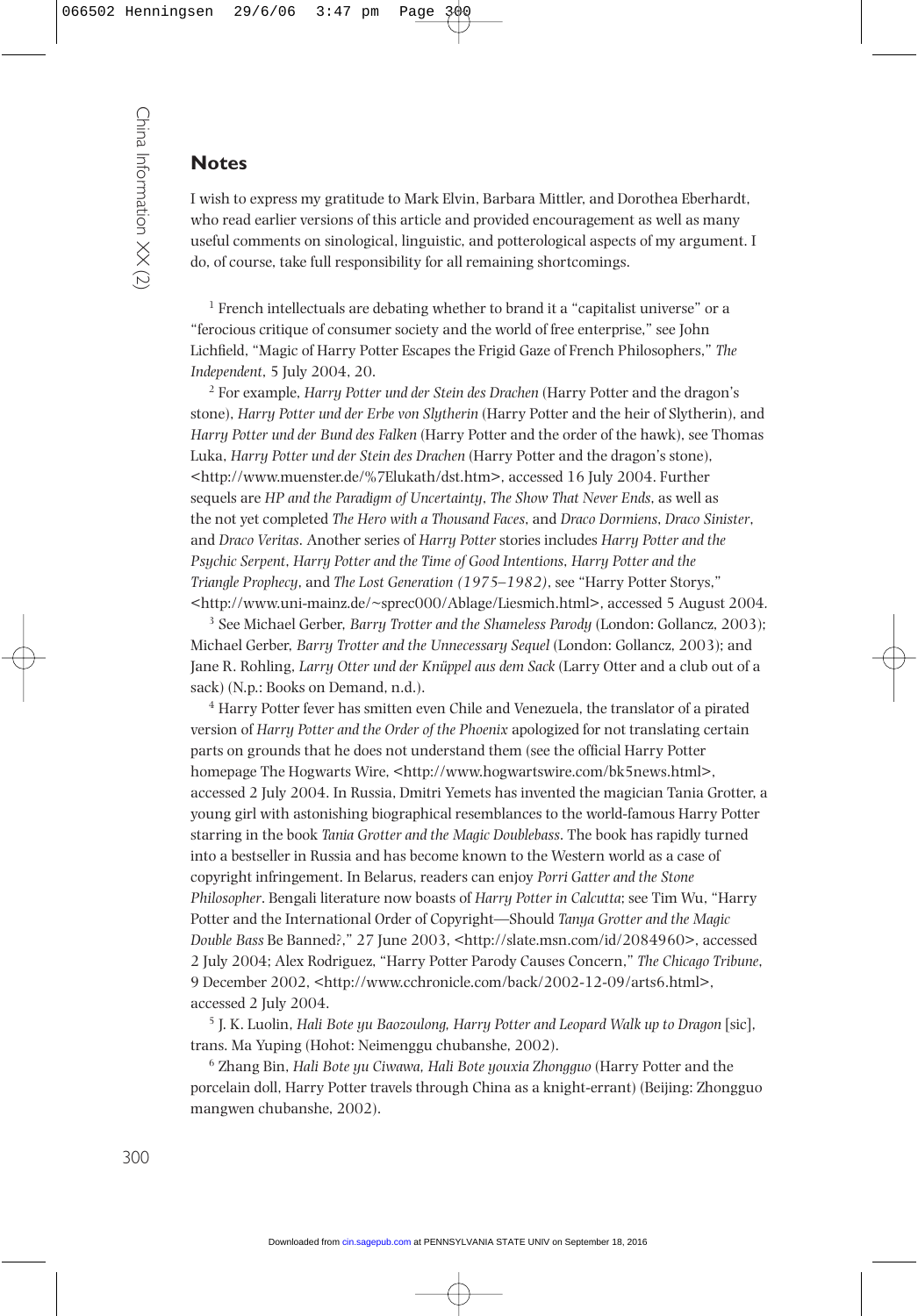## **Notes**

I wish to express my gratitude to Mark Elvin, Barbara Mittler, and Dorothea Eberhardt, who read earlier versions of this article and provided encouragement as well as many useful comments on sinological, linguistic, and potterological aspects of my argument. I do, of course, take full responsibility for all remaining shortcomings.

<sup>1</sup> French intellectuals are debating whether to brand it a "capitalist universe" or a "ferocious critique of consumer society and the world of free enterprise," see John Lichfield, "Magic of Harry Potter Escapes the Frigid Gaze of French Philosophers," *The Independent*, 5 July 2004, 20.

<sup>2</sup> For example, *Harry Potter und der Stein des Drachen* (Harry Potter and the dragon's stone), *Harry Potter und der Erbe von Slytherin* (Harry Potter and the heir of Slytherin), and *Harry Potter und der Bund des Falken* (Harry Potter and the order of the hawk), see Thomas Luka, *Harry Potter und der Stein des Drachen* (Harry Potter and the dragon's stone), <http://www.muenster.de/%7Elukath/dst.htm>, accessed 16 July 2004. Further sequels are *HP and the Paradigm of Uncertainty*, *The Show That Never Ends*, as well as the not yet completed *The Hero with a Thousand Faces*, and *Draco Dormiens*, *Draco Sinister*, and *Draco Veritas*. Another series of *Harry Potter* stories includes *Harry Potter and the Psychic Serpent*, *Harry Potter and the Time of Good Intentions*, *Harry Potter and the Triangle Prophecy*, and *The Lost Generation (1975–1982)*, see "Harry Potter Storys," <http://www.uni-mainz.de/~sprec000/Ablage/Liesmich.html>, accessed 5 August 2004*.*

<sup>3</sup> See Michael Gerber, *Barry Trotter and the Shameless Parody* (London: Gollancz, 2003); Michael Gerber, *Barry Trotter and the Unnecessary Sequel* (London: Gollancz, 2003); and Jane R. Rohling, *Larry Otter und der Knüppel aus dem Sack* (Larry Otter and a club out of a sack) (N.p.: Books on Demand, n.d.).

<sup>4</sup> Harry Potter fever has smitten even Chile and Venezuela, the translator of a pirated version of *Harry Potter and the Order of the Phoenix* apologized for not translating certain parts on grounds that he does not understand them (see the official Harry Potter homepage The Hogwarts Wire, <http://www.hogwartswire.com/bk5news.html>, accessed 2 July 2004. In Russia, Dmitri Yemets has invented the magician Tania Grotter, a young girl with astonishing biographical resemblances to the world-famous Harry Potter starring in the book *Tania Grotter and the Magic Doublebass*. The book has rapidly turned into a bestseller in Russia and has become known to the Western world as a case of copyright infringement. In Belarus, readers can enjoy *Porri Gatter and the Stone Philosopher*. Bengali literature now boasts of *Harry Potter in Calcutta*; see Tim Wu, "Harry Potter and the International Order of Copyright—Should *Tanya Grotter and the Magic Double Bass* Be Banned?," 27 June 2003, <http://slate.msn.com/id/2084960>, accessed 2 July 2004; Alex Rodriguez, "Harry Potter Parody Causes Concern," *The Chicago Tribune*, 9 December 2002, <http://www.cchronicle.com/back/2002-12-09/arts6.html>, accessed 2 July 2004.

<sup>5</sup> J. K. Luolin, *Hali Bote yu Baozoulong, Harry Potter and Leopard Walk up to Dragon* [sic], trans. Ma Yuping (Hohot: Neimenggu chubanshe, 2002).

<sup>6</sup> Zhang Bin, *Hali Bote yu Ciwawa, Hali Bote youxia Zhongguo* (Harry Potter and the porcelain doll, Harry Potter travels through China as a knight-errant) (Beijing: Zhongguo mangwen chubanshe, 2002).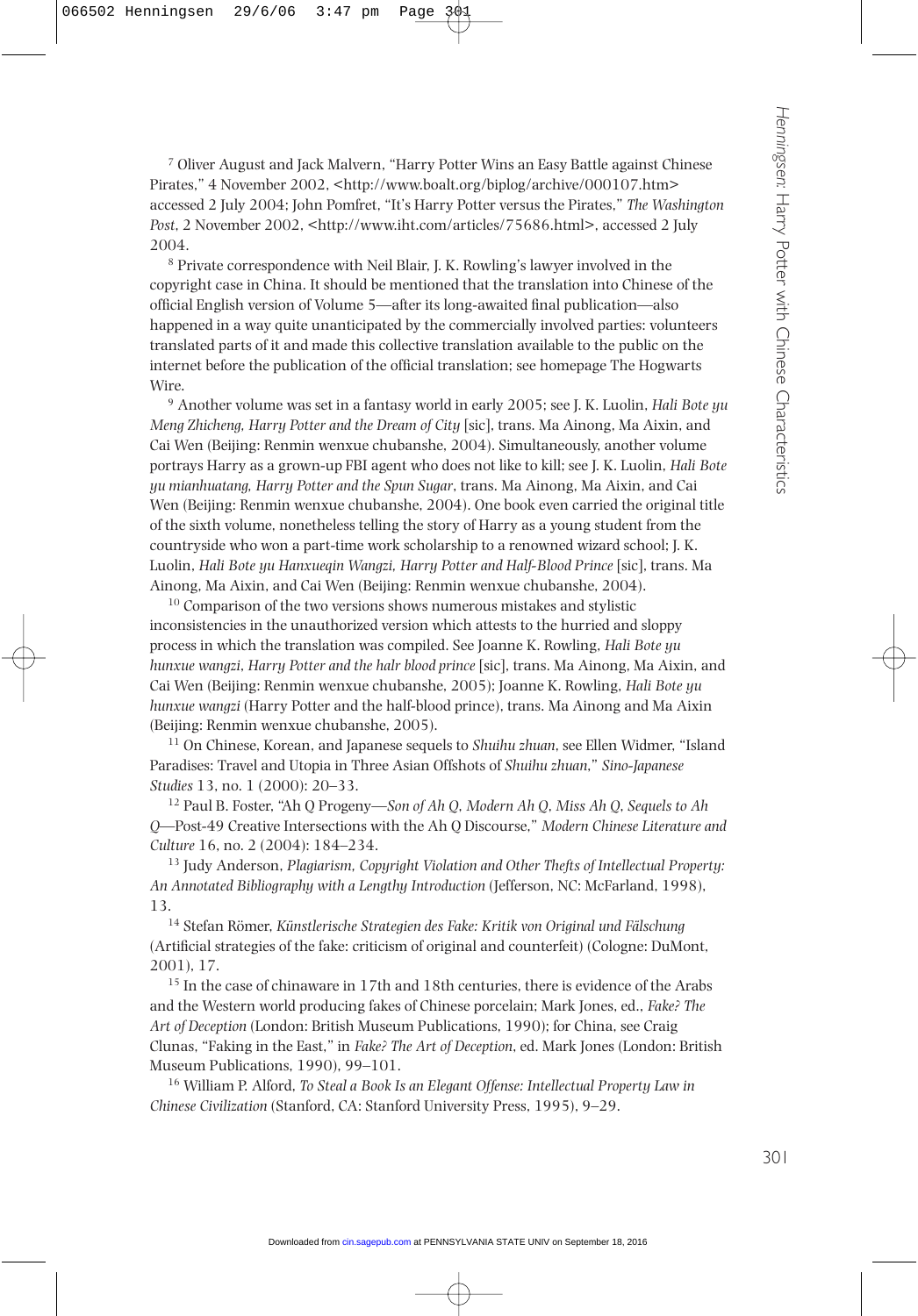<sup>7</sup> Oliver August and Jack Malvern, "Harry Potter Wins an Easy Battle against Chinese Pirates," 4 November 2002, <http://www.boalt.org/biplog/archive/000107.htm> accessed 2 July 2004; John Pomfret, "It's Harry Potter versus the Pirates," *The Washington Post*, 2 November 2002, <http://www.iht.com/articles/75686.html>, accessed 2 July 2004.

<sup>8</sup> Private correspondence with Neil Blair, J. K. Rowling's lawyer involved in the copyright case in China. It should be mentioned that the translation into Chinese of the official English version of Volume 5—after its long-awaited final publication—also happened in a way quite unanticipated by the commercially involved parties: volunteers translated parts of it and made this collective translation available to the public on the internet before the publication of the official translation; see homepage The Hogwarts Wire.

<sup>9</sup> Another volume was set in a fantasy world in early 2005; see J. K. Luolin, *Hali Bote yu Meng Zhicheng, Harry Potter and the Dream of City* [sic], trans. Ma Ainong, Ma Aixin, and Cai Wen (Beijing: Renmin wenxue chubanshe, 2004). Simultaneously, another volume portrays Harry as a grown-up FBI agent who does not like to kill; see J. K. Luolin, *Hali Bote yu mianhuatang, Harry Potter and the Spun Sugar*, trans. Ma Ainong, Ma Aixin, and Cai Wen (Beijing: Renmin wenxue chubanshe, 2004). One book even carried the original title of the sixth volume, nonetheless telling the story of Harry as a young student from the countryside who won a part-time work scholarship to a renowned wizard school; J. K. Luolin, *Hali Bote yu Hanxueqin Wangzi, Harry Potter and Half-Blood Prince* [sic], trans. Ma Ainong, Ma Aixin, and Cai Wen (Beijing: Renmin wenxue chubanshe, 2004).

<sup>10</sup> Comparison of the two versions shows numerous mistakes and stylistic inconsistencies in the unauthorized version which attests to the hurried and sloppy process in which the translation was compiled. See Joanne K. Rowling, *Hali Bote yu hunxue wangzi*, *Harry Potter and the halr blood prince* [sic], trans. Ma Ainong, Ma Aixin, and Cai Wen (Beijing: Renmin wenxue chubanshe, 2005); Joanne K. Rowling, *Hali Bote yu hunxue wangzi* (Harry Potter and the half-blood prince), trans. Ma Ainong and Ma Aixin (Beijing: Renmin wenxue chubanshe, 2005).

<sup>11</sup> On Chinese, Korean, and Japanese sequels to *Shuihu zhuan*, see Ellen Widmer, "Island Paradises: Travel and Utopia in Three Asian Offshots of *Shuihu zhuan*," *Sino-Japanese Studies* 13, no. 1 (2000): 20–33.

<sup>12</sup> Paul B. Foster, "Ah Q Progeny—*Son of Ah Q*, *Modern Ah Q*, *Miss Ah Q*, *Sequels to Ah Q*—Post-49 Creative Intersections with the Ah Q Discourse," *Modern Chinese Literature and Culture* 16, no. 2 (2004): 184–234.

<sup>13</sup> Judy Anderson, *Plagiarism, Copyright Violation and Other Thefts of Intellectual Property: An Annotated Bibliography with a Lengthy Introduction* (Jefferson, NC: McFarland, 1998), 13.14 Stefan Römer, *Künstlerische Strategien des Fake: Kritik von Original und Fälschung*

(Artificial strategies of the fake: criticism of original and counterfeit) (Cologne: DuMont, 2001), 17.

<sup>15</sup> In the case of chinaware in 17th and 18th centuries, there is evidence of the Arabs and the Western world producing fakes of Chinese porcelain; Mark Jones, ed., *Fake? The Art of Deception* (London: British Museum Publications, 1990); for China, see Craig Clunas, "Faking in the East," in *Fake? The Art of Deception*, ed. Mark Jones (London: British Museum Publications, 1990), 99–101.

<sup>16</sup> William P. Alford, *To Steal a Book Is an Elegant Offense: Intellectual Property Law in Chinese Civilization* (Stanford, CA: Stanford University Press, 1995), 9–29.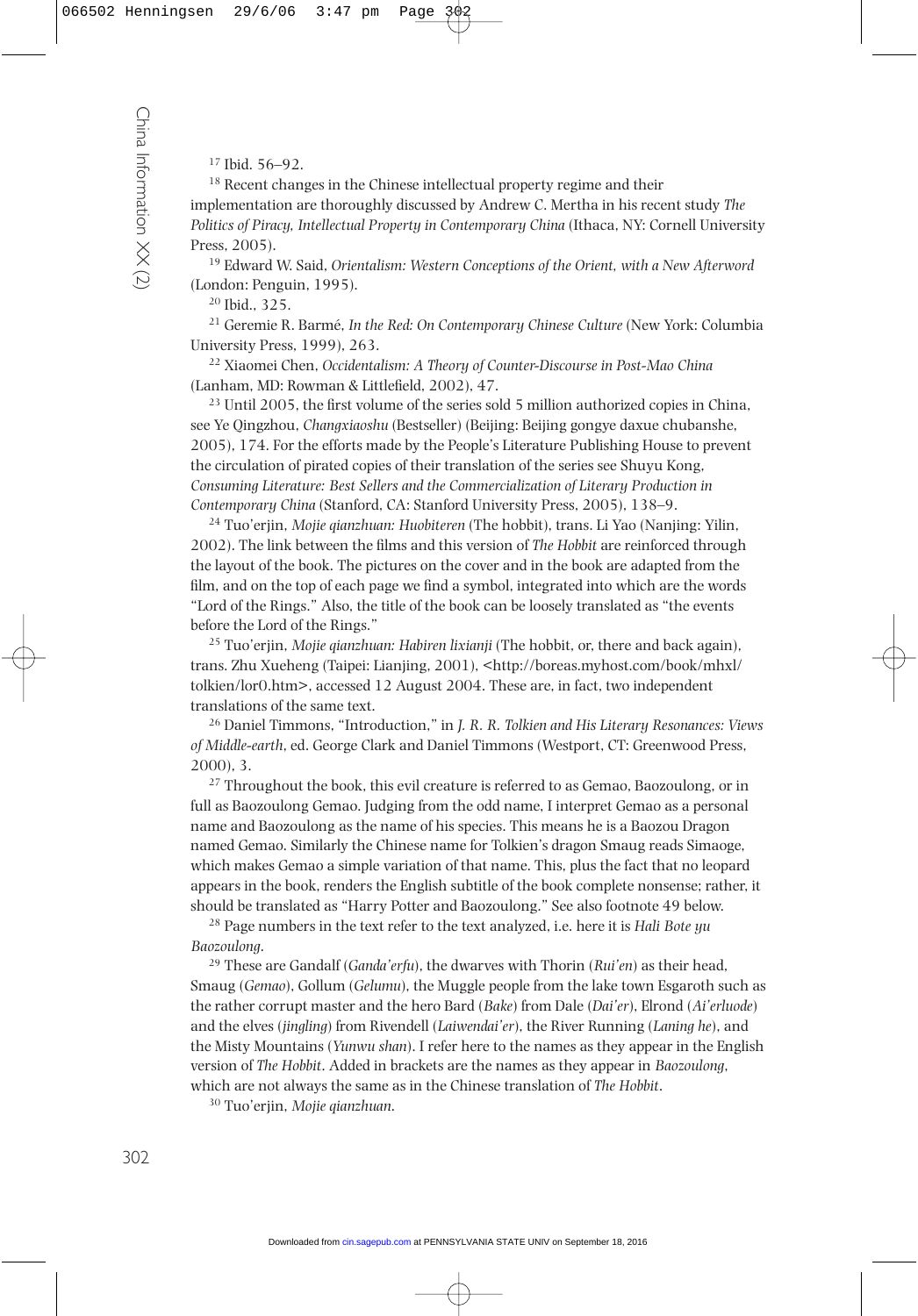<sup>17</sup> Ibid. 56–92.

<sup>18</sup> Recent changes in the Chinese intellectual property regime and their implementation are thoroughly discussed by Andrew C. Mertha in his recent study *The Politics of Piracy, Intellectual Property in Contemporary China* (Ithaca, NY: Cornell University Press, 2005).

<sup>19</sup> Edward W. Said, *Orientalism: Western Conceptions of the Orient, with a New Afterword* (London: Penguin, 1995).

<sup>20</sup> Ibid., 325.

<sup>21</sup> Geremie R. Barmé, *In the Red: On Contemporary Chinese Culture* (New York: Columbia University Press, 1999), 263.

<sup>22</sup> Xiaomei Chen, *Occidentalism: A Theory of Counter-Discourse in Post-Mao China* (Lanham, MD: Rowman & Littlefield, 2002), 47.

<sup>23</sup> Until 2005, the first volume of the series sold 5 million authorized copies in China, see Ye Qingzhou, *Changxiaoshu* (Bestseller) (Beijing: Beijing gongye daxue chubanshe, 2005), 174. For the efforts made by the People's Literature Publishing House to prevent the circulation of pirated copies of their translation of the series see Shuyu Kong, *Consuming Literature: Best Sellers and the Commercialization of Literary Production in Contemporary China* (Stanford, CA: Stanford University Press, 2005), 138–9.

<sup>24</sup> Tuo'erjin, *Mojie qianzhuan: Huobiteren* (The hobbit), trans. Li Yao (Nanjing: Yilin, 2002). The link between the films and this version of *The Hobbit* are reinforced through the layout of the book. The pictures on the cover and in the book are adapted from the film, and on the top of each page we find a symbol, integrated into which are the words "Lord of the Rings." Also, the title of the book can be loosely translated as "the events before the Lord of the Rings."

<sup>25</sup> Tuo'erjin, *Mojie qianzhuan: Habiren lixianji* (The hobbit, or, there and back again), trans. Zhu Xueheng (Taipei: Lianjing, 2001), <http://boreas.myhost.com/book/mhxl/ tolkien/lor0.htm>, accessed 12 August 2004. These are, in fact, two independent translations of the same text.

<sup>26</sup> Daniel Timmons, "Introduction," in *J. R. R. Tolkien and His Literary Resonances: Views of Middle-earth*, ed. George Clark and Daniel Timmons (Westport, CT: Greenwood Press, 2000), 3.

 $^{27}$  Throughout the book, this evil creature is referred to as Gemao, Baozoulong, or in full as Baozoulong Gemao. Judging from the odd name, I interpret Gemao as a personal name and Baozoulong as the name of his species. This means he is a Baozou Dragon named Gemao. Similarly the Chinese name for Tolkien's dragon Smaug reads Simaoge, which makes Gemao a simple variation of that name. This, plus the fact that no leopard appears in the book, renders the English subtitle of the book complete nonsense; rather, it should be translated as "Harry Potter and Baozoulong." See also footnote 49 below.

<sup>28</sup> Page numbers in the text refer to the text analyzed, i.e. here it is *Hali Bote yu Baozoulong*.

<sup>29</sup> These are Gandalf (*Ganda'erfu*), the dwarves with Thorin (*Rui'en*) as their head, Smaug (*Gemao*), Gollum (*Gelumu*), the Muggle people from the lake town Esgaroth such as the rather corrupt master and the hero Bard (*Bake*) from Dale (*Dai'er*), Elrond (*Ai'erluode*) and the elves (*jingling*) from Rivendell (*Laiwendai'er*), the River Running (*Laning he*), and the Misty Mountains (*Yunwu shan*). I refer here to the names as they appear in the English version of *The Hobbit*. Added in brackets are the names as they appear in *Baozoulong*, which are not always the same as in the Chinese translation of *The Hobbit*.

<sup>30</sup> Tuo'erjin, *Mojie qianzhuan*.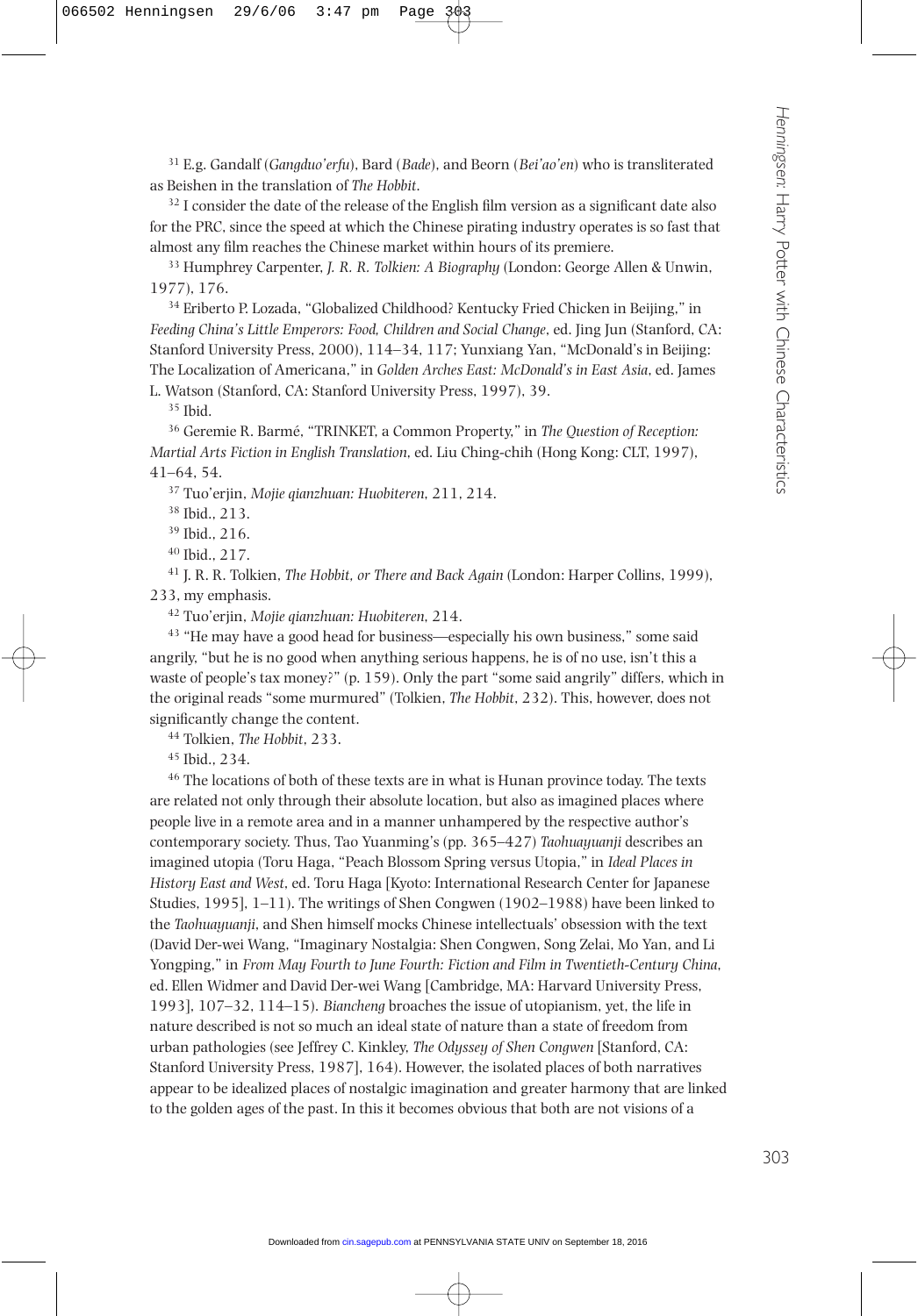<sup>31</sup> E.g. Gandalf (*Gangduo'erfu*), Bard (*Bade*), and Beorn (*Bei'ao'en*) who is transliterated as Beishen in the translation of *The Hobbit*.

 $32$  I consider the date of the release of the English film version as a significant date also for the PRC, since the speed at which the Chinese pirating industry operates is so fast that almost any film reaches the Chinese market within hours of its premiere.

<sup>33</sup> Humphrey Carpenter, *J. R. R. Tolkien: A Biography* (London: George Allen & Unwin, 1977), 176.

<sup>34</sup> Eriberto P. Lozada, "Globalized Childhood? Kentucky Fried Chicken in Beijing," in *Feeding China's Little Emperors: Food, Children and Social Change*, ed. Jing Jun (Stanford, CA: Stanford University Press, 2000), 114–34, 117; Yunxiang Yan, "McDonald's in Beijing: The Localization of Americana," in *Golden Arches East: McDonald's in East Asia*, ed. James

L. Watson (Stanford, CA: Stanford University Press, 1997), 39.

<sup>35</sup> Ibid.

<sup>36</sup> Geremie R. Barmé, "TRINKET, a Common Property," in *The Question of Reception: Martial Arts Fiction in English Translation*, ed. Liu Ching-chih (Hong Kong: CLT, 1997), 41–64, 54.

<sup>37</sup> Tuo'erjin, *Mojie qianzhuan: Huobiteren*, 211, 214.

<sup>38</sup> Ibid., 213.

<sup>39</sup> Ibid., 216.

<sup>40</sup> Ibid., 217.

<sup>41</sup> J. R. R. Tolkien, *The Hobbit, or There and Back Again* (London: Harper Collins, 1999), 233, my emphasis.

<sup>42</sup> Tuo'erjin, *Mojie qianzhuan: Huobiteren*, 214.

<sup>43</sup> "He may have a good head for business—especially his own business," some said angrily, "but he is no good when anything serious happens, he is of no use, isn't this a waste of people's tax money?" (p. 159). Only the part "some said angrily" differs, which in the original reads "some murmured" (Tolkien, *The Hobbit*, 232). This, however, does not significantly change the content. 44 Tolkien, *The Hobbit*, 233.

<sup>45</sup> Ibid., 234.

<sup>46</sup> The locations of both of these texts are in what is Hunan province today. The texts are related not only through their absolute location, but also as imagined places where people live in a remote area and in a manner unhampered by the respective author's contemporary society. Thus, Tao Yuanming's (pp. 365–427) *Taohuayuanji* describes an imagined utopia (Toru Haga, "Peach Blossom Spring versus Utopia," in *Ideal Places in History East and West*, ed. Toru Haga [Kyoto: International Research Center for Japanese Studies, 1995], 1–11). The writings of Shen Congwen (1902–1988) have been linked to the *Taohuayuanji*, and Shen himself mocks Chinese intellectuals' obsession with the text (David Der-wei Wang, "Imaginary Nostalgia: Shen Congwen, Song Zelai, Mo Yan, and Li Yongping," in *From May Fourth to June Fourth: Fiction and Film in Twentieth-Century China*, ed. Ellen Widmer and David Der-wei Wang [Cambridge, MA: Harvard University Press, 1993], 107–32, 114–15). *Biancheng* broaches the issue of utopianism, yet, the life in nature described is not so much an ideal state of nature than a state of freedom from urban pathologies (see Jeffrey C. Kinkley, *The Odyssey of Shen Congwen* [Stanford, CA: Stanford University Press, 1987], 164). However, the isolated places of both narratives appear to be idealized places of nostalgic imagination and greater harmony that are linked to the golden ages of the past. In this it becomes obvious that both are not visions of a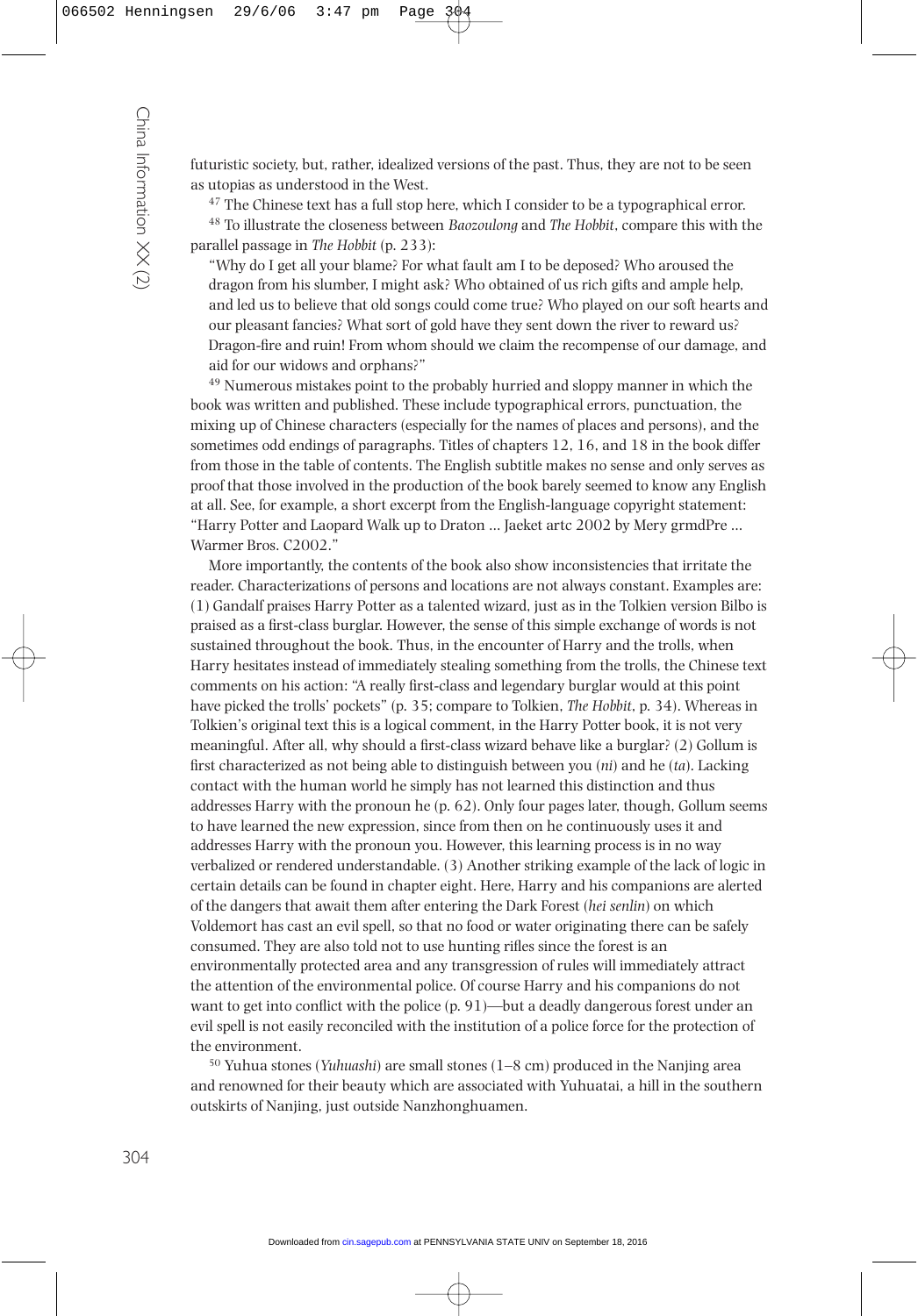futuristic society, but, rather, idealized versions of the past. Thus, they are not to be seen as utopias as understood in the West.

<sup>47</sup> The Chinese text has a full stop here, which I consider to be a typographical error.

<sup>48</sup> To illustrate the closeness between *Baozoulong* and *The Hobbit*, compare this with the parallel passage in *The Hobbit* (p. 233):

"Why do I get all your blame? For what fault am I to be deposed? Who aroused the dragon from his slumber, I might ask? Who obtained of us rich gifts and ample help, and led us to believe that old songs could come true? Who played on our soft hearts and our pleasant fancies? What sort of gold have they sent down the river to reward us? Dragon-fire and ruin! From whom should we claim the recompense of our damage, and aid for our widows and orphans?"

<sup>49</sup> Numerous mistakes point to the probably hurried and sloppy manner in which the book was written and published. These include typographical errors, punctuation, the mixing up of Chinese characters (especially for the names of places and persons), and the sometimes odd endings of paragraphs. Titles of chapters 12, 16, and 18 in the book differ from those in the table of contents. The English subtitle makes no sense and only serves as proof that those involved in the production of the book barely seemed to know any English at all. See, for example, a short excerpt from the English-language copyright statement: "Harry Potter and Laopard Walk up to Draton … Jaeket artc 2002 by Mery grmdPre … Warmer Bros. C2002."

More importantly, the contents of the book also show inconsistencies that irritate the reader. Characterizations of persons and locations are not always constant. Examples are: (1) Gandalf praises Harry Potter as a talented wizard, just as in the Tolkien version Bilbo is praised as a first-class burglar. However, the sense of this simple exchange of words is not sustained throughout the book. Thus, in the encounter of Harry and the trolls, when Harry hesitates instead of immediately stealing something from the trolls, the Chinese text comments on his action: "A really first-class and legendary burglar would at this point have picked the trolls' pockets" (p. 35; compare to Tolkien, *The Hobbit*, p. 34). Whereas in Tolkien's original text this is a logical comment, in the Harry Potter book, it is not very meaningful. After all, why should a first-class wizard behave like a burglar? (2) Gollum is first characterized as not being able to distinguish between you (*ni*) and he (*ta*). Lacking contact with the human world he simply has not learned this distinction and thus addresses Harry with the pronoun he (p. 62). Only four pages later, though, Gollum seems to have learned the new expression, since from then on he continuously uses it and addresses Harry with the pronoun you. However, this learning process is in no way verbalized or rendered understandable. (3) Another striking example of the lack of logic in certain details can be found in chapter eight. Here, Harry and his companions are alerted of the dangers that await them after entering the Dark Forest (*hei senlin*) on which Voldemort has cast an evil spell, so that no food or water originating there can be safely consumed. They are also told not to use hunting rifles since the forest is an environmentally protected area and any transgression of rules will immediately attract the attention of the environmental police. Of course Harry and his companions do not want to get into conflict with the police (p. 91)—but a deadly dangerous forest under an evil spell is not easily reconciled with the institution of a police force for the protection of the environment.

<sup>50</sup> Yuhua stones (*Yuhuashi*) are small stones (1–8 cm) produced in the Nanjing area and renowned for their beauty which are associated with Yuhuatai, a hill in the southern outskirts of Nanjing, just outside Nanzhonghuamen.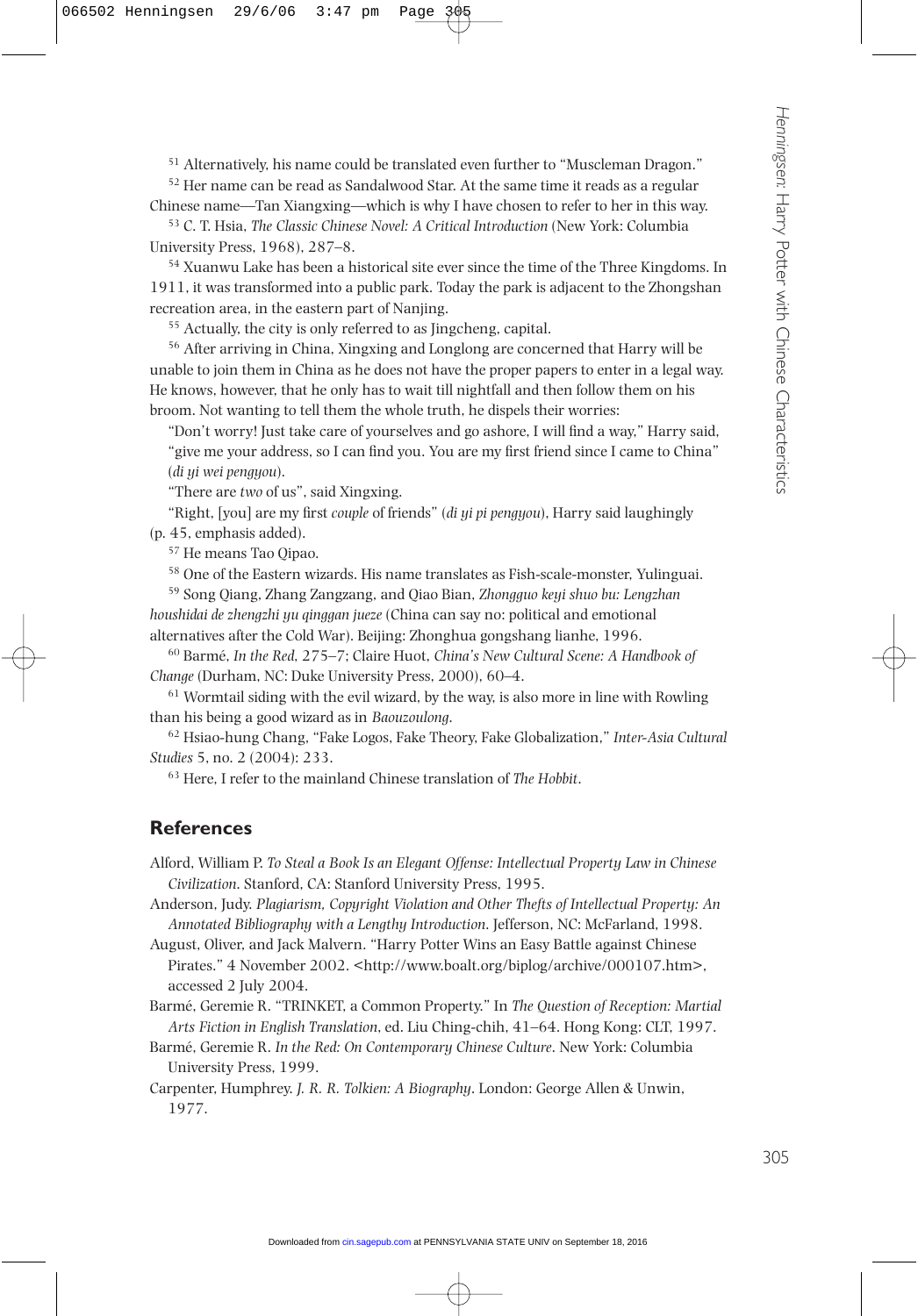<sup>51</sup> Alternatively, his name could be translated even further to "Muscleman Dragon."

<sup>52</sup> Her name can be read as Sandalwood Star. At the same time it reads as a regular Chinese name—Tan Xiangxing—which is why I have chosen to refer to her in this way.

<sup>53</sup> C. T. Hsia, *The Classic Chinese Novel: A Critical Introduction* (New York: Columbia University Press, 1968), 287–8.

<sup>54</sup> Xuanwu Lake has been a historical site ever since the time of the Three Kingdoms. In 1911, it was transformed into a public park. Today the park is adjacent to the Zhongshan recreation area, in the eastern part of Nanjing.

<sup>55</sup> Actually, the city is only referred to as Jingcheng, capital.

<sup>56</sup> After arriving in China, Xingxing and Longlong are concerned that Harry will be unable to join them in China as he does not have the proper papers to enter in a legal way. He knows, however, that he only has to wait till nightfall and then follow them on his broom. Not wanting to tell them the whole truth, he dispels their worries:

"Don't worry! Just take care of yourselves and go ashore, I will find a way," Harry said, "give me your address, so I can find you. You are my first friend since I came to China" (*di yi wei pengyou*).

"There are *two* of us", said Xingxing.

"Right, [you] are my first *couple* of friends" (*di yi pi pengyou*), Harry said laughingly (p. 45, emphasis added).

<sup>57</sup> He means Tao Qipao.

<sup>58</sup> One of the Eastern wizards. His name translates as Fish-scale-monster, Yulinguai.

<sup>59</sup> Song Qiang, Zhang Zangzang, and Qiao Bian, *Zhongguo keyi shuo bu: Lengzhan houshidai de zhengzhi yu qinggan jueze* (China can say no: political and emotional alternatives after the Cold War). Beijing: Zhonghua gongshang lianhe, 1996.

<sup>60</sup> Barmé, *In the Red*, 275–7; Claire Huot, *China's New Cultural Scene: A Handbook of Change* (Durham, NC: Duke University Press, 2000), 60–4.

 $61$  Wormtail siding with the evil wizard, by the way, is also more in line with Rowling than his being a good wizard as in *Baouzoulong*.

<sup>62</sup> Hsiao-hung Chang, "Fake Logos, Fake Theory, Fake Globalization," *Inter-Asia Cultural Studies* 5, no. 2 (2004): 233.

<sup>63</sup> Here, I refer to the mainland Chinese translation of *The Hobbit*.

### **References**

Alford, William P. *To Steal a Book Is an Elegant Offense: Intellectual Property Law in Chinese Civilization*. Stanford, CA: Stanford University Press, 1995.

Anderson, Judy. *Plagiarism, Copyright Violation and Other Thefts of Intellectual Property: An Annotated Bibliography with a Lengthy Introduction*. Jefferson, NC: McFarland, 1998.

August, Oliver, and Jack Malvern. "Harry Potter Wins an Easy Battle against Chinese Pirates." 4 November 2002. <http://www.boalt.org/biplog/archive/000107.htm>, accessed 2 July 2004.

Barmé, Geremie R. "TRINKET, a Common Property." In *The Question of Reception: Martial Arts Fiction in English Translation*, ed. Liu Ching-chih, 41–64. Hong Kong: CLT, 1997.

Barmé, Geremie R. *In the Red: On Contemporary Chinese Culture*. New York: Columbia University Press, 1999.

Carpenter, Humphrey. *J. R. R. Tolkien: A Biography*. London: George Allen & Unwin, 1977.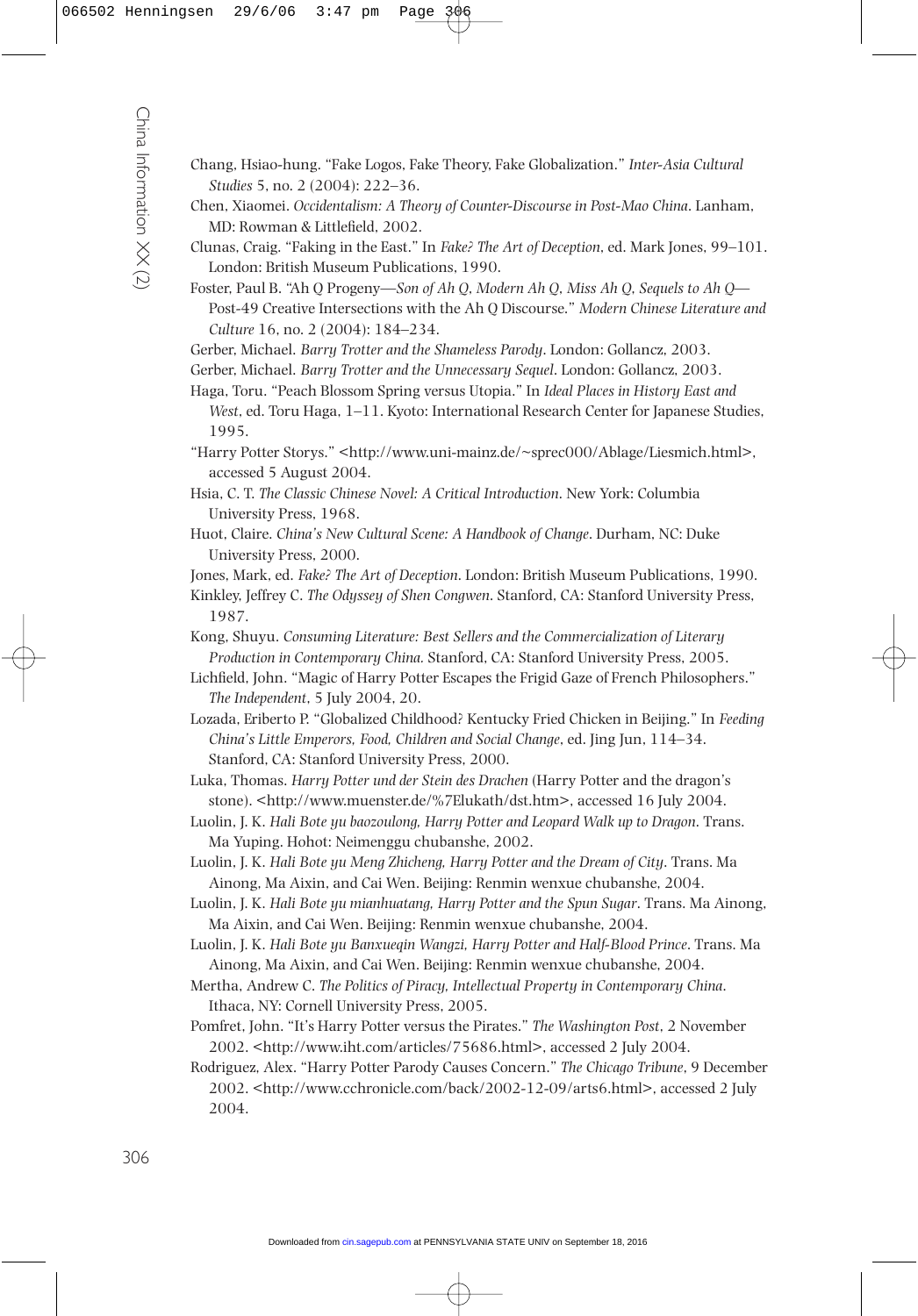- Chang, Hsiao-hung. "Fake Logos, Fake Theory, Fake Globalization." *Inter-Asia Cultural Studies* 5, no. 2 (2004): 222–36.
- Chen, Xiaomei. *Occidentalism: A Theory of Counter-Discourse in Post-Mao China*. Lanham, MD: Rowman & Littlefield, 2002.
- Clunas, Craig. "Faking in the East." In *Fake? The Art of Deception*, ed. Mark Jones, 99–101. London: British Museum Publications, 1990.
- Foster, Paul B. "Ah Q Progeny—*Son of Ah Q*, *Modern Ah Q*, *Miss Ah Q*, *Sequels to Ah Q* Post-49 Creative Intersections with the Ah Q Discourse." *Modern Chinese Literature and Culture* 16, no. 2 (2004): 184–234.
- Gerber, Michael. *Barry Trotter and the Shameless Parody*. London: Gollancz, 2003.
- Gerber, Michael. *Barry Trotter and the Unnecessary Sequel*. London: Gollancz, 2003.
- Haga, Toru. "Peach Blossom Spring versus Utopia." In *Ideal Places in History East and West*, ed. Toru Haga, 1–11. Kyoto: International Research Center for Japanese Studies, 1995.
- "Harry Potter Storys." <http://www.uni-mainz.de/~sprec000/Ablage/Liesmich.html>. accessed 5 August 2004.
- Hsia, C. T. *The Classic Chinese Novel: A Critical Introduction*. New York: Columbia University Press, 1968.
- Huot, Claire. *China's New Cultural Scene: A Handbook of Change*. Durham, NC: Duke University Press, 2000.
- Jones, Mark, ed. *Fake? The Art of Deception*. London: British Museum Publications, 1990.
- Kinkley, Jeffrey C. *The Odyssey of Shen Congwen*. Stanford, CA: Stanford University Press, 1987.
- Kong, Shuyu. *Consuming Literature: Best Sellers and the Commercialization of Literary Production in Contemporary China.* Stanford, CA: Stanford University Press, 2005.
- Lichfield, John. "Magic of Harry Potter Escapes the Frigid Gaze of French Philosophers." *The Independent*, 5 July 2004, 20.
- Lozada, Eriberto P. "Globalized Childhood? Kentucky Fried Chicken in Beijing." In *Feeding China's Little Emperors, Food, Children and Social Change*, ed. Jing Jun, 114–34. Stanford, CA: Stanford University Press, 2000.
- Luka, Thomas. *Harry Potter und der Stein des Drachen* (Harry Potter and the dragon's stone). <http://www.muenster.de/%7Elukath/dst.htm>, accessed 16 July 2004.
- Luolin, J. K. *Hali Bote yu baozoulong, Harry Potter and Leopard Walk up to Dragon*. Trans. Ma Yuping. Hohot: Neimenggu chubanshe, 2002.
- Luolin, J. K. *Hali Bote yu Meng Zhicheng, Harry Potter and the Dream of City*. Trans. Ma Ainong, Ma Aixin, and Cai Wen. Beijing: Renmin wenxue chubanshe, 2004.
- Luolin, J. K. *Hali Bote yu mianhuatang, Harry Potter and the Spun Sugar*. Trans. Ma Ainong, Ma Aixin, and Cai Wen. Beijing: Renmin wenxue chubanshe, 2004.
- Luolin, J. K. *Hali Bote yu Banxueqin Wangzi, Harry Potter and Half-Blood Prince*. Trans. Ma Ainong, Ma Aixin, and Cai Wen. Beijing: Renmin wenxue chubanshe, 2004.
- Mertha, Andrew C. *The Politics of Piracy, Intellectual Property in Contemporary China*. Ithaca, NY: Cornell University Press, 2005.
- Pomfret, John. "It's Harry Potter versus the Pirates." *The Washington Post*, 2 November 2002. <http://www.iht.com/articles/75686.html>, accessed 2 July 2004.
- Rodriguez, Alex. "Harry Potter Parody Causes Concern." *The Chicago Tribune*, 9 December 2002. <http://www.cchronicle.com/back/2002-12-09/arts6.html>, accessed 2 July 2004.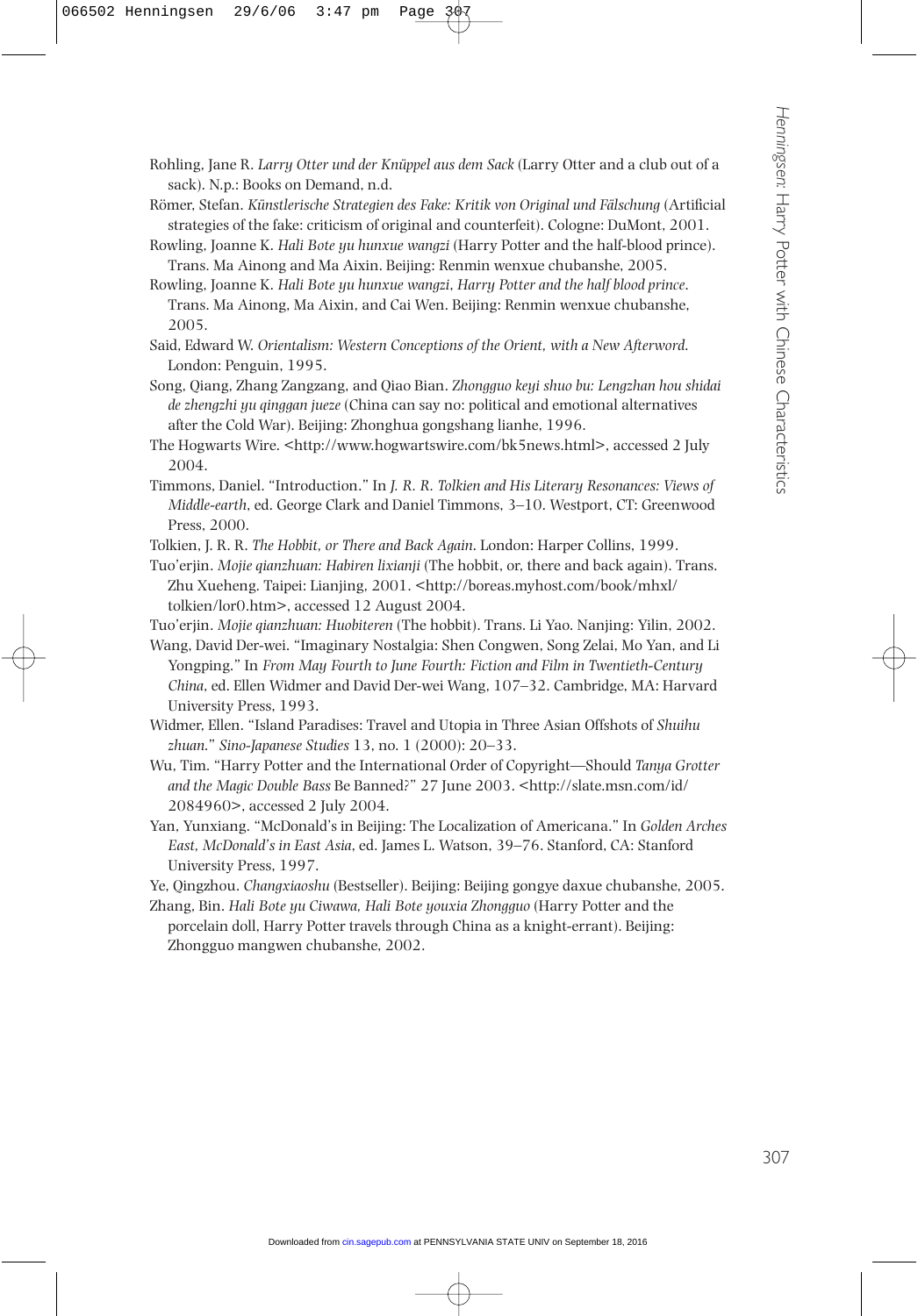- Rohling, Jane R. *Larry Otter und der Knüppel aus dem Sack* (Larry Otter and a club out of a sack). N.p.: Books on Demand, n.d.
- Römer, Stefan. *Künstlerische Strategien des Fake: Kritik von Original und Fälschung* (Artificial strategies of the fake: criticism of original and counterfeit). Cologne: DuMont, 2001.
- Rowling, Joanne K. *Hali Bote yu hunxue wangzi* (Harry Potter and the half-blood prince). Trans. Ma Ainong and Ma Aixin. Beijing: Renmin wenxue chubanshe, 2005.
- Rowling, Joanne K. *Hali Bote yu hunxue wangzi*, *Harry Potter and the half blood prince*. Trans. Ma Ainong, Ma Aixin, and Cai Wen. Beijing: Renmin wenxue chubanshe, 2005.
- Said, Edward W. *Orientalism: Western Conceptions of the Orient, with a New Afterword*. London: Penguin, 1995.
- Song, Qiang, Zhang Zangzang, and Qiao Bian. *Zhongguo keyi shuo bu: Lengzhan hou shidai de zhengzhi yu qinggan jueze* (China can say no: political and emotional alternatives after the Cold War). Beijing: Zhonghua gongshang lianhe, 1996.
- The Hogwarts Wire. <http://www.hogwartswire.com/bk5news.html>, accessed 2 July 2004.
- Timmons, Daniel. "Introduction." In *J. R. R. Tolkien and His Literary Resonances: Views of Middle-earth*, ed. George Clark and Daniel Timmons, 3–10. Westport, CT: Greenwood Press, 2000.
- Tolkien, J. R. R. *The Hobbit, or There and Back Again*. London: Harper Collins, 1999.
- Tuo'erjin. *Mojie qianzhuan: Habiren lixianji* (The hobbit, or, there and back again). Trans. Zhu Xueheng. Taipei: Lianjing, 2001. <http://boreas.myhost.com/book/mhxl/ tolkien/lor0.htm>, accessed 12 August 2004.
- Tuo'erjin. *Mojie qianzhuan: Huobiteren* (The hobbit). Trans. Li Yao. Nanjing: Yilin, 2002.
- Wang, David Der-wei. "Imaginary Nostalgia: Shen Congwen, Song Zelai, Mo Yan, and Li Yongping." In *From May Fourth to June Fourth: Fiction and Film in Twentieth-Century China*, ed. Ellen Widmer and David Der-wei Wang, 107–32. Cambridge, MA: Harvard University Press, 1993.
- Widmer, Ellen. "Island Paradises: Travel and Utopia in Three Asian Offshots of *Shuihu zhuan*." *Sino-Japanese Studies* 13, no. 1 (2000): 20–33.
- Wu, Tim. "Harry Potter and the International Order of Copyright—Should *Tanya Grotter and the Magic Double Bass* Be Banned?" 27 June 2003. <http://slate.msn.com/id/ 2084960>, accessed 2 July 2004.
- Yan, Yunxiang. "McDonald's in Beijing: The Localization of Americana." In *Golden Arches East, McDonald's in East Asia*, ed. James L. Watson, 39–76. Stanford, CA: Stanford University Press, 1997.
- Ye, Qingzhou. *Changxiaoshu* (Bestseller). Beijing: Beijing gongye daxue chubanshe, 2005.
- Zhang, Bin. *Hali Bote yu Ciwawa, Hali Bote youxia Zhongguo* (Harry Potter and the porcelain doll, Harry Potter travels through China as a knight-errant). Beijing: Zhongguo mangwen chubanshe, 2002.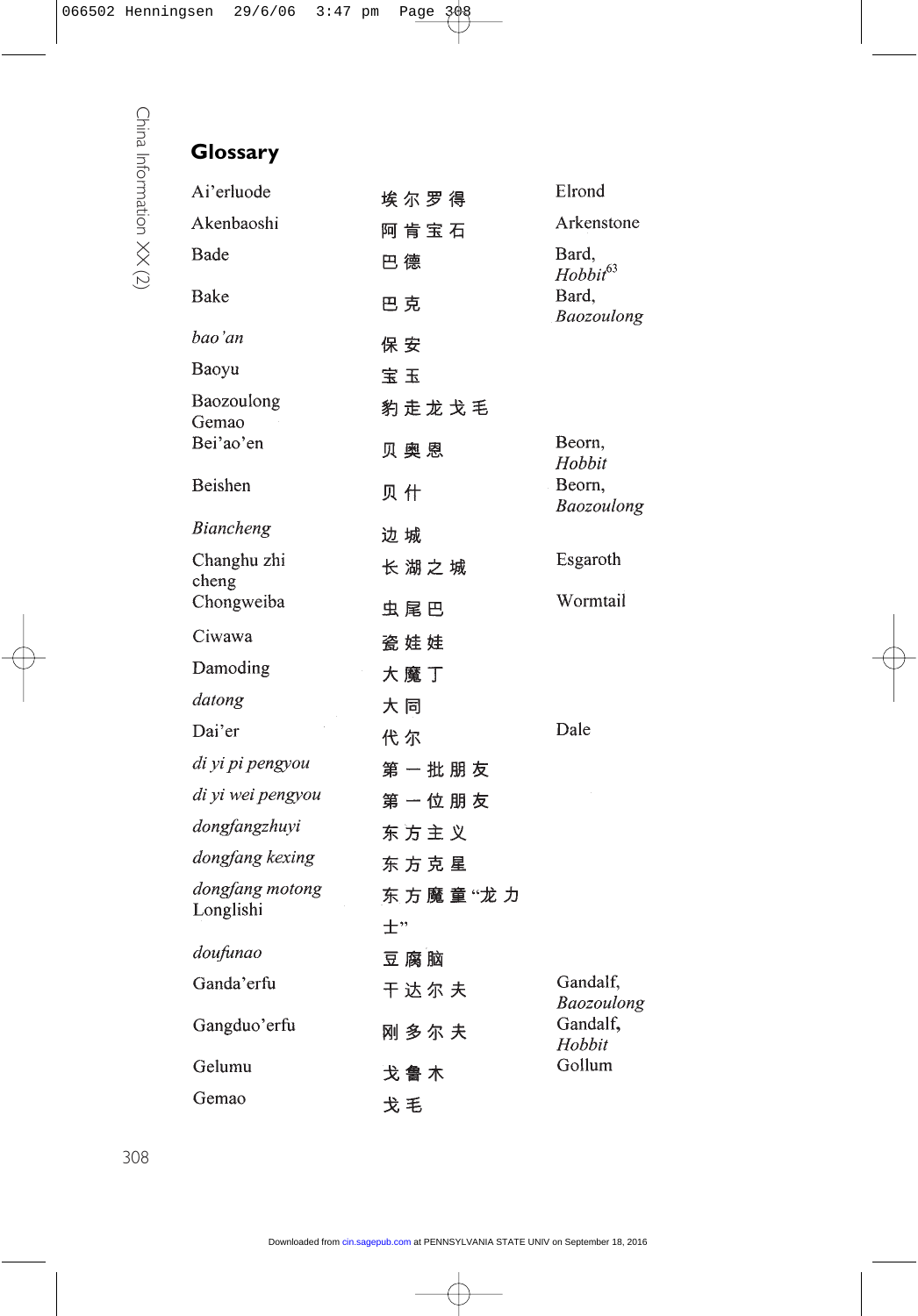# **Glossary**

| Ai'erluode                   | 埃尔罗得      | Elrond                 |
|------------------------------|-----------|------------------------|
| Akenbaoshi                   | 阿肯宝石      | Arkenstone             |
| Bade                         | 巴德        | Bard,<br>$Hobbit^{63}$ |
| Bake                         | 巴克        | Bard,<br>Baozoulong    |
| bao'an                       | 保安        |                        |
| Baoyu                        | 王宝        |                        |
| Baozoulong<br>Gemao          | 豹走龙戈毛     |                        |
| Bei'ao'en                    | 贝奥恩       | Beorn,<br>Hobbit       |
| Beishen                      | 贝什        | Beorn,<br>Baozoulong   |
| Biancheng                    | 边 城       |                        |
| Changhu zhi<br>cheng         | 长湖之城      | Esgaroth               |
| Chongweiba                   | 虫尾巴       | Wormtail               |
| Ciwawa                       | 瓷娃娃       |                        |
| Damoding                     | 大魔丁       |                        |
| datong                       | 大 同       |                        |
| Dai'er                       | 代尔        | Dale                   |
| di yi pi pengyou             | 第 一 批 朋 友 |                        |
| di yi wei pengyou            | 第一位朋友     |                        |
| dongfangzhuyi                | 东方主义      |                        |
| dongfang kexing              | 东方克星      |                        |
| dongfang motong<br>Longlishi | 东方魔童"龙力   |                        |
|                              | 士"        |                        |
| doufunao                     | 豆腐脑       | Gandalf,               |
| Ganda'erfu                   | 干达尔夫      | Baozoulong             |
| Gangduo'erfu                 | 刚多尔夫      | Gandalf,<br>Hobbit     |
| Gelumu                       | 戈鲁木       | Gollum                 |
| Gemao                        | 戈王        |                        |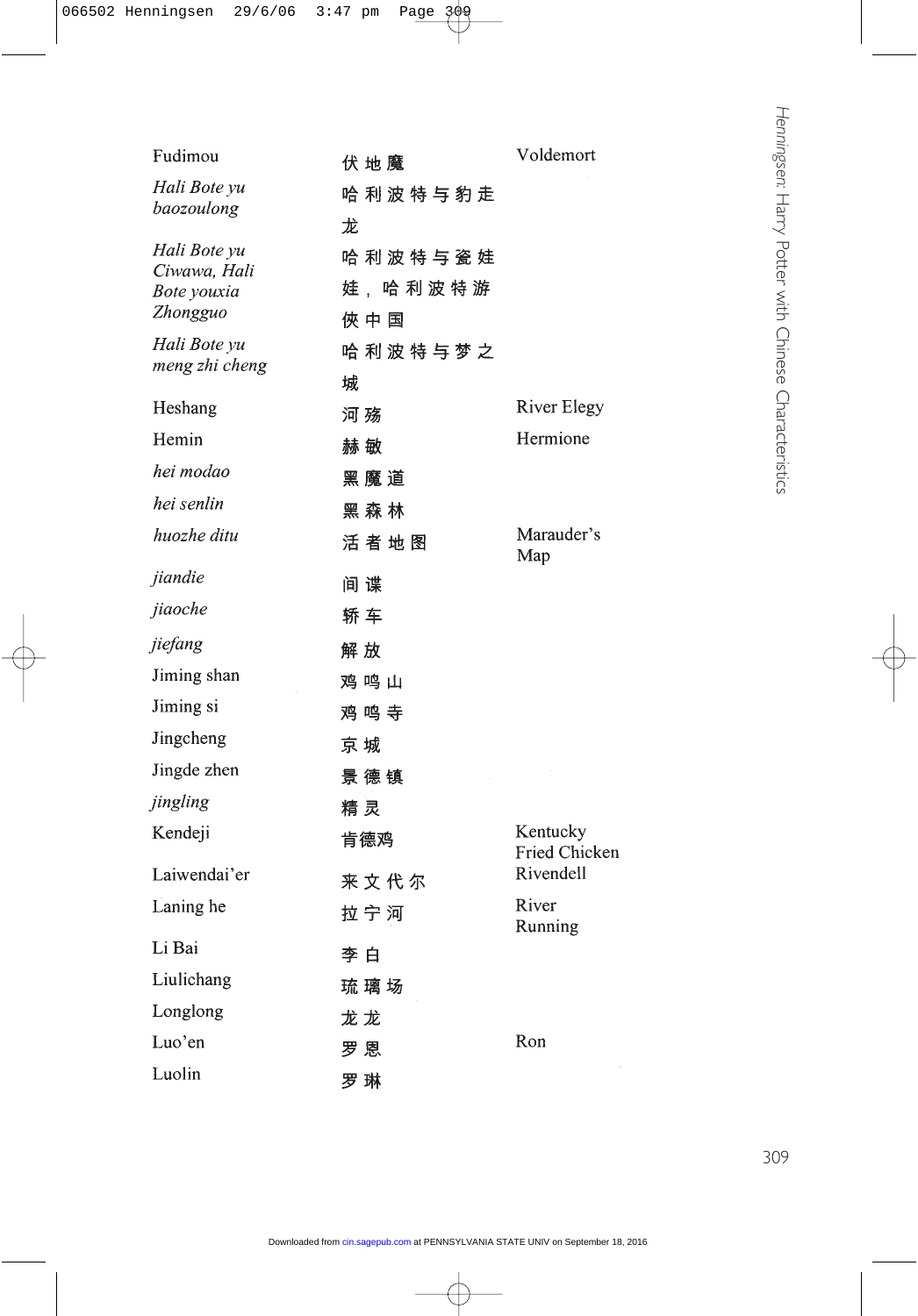| Fudimou                        | 伏地魔         | Voldemort                        |
|--------------------------------|-------------|----------------------------------|
| Hali Bote vu                   | 哈利波特与豹走     |                                  |
| baozoulong                     | 龙           |                                  |
| Hali Bote yu                   | 哈利波特与瓷娃     |                                  |
| Ciwawa, Hali                   |             |                                  |
| Bote youxia<br>Zhongguo        | 娃,哈 利 波 特 游 |                                  |
|                                | 俠中国         |                                  |
| Hali Bote yu<br>meng zhi cheng | 哈利波特与梦之     |                                  |
|                                | 城.          |                                  |
| Heshang                        | 河殇          | <b>River Elegy</b>               |
| Hemin                          | 赫敏          | Hermione                         |
| hei modao                      | 黑魔道         |                                  |
| hei senlin                     | 黑森林         |                                  |
| huozhe ditu                    | 活者地图        | Marauder's<br>Map                |
| jiandie                        | 间谍          |                                  |
| jiaoche                        | 轿车          |                                  |
| jiefang                        | 解 放         |                                  |
| Jiming shan                    | 鸡鸣山         |                                  |
| Jiming si                      | 鸡鸣寺         |                                  |
| Jingcheng                      | 京城          |                                  |
| Jingde zhen                    | 景德镇         |                                  |
| jingling                       | 精灵          |                                  |
| Kendeji                        | 肯德鸡         | Kentucky<br><b>Fried Chicken</b> |
| Laiwendai'er                   | 来文代尔        | Rivendell                        |
| Laning he                      | 拉宁河         | River<br>Running                 |
| Li Bai                         | 李白          |                                  |
| Liulichang                     | 琉璃场         |                                  |
| Longlong                       | 龙 龙         |                                  |
| Luo'en                         | 罗恩          | Ron                              |
| Luolin                         | 罗琳          |                                  |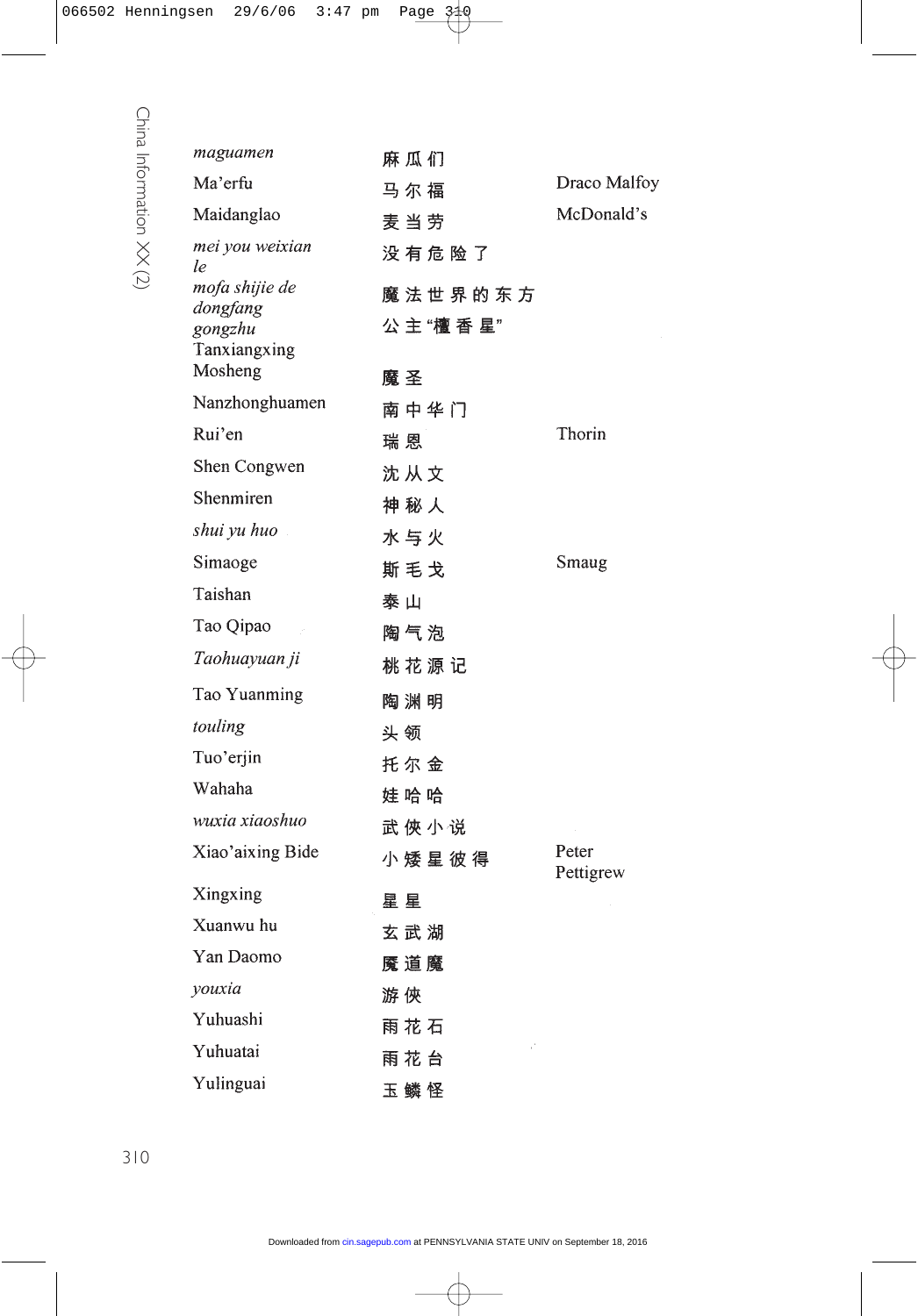| maguamen                   | 麻瓜们       |                    |
|----------------------------|-----------|--------------------|
| Ma'erfu                    | 马尔福       | Draco Malfoy       |
| Maidanglao                 | 麦当劳       | McDonald's         |
| mei you weixian<br>le      | 没 有 危 险 了 |                    |
| mofa shijie de<br>dongfang | 魔法世界的东方   |                    |
| gongzhu                    | 公主"檀香星"   |                    |
| Tanxiangxing<br>Mosheng    |           |                    |
|                            | 魘 圣       |                    |
| Nanzhonghuamen             | 南中华门      |                    |
| Rui'en                     | 瑞恩        | Thorin             |
| Shen Congwen               | 沈从文       |                    |
| Shenmiren                  | 神秘人       |                    |
| shui yu huo                | 水与火       |                    |
| Simaoge                    | 斯毛戈       | Smaug              |
| Taishan                    | 泰 山       |                    |
| Tao Qipao                  | 陶气泡       |                    |
| Taohuayuan ji              | 桃 花 源 记   |                    |
| Tao Yuanming               | 陶渊明       |                    |
| touling                    | 头领        |                    |
| Tuo'erjin                  | 托尔金       |                    |
| Wahaha                     | 娃 哈 哈     |                    |
| wuxia xiaoshuo             | 武俠小说      |                    |
| Xiao'aixing Bide           | 小矮星彼得     | Peter<br>Pettigrew |
| Xingxing                   | 星星        |                    |
| Xuanwu hu                  | 玄武湖       |                    |
| Yan Daomo                  | 魇道魔       |                    |
| youxia                     | 游俠        |                    |
| Yuhuashi                   | 雨花石       |                    |
| Yuhuatai                   | 雨花台       |                    |
| Yulinguai                  | 玉鳞怪       |                    |
|                            |           |                    |